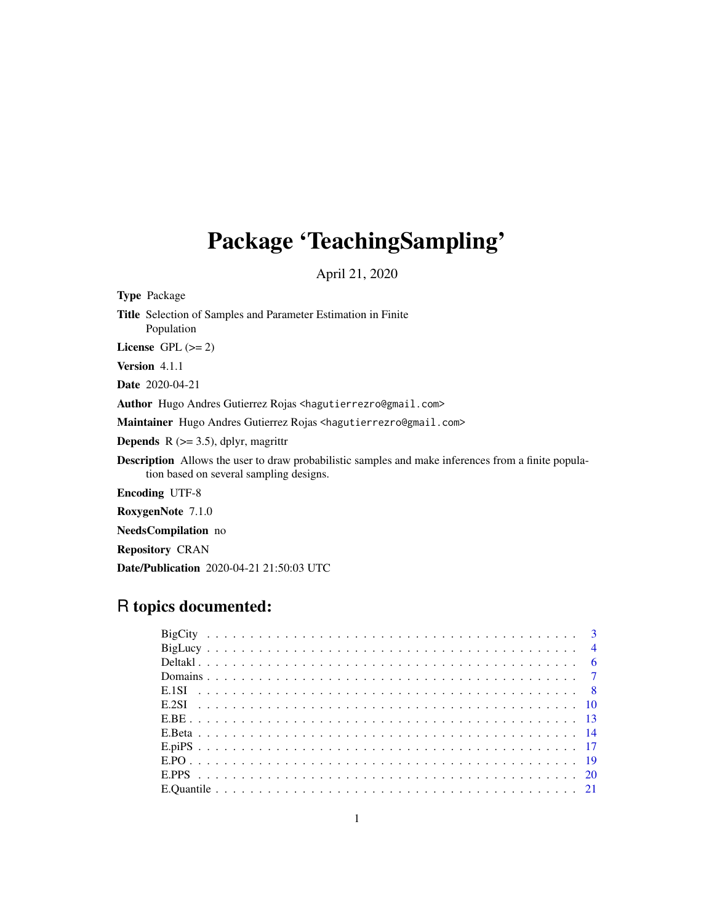# Package 'TeachingSampling'

April 21, 2020

| <b>Type Package</b>                                                                                                                                   |
|-------------------------------------------------------------------------------------------------------------------------------------------------------|
| Title Selection of Samples and Parameter Estimation in Finite<br>Population                                                                           |
| License $GPL (= 2)$                                                                                                                                   |
| <b>Version</b> 4.1.1                                                                                                                                  |
| <b>Date</b> 2020-04-21                                                                                                                                |
| Author Hugo Andres Gutierrez Rojas <hagutierrezro@gmail.com></hagutierrezro@gmail.com>                                                                |
| Maintainer Hugo Andres Gutierrez Rojas <hagutierrezro@gmail.com></hagutierrezro@gmail.com>                                                            |
| <b>Depends</b> $R$ ( $>=$ 3.5), dplyr, magrittr                                                                                                       |
| <b>Description</b> Allows the user to draw probabilistic samples and make inferences from a finite popula-<br>tion based on several sampling designs. |
| <b>Encoding UTF-8</b>                                                                                                                                 |
| RoxygenNote 7.1.0                                                                                                                                     |

NeedsCompilation no

Repository CRAN

Date/Publication 2020-04-21 21:50:03 UTC

## R topics documented: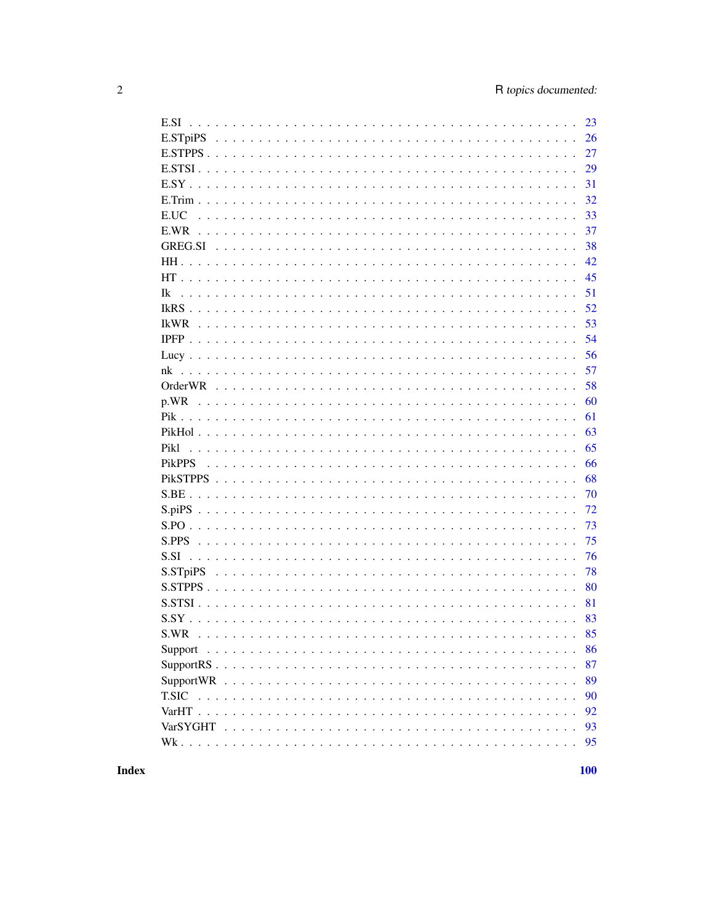|               | 23 |
|---------------|----|
|               | 26 |
|               | 27 |
|               | 29 |
|               | 31 |
|               | 32 |
| E.UC          | 33 |
|               | 37 |
|               | 38 |
|               | 42 |
|               | 45 |
| Ik            | 51 |
|               | 52 |
|               | 53 |
|               | 54 |
|               | 56 |
|               | 57 |
|               | 58 |
|               | 60 |
|               | 61 |
|               | 63 |
| Pikl          | 65 |
| <b>PikPPS</b> | 66 |
|               | 68 |
|               | 70 |
|               | 72 |
|               | 73 |
|               | 75 |
| S.SI          | 76 |
|               | 78 |
|               | 80 |
|               | 81 |
| $S.SY$ .      | 83 |
| S.WR          |    |
|               | 86 |
|               | 87 |
|               | 89 |
| <b>T.SIC</b>  | 90 |
|               | 92 |
|               | 93 |
|               | 95 |
|               |    |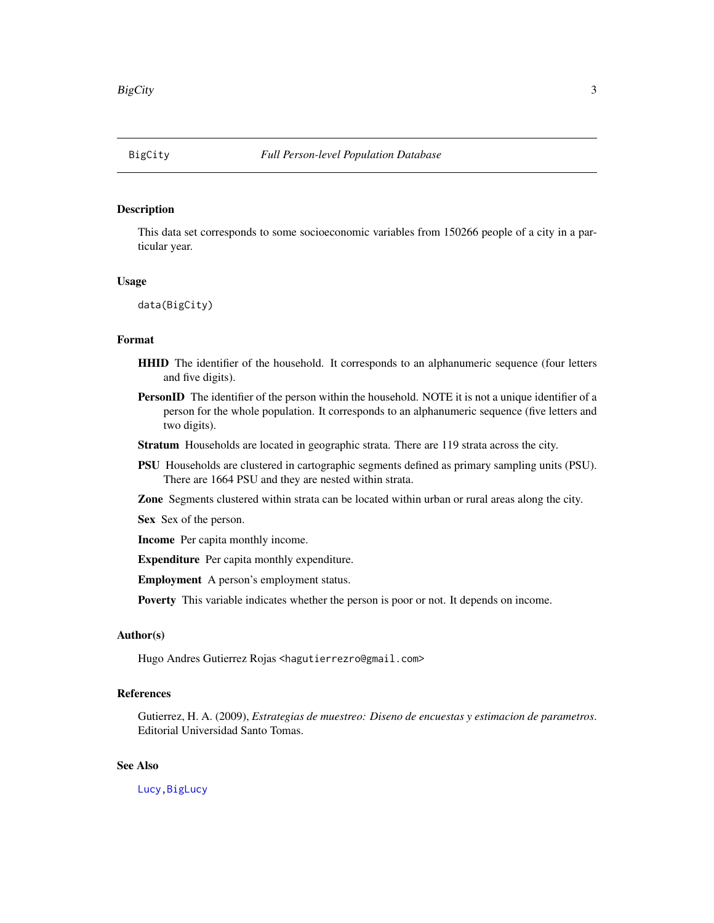## <span id="page-2-1"></span><span id="page-2-0"></span>Description

This data set corresponds to some socioeconomic variables from 150266 people of a city in a particular year.

## Usage

data(BigCity)

## Format

- HHID The identifier of the household. It corresponds to an alphanumeric sequence (four letters and five digits).
- PersonID The identifier of the person within the household. NOTE it is not a unique identifier of a person for the whole population. It corresponds to an alphanumeric sequence (five letters and two digits).
- Stratum Households are located in geographic strata. There are 119 strata across the city.
- PSU Households are clustered in cartographic segments defined as primary sampling units (PSU). There are 1664 PSU and they are nested within strata.
- Zone Segments clustered within strata can be located within urban or rural areas along the city.

Sex Sex of the person.

Income Per capita monthly income.

Expenditure Per capita monthly expenditure.

Employment A person's employment status.

Poverty This variable indicates whether the person is poor or not. It depends on income.

#### Author(s)

Hugo Andres Gutierrez Rojas <hagutierrezro@gmail.com>

## References

Gutierrez, H. A. (2009), *Estrategias de muestreo: Diseno de encuestas y estimacion de parametros*. Editorial Universidad Santo Tomas.

## See Also

[Lucy](#page-55-1)[,BigLucy](#page-3-1)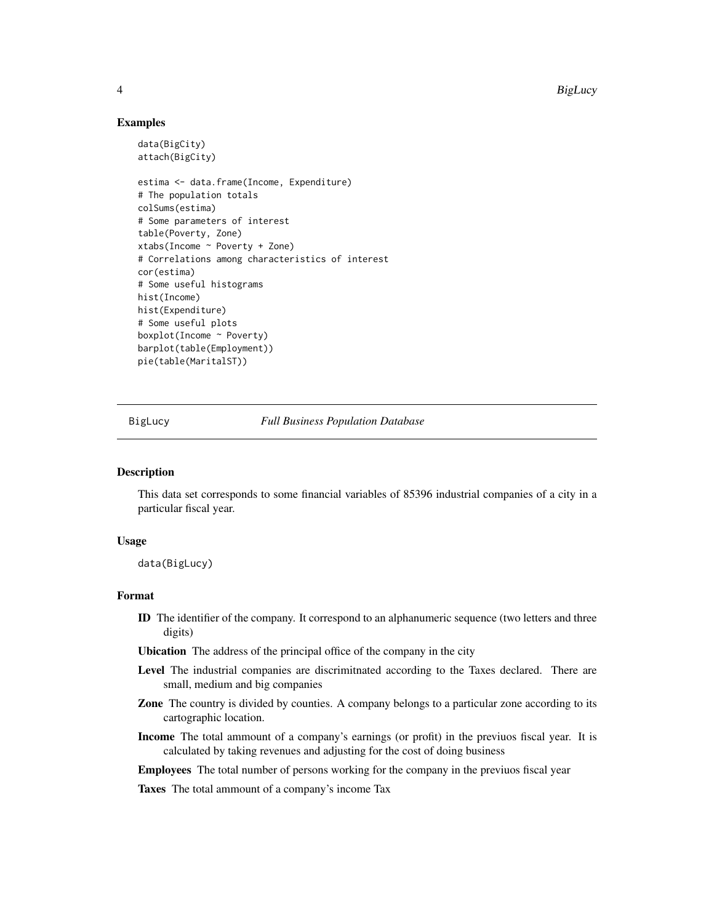4 BigLucy and the set of the set of the set of the set of the set of the set of the set of the set of the set of the set of the set of the set of the set of the set of the set of the set of the set of the set of the set of

## Examples

```
data(BigCity)
attach(BigCity)
estima <- data.frame(Income, Expenditure)
# The population totals
colSums(estima)
# Some parameters of interest
table(Poverty, Zone)
xtabs(Income ~ Poverty + Zone)
# Correlations among characteristics of interest
cor(estima)
# Some useful histograms
hist(Income)
hist(Expenditure)
# Some useful plots
boxplot(Income ~ Poverty)
barplot(table(Employment))
pie(table(MaritalST))
```
<span id="page-3-1"></span>

BigLucy *Full Business Population Database*

#### Description

This data set corresponds to some financial variables of 85396 industrial companies of a city in a particular fiscal year.

#### Usage

data(BigLucy)

## Format

ID The identifier of the company. It correspond to an alphanumeric sequence (two letters and three digits)

Ubication The address of the principal office of the company in the city

- Level The industrial companies are discrimitnated according to the Taxes declared. There are small, medium and big companies
- Zone The country is divided by counties. A company belongs to a particular zone according to its cartographic location.
- Income The total ammount of a company's earnings (or profit) in the previuos fiscal year. It is calculated by taking revenues and adjusting for the cost of doing business
- Employees The total number of persons working for the company in the previuos fiscal year

Taxes The total ammount of a company's income Tax

<span id="page-3-0"></span>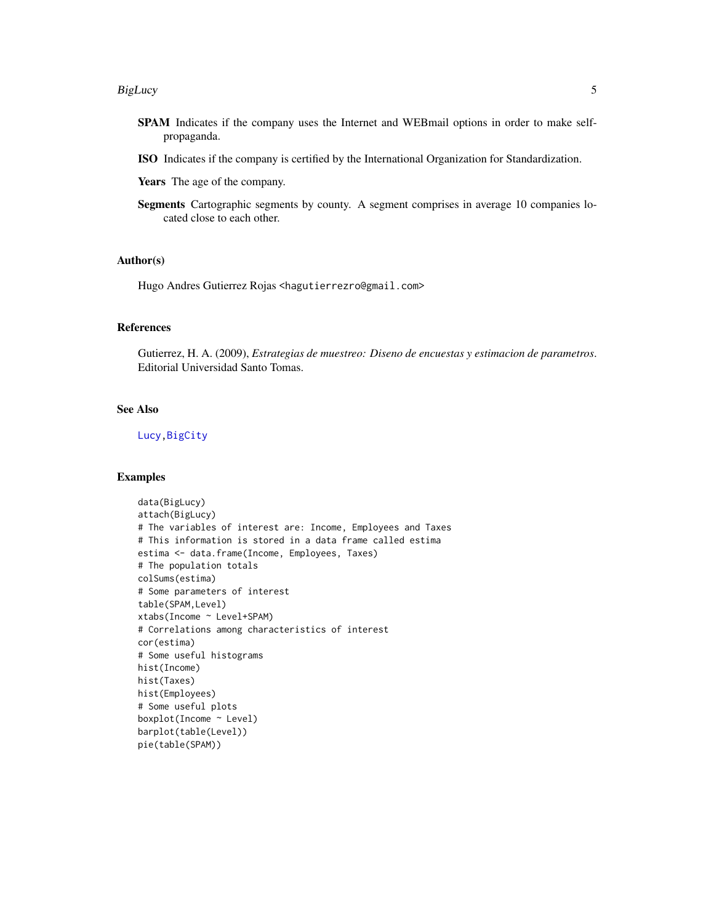#### BigLucy 55 and 55 and 55 and 55 and 55 and 55 and 55 and 55 and 55 and 55 and 55 and 55 and 55 and 55 and 55 and 55 and 55 and 55 and 55 and 55 and 55 and 55 and 55 and 55 and 55 and 55 and 55 and 55 and 55 and 55 and 55 a

- SPAM Indicates if the company uses the Internet and WEBmail options in order to make selfpropaganda.
- ISO Indicates if the company is certified by the International Organization for Standardization.

Years The age of the company.

Segments Cartographic segments by county. A segment comprises in average 10 companies located close to each other.

#### Author(s)

Hugo Andres Gutierrez Rojas <hagutierrezro@gmail.com>

## References

Gutierrez, H. A. (2009), *Estrategias de muestreo: Diseno de encuestas y estimacion de parametros*. Editorial Universidad Santo Tomas.

## See Also

[Lucy](#page-55-1)[,BigCity](#page-2-1)

```
data(BigLucy)
attach(BigLucy)
# The variables of interest are: Income, Employees and Taxes
# This information is stored in a data frame called estima
estima <- data.frame(Income, Employees, Taxes)
# The population totals
colSums(estima)
# Some parameters of interest
table(SPAM,Level)
xtabs(Income ~ Level+SPAM)
# Correlations among characteristics of interest
cor(estima)
# Some useful histograms
hist(Income)
hist(Taxes)
hist(Employees)
# Some useful plots
boxplot(Income ~ Level)
barplot(table(Level))
pie(table(SPAM))
```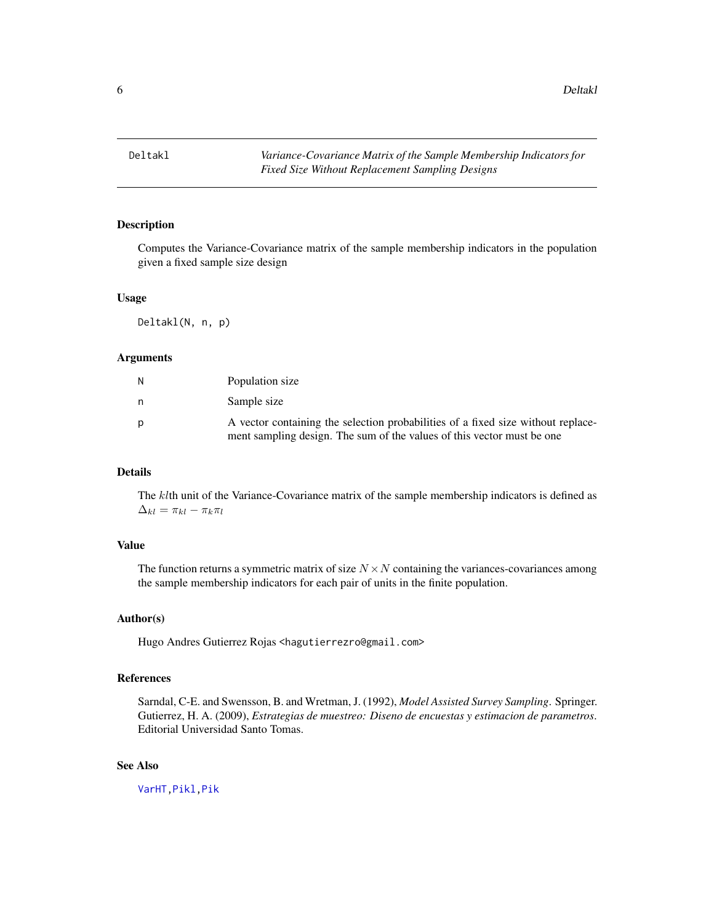<span id="page-5-0"></span>6 Deltakl

## Description

Computes the Variance-Covariance matrix of the sample membership indicators in the population given a fixed sample size design

#### Usage

Deltakl(N, n, p)

## Arguments

| N | Population size                                                                                                                                            |
|---|------------------------------------------------------------------------------------------------------------------------------------------------------------|
| n | Sample size                                                                                                                                                |
| D | A vector containing the selection probabilities of a fixed size without replace-<br>ment sampling design. The sum of the values of this vector must be one |

## Details

The klth unit of the Variance-Covariance matrix of the sample membership indicators is defined as  $\Delta_{kl} = \pi_{kl} - \pi_k \pi_l$ 

## Value

The function returns a symmetric matrix of size  $N \times N$  containing the variances-covariances among the sample membership indicators for each pair of units in the finite population.

#### Author(s)

Hugo Andres Gutierrez Rojas <hagutierrezro@gmail.com>

#### References

Sarndal, C-E. and Swensson, B. and Wretman, J. (1992), *Model Assisted Survey Sampling*. Springer. Gutierrez, H. A. (2009), *Estrategias de muestreo: Diseno de encuestas y estimacion de parametros*. Editorial Universidad Santo Tomas.

## See Also

[VarHT](#page-91-1)[,Pikl](#page-64-1)[,Pik](#page-60-1)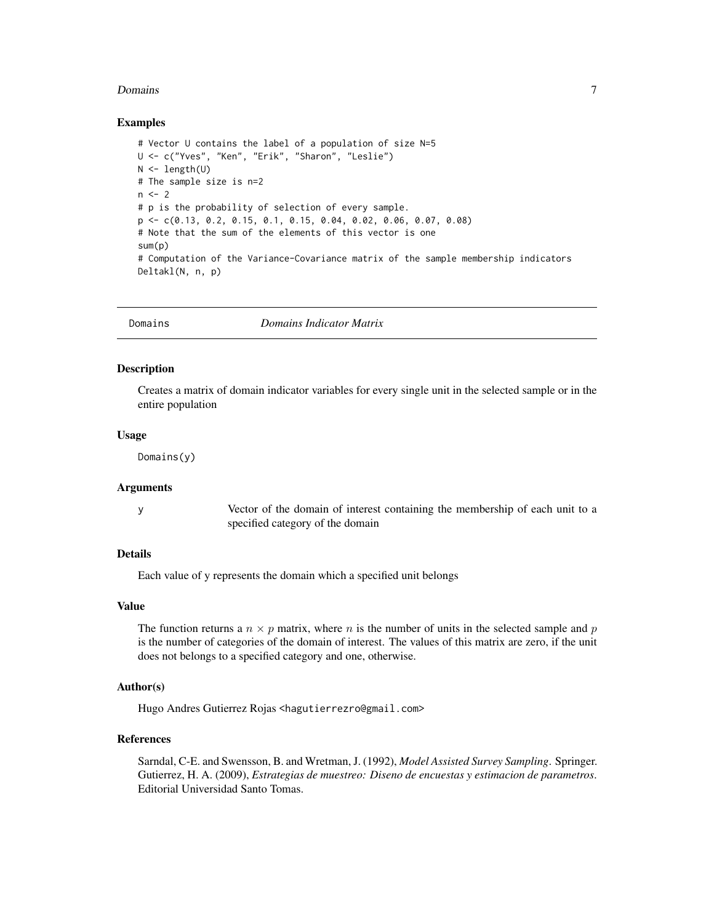#### <span id="page-6-0"></span>Domains 7

#### Examples

```
# Vector U contains the label of a population of size N=5
U <- c("Yves", "Ken", "Erik", "Sharon", "Leslie")
N \leftarrow length(U)
# The sample size is n=2
n < -2# p is the probability of selection of every sample.
p <- c(0.13, 0.2, 0.15, 0.1, 0.15, 0.04, 0.02, 0.06, 0.07, 0.08)
# Note that the sum of the elements of this vector is one
sum(p)
# Computation of the Variance-Covariance matrix of the sample membership indicators
Deltakl(N, n, p)
```
Domains *Domains Indicator Matrix*

#### **Description**

Creates a matrix of domain indicator variables for every single unit in the selected sample or in the entire population

#### Usage

Domains(y)

#### Arguments

y Vector of the domain of interest containing the membership of each unit to a specified category of the domain

#### Details

Each value of y represents the domain which a specified unit belongs

#### Value

The function returns a  $n \times p$  matrix, where n is the number of units in the selected sample and p is the number of categories of the domain of interest. The values of this matrix are zero, if the unit does not belongs to a specified category and one, otherwise.

## Author(s)

Hugo Andres Gutierrez Rojas <hagutierrezro@gmail.com>

#### References

Sarndal, C-E. and Swensson, B. and Wretman, J. (1992), *Model Assisted Survey Sampling*. Springer. Gutierrez, H. A. (2009), *Estrategias de muestreo: Diseno de encuestas y estimacion de parametros*. Editorial Universidad Santo Tomas.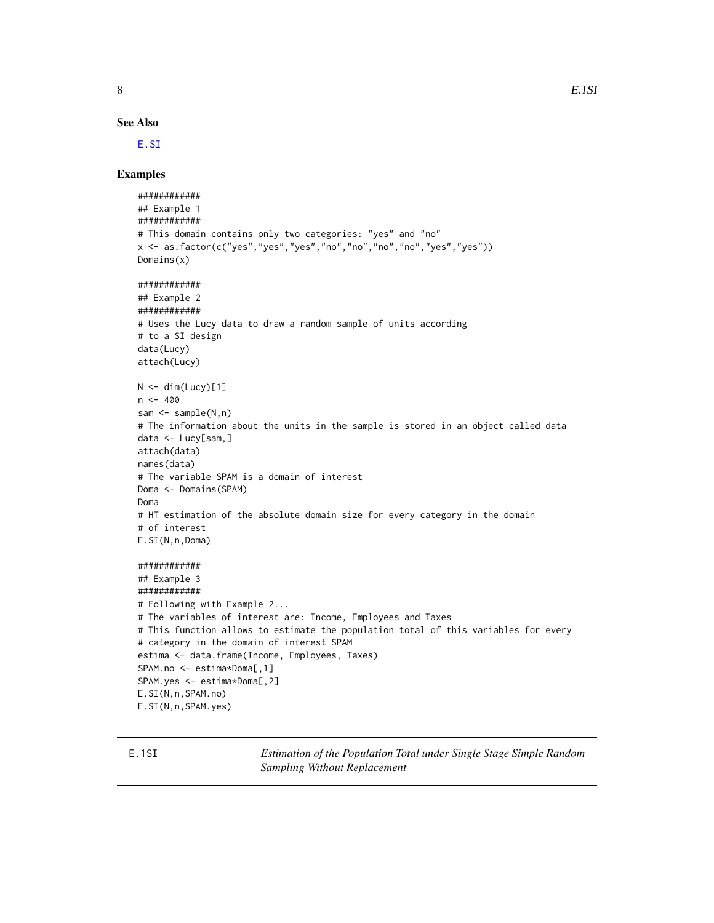See Also

[E.SI](#page-22-1)

#### Examples

```
############
## Example 1
############
# This domain contains only two categories: "yes" and "no"
x <- as.factor(c("yes","yes","yes","no","no","no","no","yes","yes"))
Domains(x)
############
## Example 2
############
# Uses the Lucy data to draw a random sample of units according
# to a SI design
data(Lucy)
attach(Lucy)
N < - dim(Lucy)[1]
n < -400sam <- sample(N,n)
# The information about the units in the sample is stored in an object called data
data <- Lucy[sam,]
attach(data)
names(data)
# The variable SPAM is a domain of interest
Doma <- Domains(SPAM)
Doma
# HT estimation of the absolute domain size for every category in the domain
# of interest
E.SI(N,n,Doma)
############
## Example 3
############
# Following with Example 2...
# The variables of interest are: Income, Employees and Taxes
# This function allows to estimate the population total of this variables for every
# category in the domain of interest SPAM
estima <- data.frame(Income, Employees, Taxes)
SPAM.no <- estima*Doma[,1]
SPAM.yes <- estima*Doma[,2]
E.SI(N,n,SPAM.no)
E.SI(N,n,SPAM.yes)
```
E.1SI *Estimation of the Population Total under Single Stage Simple Random Sampling Without Replacement*

<span id="page-7-0"></span>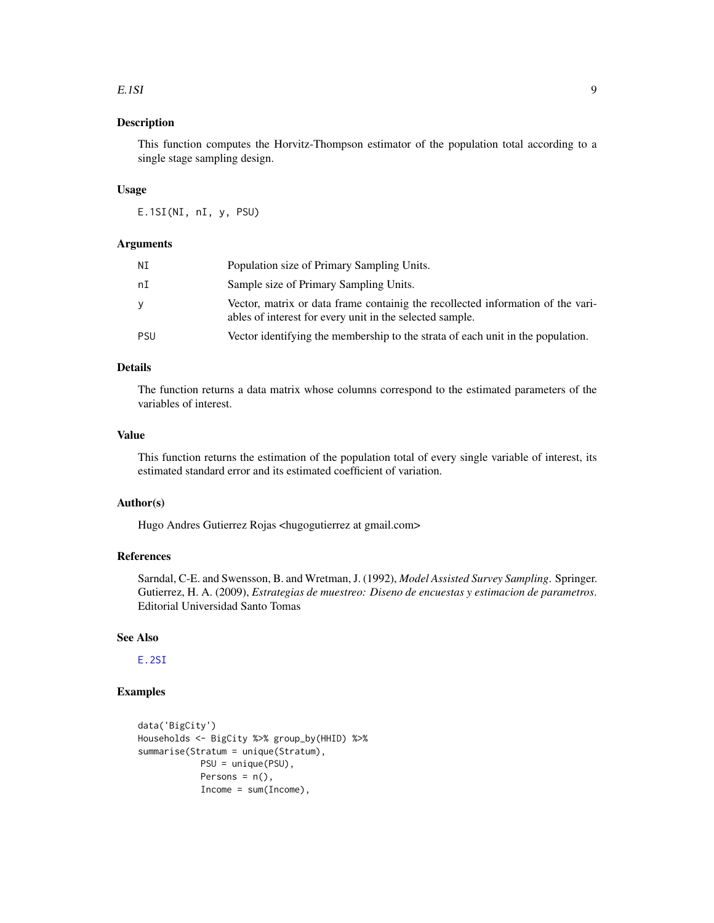#### $E.1$ SI 9

## Description

This function computes the Horvitz-Thompson estimator of the population total according to a single stage sampling design.

#### Usage

E.1SI(NI, nI, y, PSU)

## Arguments

| ΝI  | Population size of Primary Sampling Units.                                                                                                  |
|-----|---------------------------------------------------------------------------------------------------------------------------------------------|
| nI  | Sample size of Primary Sampling Units.                                                                                                      |
| ۷   | Vector, matrix or data frame containig the recollected information of the vari-<br>ables of interest for every unit in the selected sample. |
| PSU | Vector identifying the membership to the strata of each unit in the population.                                                             |

## Details

The function returns a data matrix whose columns correspond to the estimated parameters of the variables of interest.

## Value

This function returns the estimation of the population total of every single variable of interest, its estimated standard error and its estimated coefficient of variation.

#### Author(s)

Hugo Andres Gutierrez Rojas <hugogutierrez at gmail.com>

## References

Sarndal, C-E. and Swensson, B. and Wretman, J. (1992), *Model Assisted Survey Sampling*. Springer. Gutierrez, H. A. (2009), *Estrategias de muestreo: Diseno de encuestas y estimacion de parametros*. Editorial Universidad Santo Tomas

## See Also

[E.2SI](#page-9-1)

```
data('BigCity')
Households <- BigCity %>% group_by(HHID) %>%
summarise(Stratum = unique(Stratum),
           PSU = unique(PSU),
            Persons = n(),
            Income = sum(Income),
```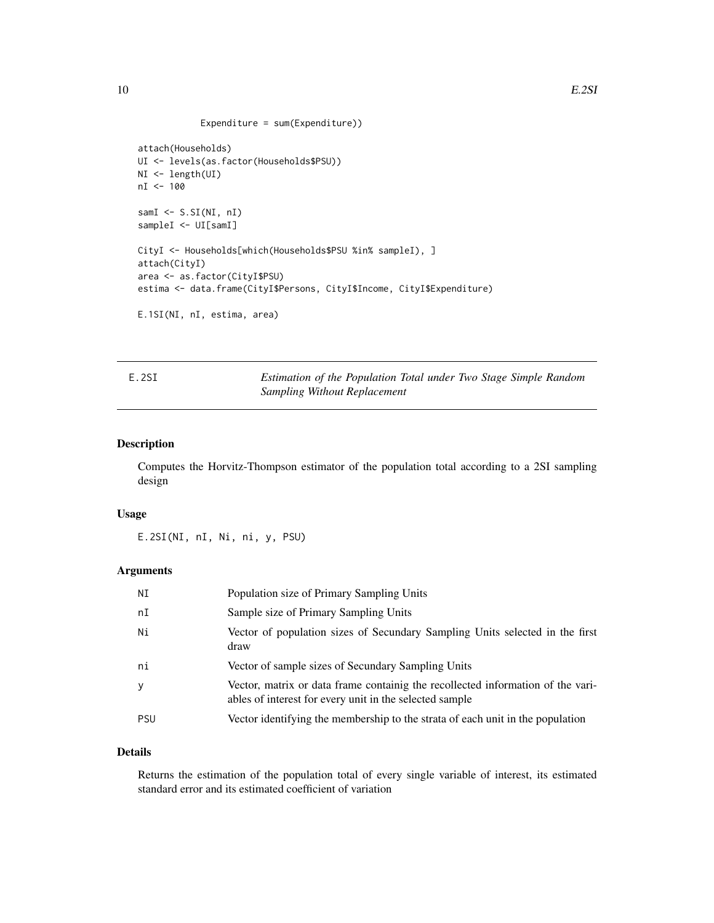```
Expenditure = sum(Expenditure))
```

```
attach(Households)
UI <- levels(as.factor(Households$PSU))
NI <- length(UI)
nI <- 100
samI <- S.SI(NI, nI)
sampleI <- UI[samI]
CityI <- Households[which(Households$PSU %in% sampleI), ]
attach(CityI)
area <- as.factor(CityI$PSU)
estima <- data.frame(CityI$Persons, CityI$Income, CityI$Expenditure)
E.1SI(NI, nI, estima, area)
```
<span id="page-9-1"></span>

E.2SI *Estimation of the Population Total under Two Stage Simple Random Sampling Without Replacement*

## Description

Computes the Horvitz-Thompson estimator of the population total according to a 2SI sampling design

#### Usage

E.2SI(NI, nI, Ni, ni, y, PSU)

## Arguments

| ΝI         | Population size of Primary Sampling Units                                                                                                  |
|------------|--------------------------------------------------------------------------------------------------------------------------------------------|
| nI         | Sample size of Primary Sampling Units                                                                                                      |
| Ni         | Vector of population sizes of Secundary Sampling Units selected in the first<br>draw                                                       |
| ni         | Vector of sample sizes of Secundary Sampling Units                                                                                         |
| y          | Vector, matrix or data frame containig the recollected information of the vari-<br>ables of interest for every unit in the selected sample |
| <b>PSU</b> | Vector identifying the membership to the strata of each unit in the population                                                             |

## Details

Returns the estimation of the population total of every single variable of interest, its estimated standard error and its estimated coefficient of variation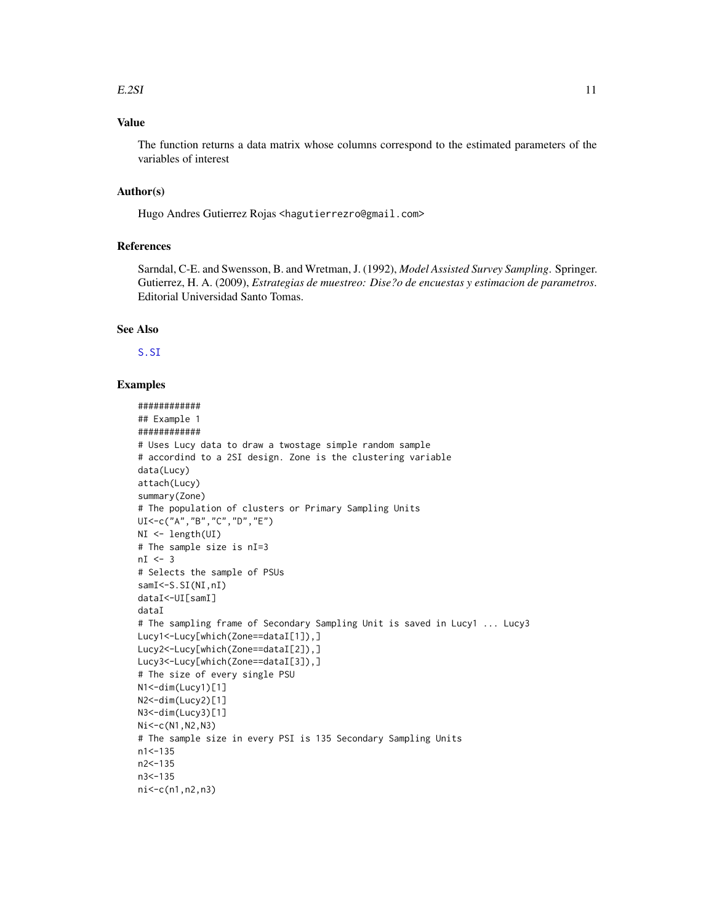#### $E.2SI$  11

## Value

The function returns a data matrix whose columns correspond to the estimated parameters of the variables of interest

## Author(s)

Hugo Andres Gutierrez Rojas <hagutierrezro@gmail.com>

#### References

Sarndal, C-E. and Swensson, B. and Wretman, J. (1992), *Model Assisted Survey Sampling*. Springer. Gutierrez, H. A. (2009), *Estrategias de muestreo: Dise?o de encuestas y estimacion de parametros*. Editorial Universidad Santo Tomas.

#### See Also

[S.SI](#page-75-1)

```
############
## Example 1
############
# Uses Lucy data to draw a twostage simple random sample
# accordind to a 2SI design. Zone is the clustering variable
data(Lucy)
attach(Lucy)
summary(Zone)
# The population of clusters or Primary Sampling Units
UI<-c("A","B","C","D","E")
NI <- length(UI)
# The sample size is nI=3
nI < -3# Selects the sample of PSUs
samI<sup><-S.SI(NI,nI)</sup>
dataI<-UI[samI]
dataI
# The sampling frame of Secondary Sampling Unit is saved in Lucy1 ... Lucy3
Lucy1<-Lucy[which(Zone==dataI[1]),]
Lucy2<-Lucy[which(Zone==dataI[2]),]
Lucy3<-Lucy[which(Zone==dataI[3]),]
# The size of every single PSU
N1<-dim(Lucy1)[1]
N2<-dim(Lucy2)[1]
N3<-dim(Lucy3)[1]
Ni<-c(N1,N2,N3)
# The sample size in every PSI is 135 Secondary Sampling Units
n1<-135
n2<-135
n3<-135
ni<-c(n1,n2,n3)
```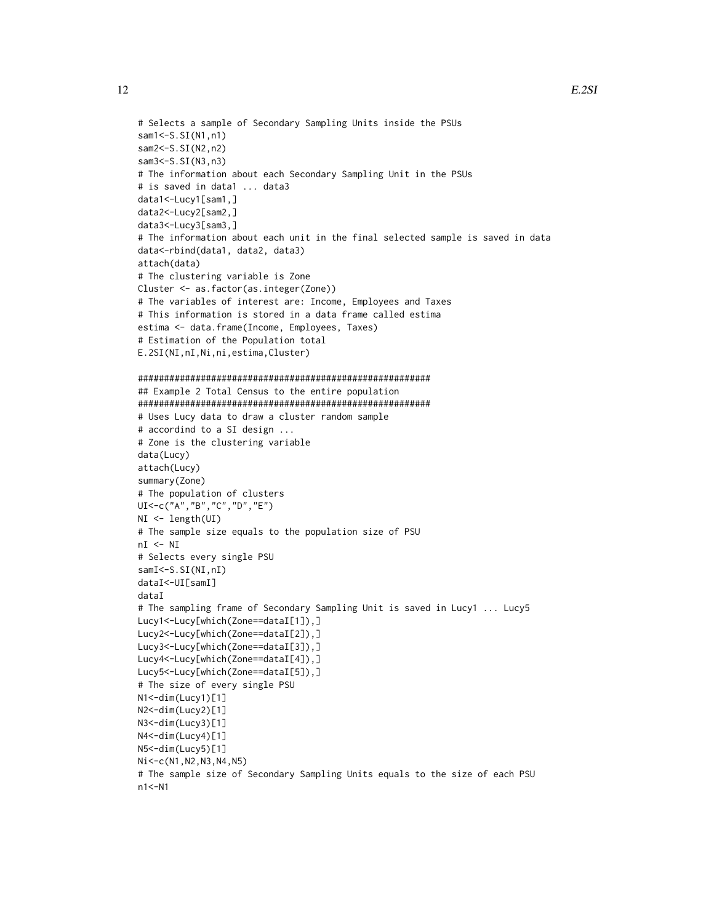```
# Selects a sample of Secondary Sampling Units inside the PSUs
sam1<-S.SI(N1,n1)
sam2<-S.SI(N2,n2)
sam3 < - S. SI(N3, n3)
attach(data)
```

```
# The information about each Secondary Sampling Unit in the PSUs
# is saved in data1 ... data3
data1<-Lucy1[sam1,]
data2<-Lucy2[sam2,]
data3<-Lucy3[sam3,]
# The information about each unit in the final selected sample is saved in data
data<-rbind(data1, data2, data3)
# The clustering variable is Zone
Cluster <- as.factor(as.integer(Zone))
# The variables of interest are: Income, Employees and Taxes
# This information is stored in a data frame called estima
estima <- data.frame(Income, Employees, Taxes)
# Estimation of the Population total
E.2SI(NI,nI,Ni,ni,estima,Cluster)
########################################################
## Example 2 Total Census to the entire population
########################################################
# Uses Lucy data to draw a cluster random sample
# accordind to a SI design ...
# Zone is the clustering variable
data(Lucy)
attach(Lucy)
summary(Zone)
# The population of clusters
UI<-c("A","B","C","D","E")
NI <- length(UI)
# The sample size equals to the population size of PSU
nI < - NI# Selects every single PSU
samI <- S.SI(NI, nI)
dataI<-UI[samI]
dataI
# The sampling frame of Secondary Sampling Unit is saved in Lucy1 ... Lucy5
Lucy1<-Lucy[which(Zone==dataI[1]),]
Lucy2<-Lucy[which(Zone==dataI[2]),]
Lucy3<-Lucy[which(Zone==dataI[3]),]
Lucy4<-Lucy[which(Zone==dataI[4]),]
Lucy5<-Lucy[which(Zone==dataI[5]),]
# The size of every single PSU
N1<-dim(Lucy1)[1]
N2<-dim(Lucy2)[1]
N3<-dim(Lucy3)[1]
N4<-dim(Lucy4)[1]
N5<-dim(Lucy5)[1]
Ni<-c(N1,N2,N3,N4,N5)
```
# The sample size of Secondary Sampling Units equals to the size of each PSU n1<-N1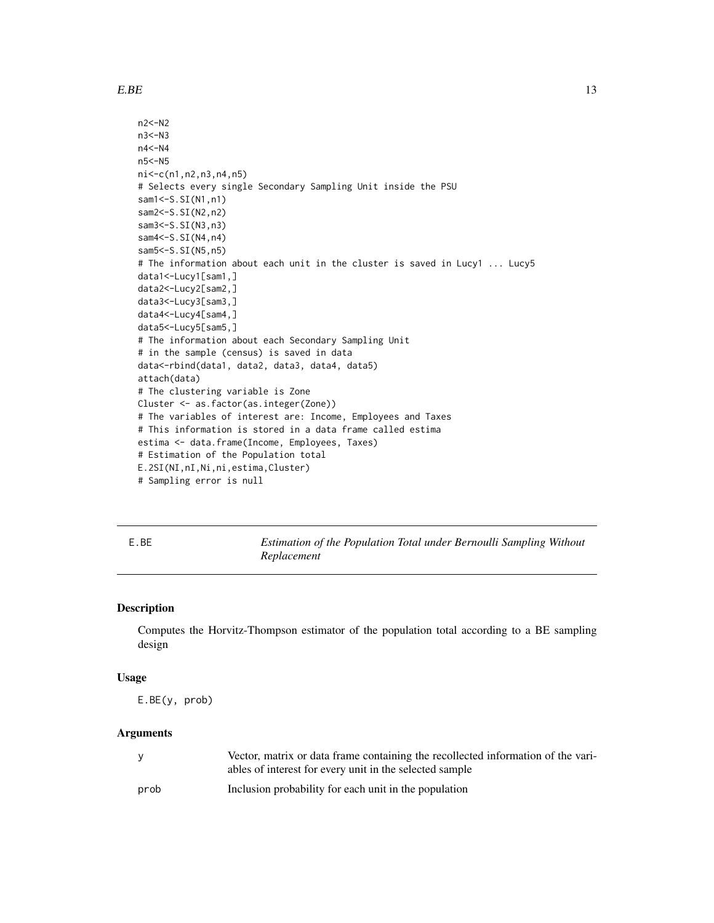#### <span id="page-12-0"></span> $E.BE$  13

```
n2<-N2
n3<-N3
n4<-N4
n5<-N5
ni<-c(n1,n2,n3,n4,n5)
# Selects every single Secondary Sampling Unit inside the PSU
sam1 < - S. SI(N1, n1)
sam2<-S.SI(N2,n2)
sam3<-S.SI(N3,n3)
sam4 < - S. SI(N4, n4)
sam5<-S.SI(N5,n5)
# The information about each unit in the cluster is saved in Lucy1 ... Lucy5
data1<-Lucy1[sam1,]
data2<-Lucy2[sam2,]
data3<-Lucy3[sam3,]
data4<-Lucy4[sam4,]
data5<-Lucy5[sam5,]
# The information about each Secondary Sampling Unit
# in the sample (census) is saved in data
data<-rbind(data1, data2, data3, data4, data5)
attach(data)
# The clustering variable is Zone
Cluster <- as.factor(as.integer(Zone))
# The variables of interest are: Income, Employees and Taxes
# This information is stored in a data frame called estima
estima <- data.frame(Income, Employees, Taxes)
# Estimation of the Population total
E.2SI(NI,nI,Ni,ni,estima,Cluster)
# Sampling error is null
```
E.BE *Estimation of the Population Total under Bernoulli Sampling Without Replacement*

## **Description**

Computes the Horvitz-Thompson estimator of the population total according to a BE sampling design

## Usage

```
E.BE(y, prob)
```
## Arguments

| <b>V</b> | Vector, matrix or data frame containing the recollected information of the vari-<br>ables of interest for every unit in the selected sample |
|----------|---------------------------------------------------------------------------------------------------------------------------------------------|
| prob     | Inclusion probability for each unit in the population                                                                                       |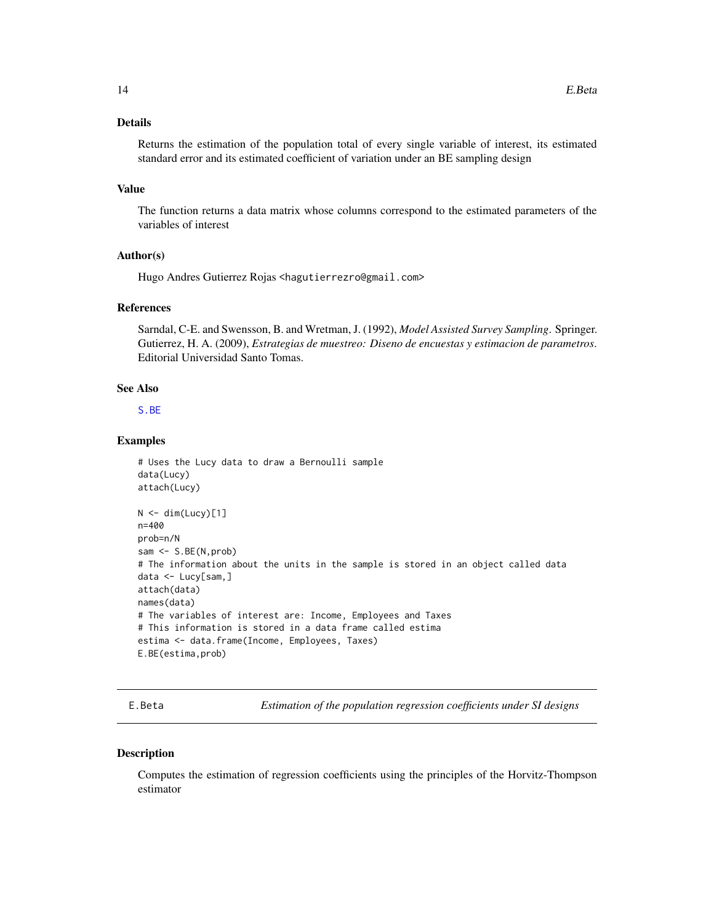## <span id="page-13-0"></span>Details

Returns the estimation of the population total of every single variable of interest, its estimated standard error and its estimated coefficient of variation under an BE sampling design

#### Value

The function returns a data matrix whose columns correspond to the estimated parameters of the variables of interest

## Author(s)

Hugo Andres Gutierrez Rojas <hagutierrezro@gmail.com>

## References

Sarndal, C-E. and Swensson, B. and Wretman, J. (1992), *Model Assisted Survey Sampling*. Springer. Gutierrez, H. A. (2009), *Estrategias de muestreo: Diseno de encuestas y estimacion de parametros*. Editorial Universidad Santo Tomas.

## See Also

[S.BE](#page-69-1)

## Examples

```
# Uses the Lucy data to draw a Bernoulli sample
data(Lucy)
attach(Lucy)
N < - dim(Lucy)[1]
n=400
prob=n/N
sam <- S.BE(N,prob)
# The information about the units in the sample is stored in an object called data
data <- Lucy[sam,]
attach(data)
names(data)
# The variables of interest are: Income, Employees and Taxes
# This information is stored in a data frame called estima
estima <- data.frame(Income, Employees, Taxes)
E.BE(estima,prob)
```
E.Beta *Estimation of the population regression coefficients under SI designs*

#### Description

Computes the estimation of regression coefficients using the principles of the Horvitz-Thompson estimator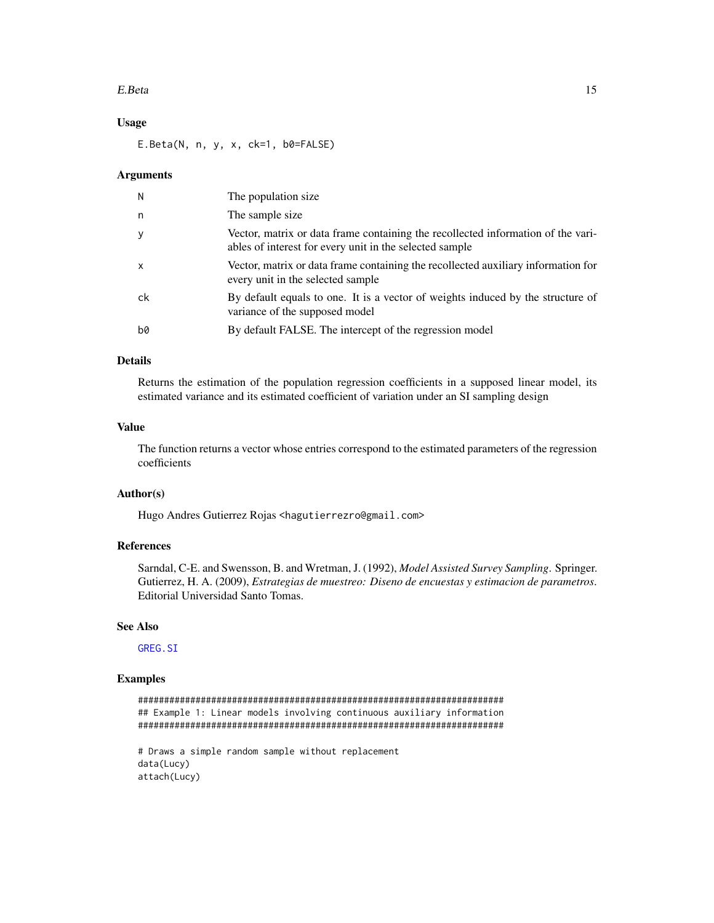#### E.Beta 15

## Usage

E.Beta(N, n, y, x, ck=1, b0=FALSE)

#### Arguments

| N            | The population size.                                                                                                                        |
|--------------|---------------------------------------------------------------------------------------------------------------------------------------------|
| n            | The sample size.                                                                                                                            |
| $\mathbf{y}$ | Vector, matrix or data frame containing the recollected information of the vari-<br>ables of interest for every unit in the selected sample |
| $\mathsf{x}$ | Vector, matrix or data frame containing the recollected auxiliary information for<br>every unit in the selected sample                      |
| ck           | By default equals to one. It is a vector of weights induced by the structure of<br>variance of the supposed model                           |
| b0           | By default FALSE. The intercept of the regression model                                                                                     |

## Details

Returns the estimation of the population regression coefficients in a supposed linear model, its estimated variance and its estimated coefficient of variation under an SI sampling design

#### Value

The function returns a vector whose entries correspond to the estimated parameters of the regression coefficients

## Author(s)

Hugo Andres Gutierrez Rojas <hagutierrezro@gmail.com>

## References

Sarndal, C-E. and Swensson, B. and Wretman, J. (1992), *Model Assisted Survey Sampling*. Springer. Gutierrez, H. A. (2009), *Estrategias de muestreo: Diseno de encuestas y estimacion de parametros*. Editorial Universidad Santo Tomas.

## See Also

[GREG.SI](#page-37-1)

```
######################################################################
## Example 1: Linear models involving continuous auxiliary information
######################################################################
# Draws a simple random sample without replacement
data(Lucy)
attach(Lucy)
```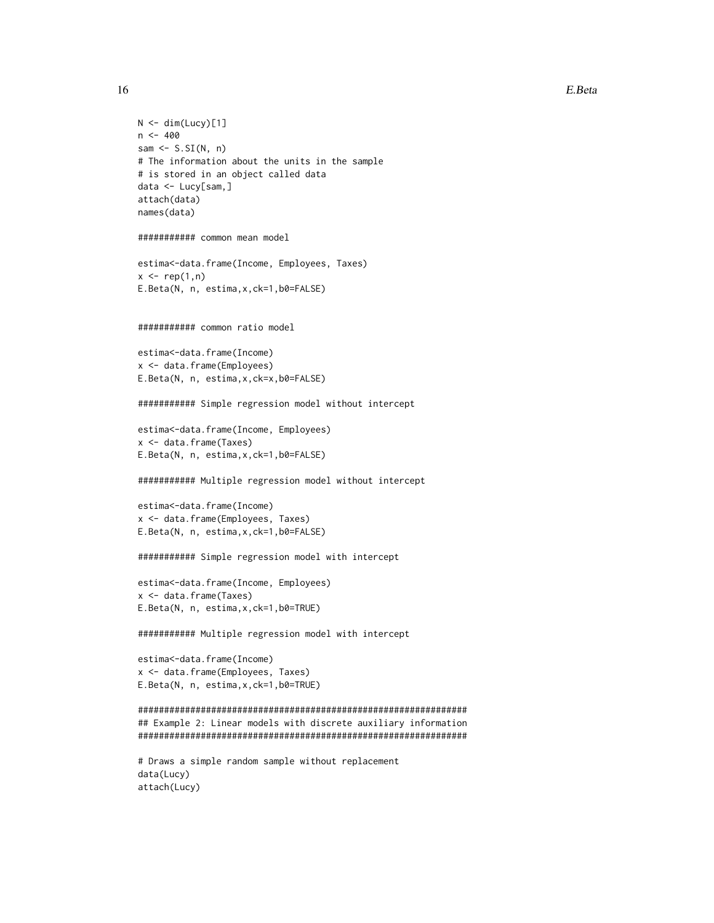```
N < - dim(Lucy)[1]
n < -400sam \leq S.SI(N, n)
# The information about the units in the sample
# is stored in an object called data
data <- Lucy[sam,]
attach(data)
names(data)
########### common mean model
estima<-data.frame(Income, Employees, Taxes)
x \leftarrow rep(1,n)E.Beta(N, n, estima,x,ck=1,b0=FALSE)
########### common ratio model
estima<-data.frame(Income)
x <- data.frame(Employees)
E.Beta(N, n, estima,x,ck=x,b0=FALSE)
########### Simple regression model without intercept
estima<-data.frame(Income, Employees)
x <- data.frame(Taxes)
E.Beta(N, n, estima,x,ck=1,b0=FALSE)
########### Multiple regression model without intercept
estima<-data.frame(Income)
x <- data.frame(Employees, Taxes)
E.Beta(N, n, estima,x,ck=1,b0=FALSE)
########### Simple regression model with intercept
estima<-data.frame(Income, Employees)
x <- data.frame(Taxes)
E.Beta(N, n, estima,x,ck=1,b0=TRUE)
########### Multiple regression model with intercept
estima<-data.frame(Income)
x <- data.frame(Employees, Taxes)
E.Beta(N, n, estima,x,ck=1,b0=TRUE)
###############################################################
## Example 2: Linear models with discrete auxiliary information
###############################################################
# Draws a simple random sample without replacement
data(Lucy)
attach(Lucy)
```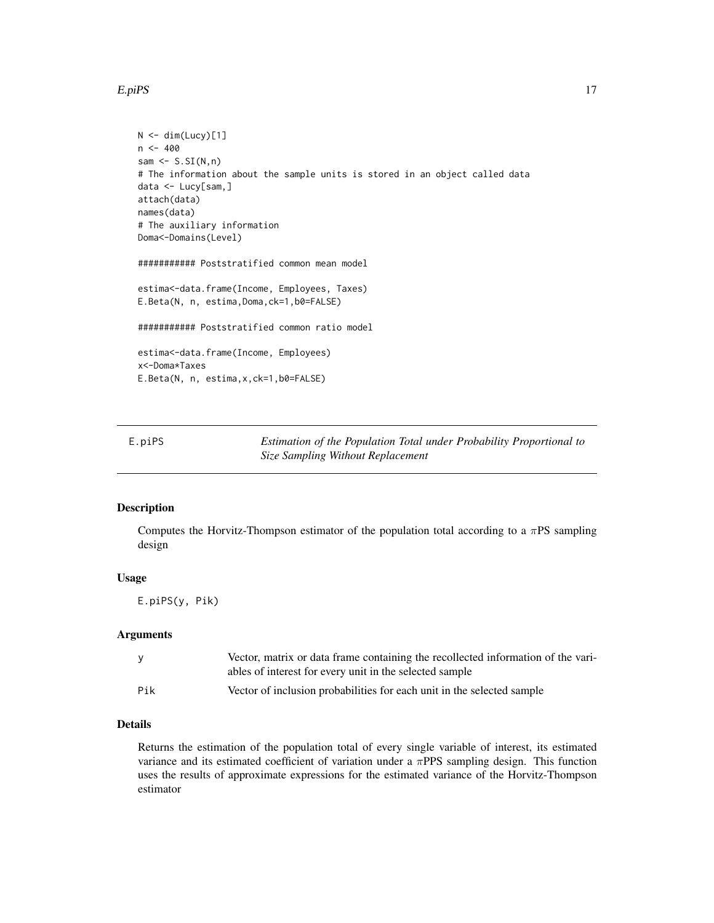#### <span id="page-16-0"></span>E.piPS 17

```
N < - dim(Lucy)[1]
n <- 400
sam \leq S.SI(N,n)# The information about the sample units is stored in an object called data
data <- Lucy[sam,]
attach(data)
names(data)
# The auxiliary information
Doma<-Domains(Level)
########### Poststratified common mean model
estima<-data.frame(Income, Employees, Taxes)
E.Beta(N, n, estima,Doma,ck=1,b0=FALSE)
########### Poststratified common ratio model
estima<-data.frame(Income, Employees)
x<-Doma*Taxes
E.Beta(N, n, estima,x,ck=1,b0=FALSE)
```

| E.piPS | Estimation of the Population Total under Probability Proportional to |
|--------|----------------------------------------------------------------------|
|        | Size Sampling Without Replacement                                    |

## Description

Computes the Horvitz-Thompson estimator of the population total according to a  $\pi PS$  sampling design

#### Usage

E.piPS(y, Pik)

## Arguments

| v   | Vector, matrix or data frame containing the recollected information of the vari-<br>ables of interest for every unit in the selected sample |
|-----|---------------------------------------------------------------------------------------------------------------------------------------------|
| Pik | Vector of inclusion probabilities for each unit in the selected sample                                                                      |

## Details

Returns the estimation of the population total of every single variable of interest, its estimated variance and its estimated coefficient of variation under a  $\pi$ PPS sampling design. This function uses the results of approximate expressions for the estimated variance of the Horvitz-Thompson estimator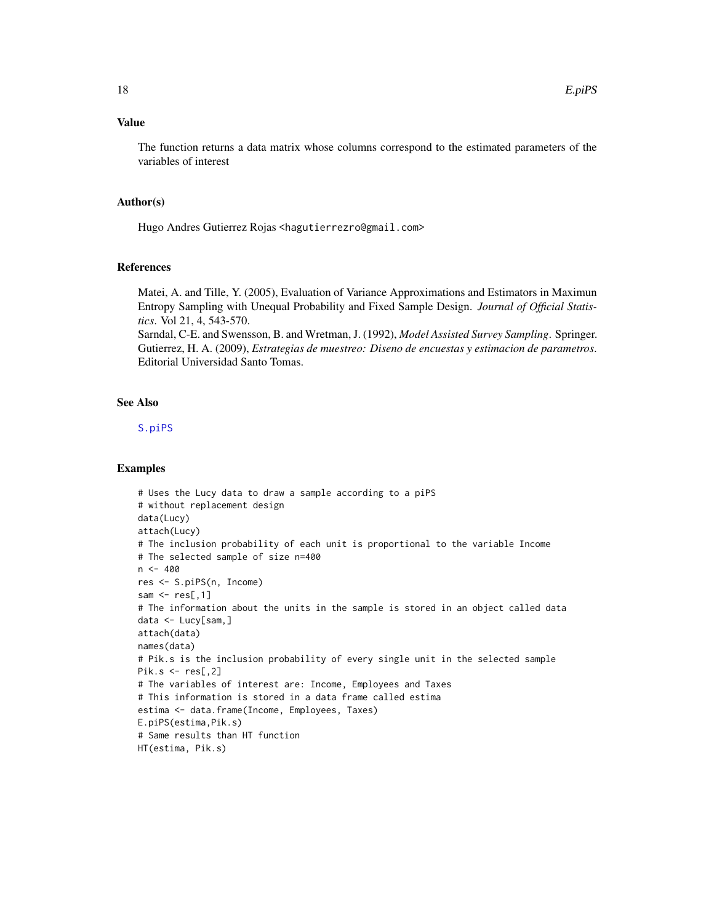## Value

The function returns a data matrix whose columns correspond to the estimated parameters of the variables of interest

#### Author(s)

Hugo Andres Gutierrez Rojas <hagutierrezro@gmail.com>

#### References

Matei, A. and Tille, Y. (2005), Evaluation of Variance Approximations and Estimators in Maximun Entropy Sampling with Unequal Probability and Fixed Sample Design. *Journal of Official Statistics*. Vol 21, 4, 543-570.

Sarndal, C-E. and Swensson, B. and Wretman, J. (1992), *Model Assisted Survey Sampling*. Springer. Gutierrez, H. A. (2009), *Estrategias de muestreo: Diseno de encuestas y estimacion de parametros*. Editorial Universidad Santo Tomas.

## See Also

[S.piPS](#page-71-1)

```
# Uses the Lucy data to draw a sample according to a piPS
# without replacement design
data(Lucy)
attach(Lucy)
# The inclusion probability of each unit is proportional to the variable Income
# The selected sample of size n=400
n < -400res <- S.piPS(n, Income)
sam \leq res[,1]
# The information about the units in the sample is stored in an object called data
data <- Lucy[sam,]
attach(data)
names(data)
# Pik.s is the inclusion probability of every single unit in the selected sample
Pik.s < -res[,2]
# The variables of interest are: Income, Employees and Taxes
# This information is stored in a data frame called estima
estima <- data.frame(Income, Employees, Taxes)
E.piPS(estima,Pik.s)
# Same results than HT function
HT(estima, Pik.s)
```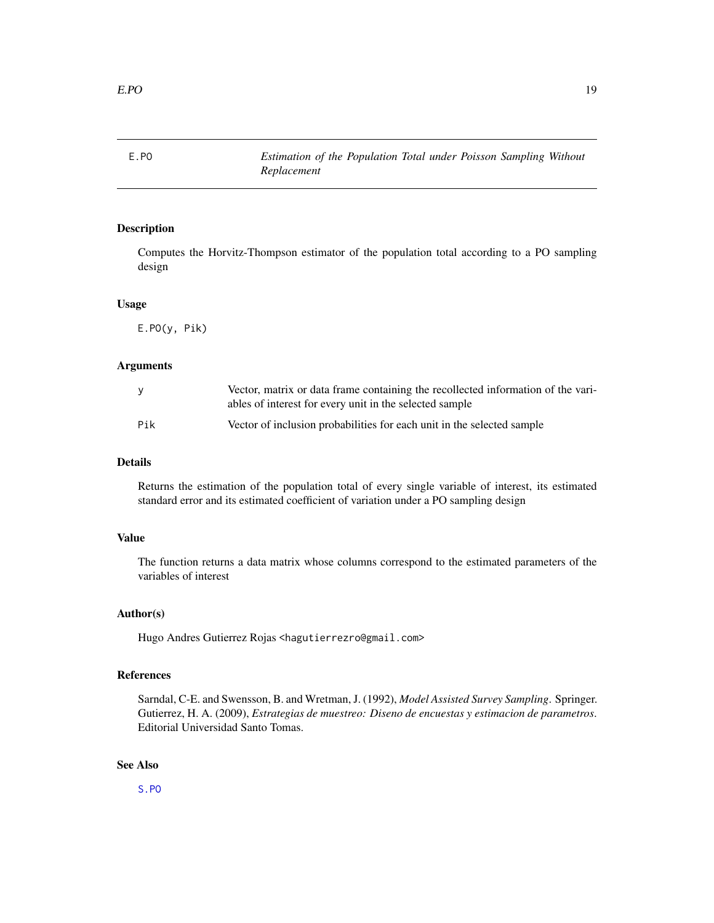<span id="page-18-0"></span>

## Description

Computes the Horvitz-Thompson estimator of the population total according to a PO sampling design

#### Usage

E.PO(y, Pik)

## Arguments

| <b>y</b> | Vector, matrix or data frame containing the recollected information of the vari-<br>ables of interest for every unit in the selected sample |
|----------|---------------------------------------------------------------------------------------------------------------------------------------------|
| Pik      | Vector of inclusion probabilities for each unit in the selected sample                                                                      |

## Details

Returns the estimation of the population total of every single variable of interest, its estimated standard error and its estimated coefficient of variation under a PO sampling design

## Value

The function returns a data matrix whose columns correspond to the estimated parameters of the variables of interest

#### Author(s)

Hugo Andres Gutierrez Rojas <hagutierrezro@gmail.com>

## References

Sarndal, C-E. and Swensson, B. and Wretman, J. (1992), *Model Assisted Survey Sampling*. Springer. Gutierrez, H. A. (2009), *Estrategias de muestreo: Diseno de encuestas y estimacion de parametros*. Editorial Universidad Santo Tomas.

#### See Also

[S.PO](#page-72-1)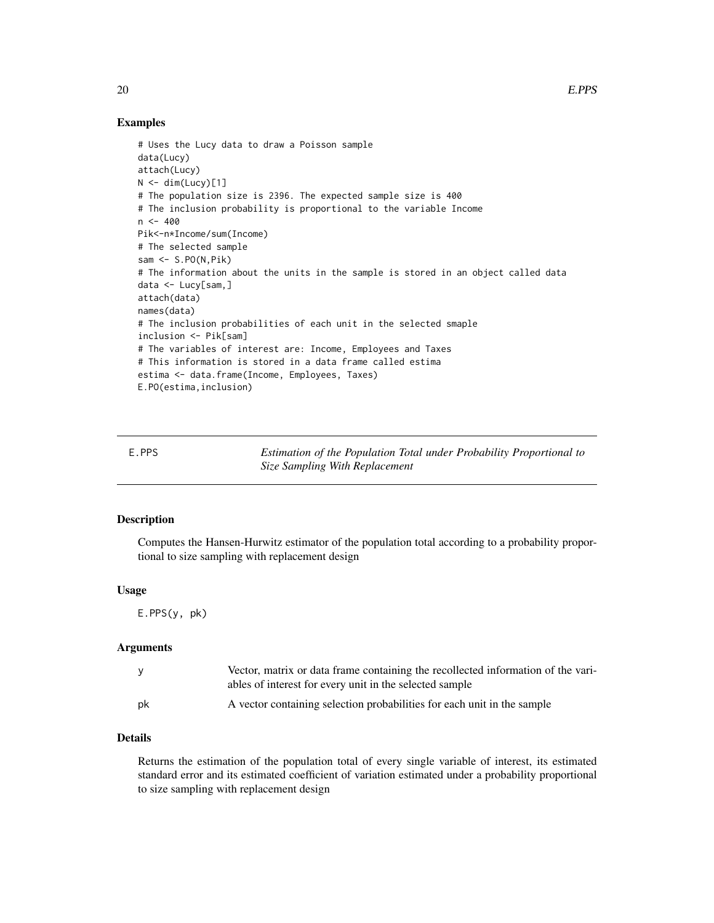## Examples

```
# Uses the Lucy data to draw a Poisson sample
data(Lucy)
attach(Lucy)
N < - dim(Lucy)[1]
# The population size is 2396. The expected sample size is 400
# The inclusion probability is proportional to the variable Income
n < -400Pik<-n*Income/sum(Income)
# The selected sample
sam \leq S.PO(N,Pik)
# The information about the units in the sample is stored in an object called data
data <- Lucy[sam,]
attach(data)
names(data)
# The inclusion probabilities of each unit in the selected smaple
inclusion <- Pik[sam]
# The variables of interest are: Income, Employees and Taxes
# This information is stored in a data frame called estima
estima <- data.frame(Income, Employees, Taxes)
E.PO(estima,inclusion)
```
E.PPS *Estimation of the Population Total under Probability Proportional to Size Sampling With Replacement*

## Description

Computes the Hansen-Hurwitz estimator of the population total according to a probability proportional to size sampling with replacement design

#### Usage

E.PPS(y, pk)

#### Arguments

|    | Vector, matrix or data frame containing the recollected information of the vari-<br>ables of interest for every unit in the selected sample |
|----|---------------------------------------------------------------------------------------------------------------------------------------------|
| pk | A vector containing selection probabilities for each unit in the sample                                                                     |

#### Details

Returns the estimation of the population total of every single variable of interest, its estimated standard error and its estimated coefficient of variation estimated under a probability proportional to size sampling with replacement design

<span id="page-19-0"></span>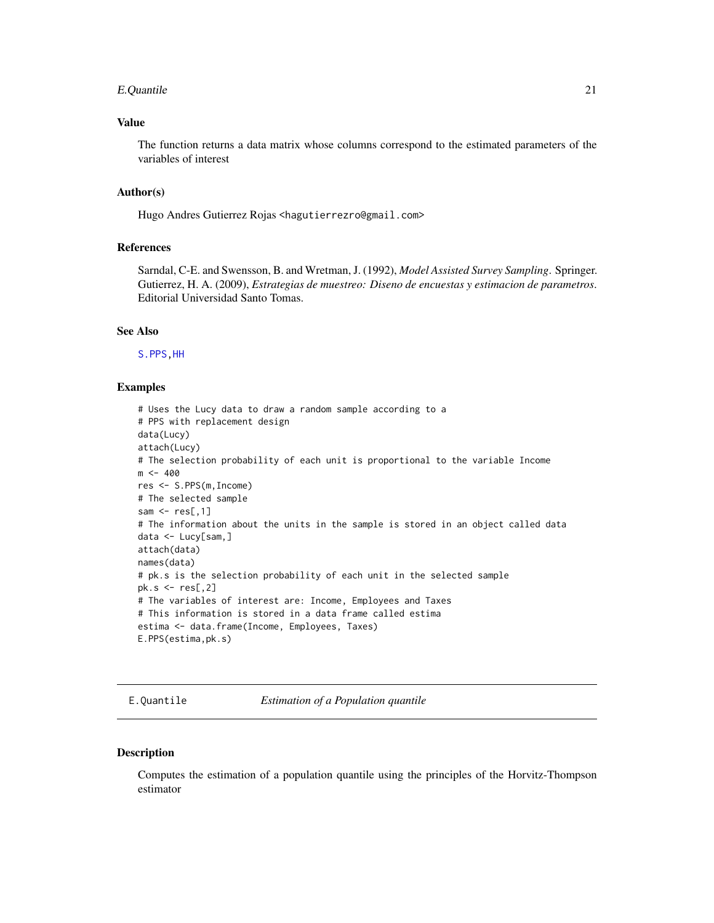#### <span id="page-20-0"></span>E.Quantile 21

## Value

The function returns a data matrix whose columns correspond to the estimated parameters of the variables of interest

## Author(s)

Hugo Andres Gutierrez Rojas <hagutierrezro@gmail.com>

#### References

Sarndal, C-E. and Swensson, B. and Wretman, J. (1992), *Model Assisted Survey Sampling*. Springer. Gutierrez, H. A. (2009), *Estrategias de muestreo: Diseno de encuestas y estimacion de parametros*. Editorial Universidad Santo Tomas.

#### See Also

[S.PPS](#page-74-1)[,HH](#page-41-1)

#### Examples

```
# Uses the Lucy data to draw a random sample according to a
# PPS with replacement design
data(Lucy)
attach(Lucy)
# The selection probability of each unit is proportional to the variable Income
m < -400res <- S.PPS(m,Income)
# The selected sample
sam \leq res[,1]
# The information about the units in the sample is stored in an object called data
data <- Lucy[sam,]
attach(data)
names(data)
# pk.s is the selection probability of each unit in the selected sample
pk.s < - res[.2]
# The variables of interest are: Income, Employees and Taxes
# This information is stored in a data frame called estima
estima <- data.frame(Income, Employees, Taxes)
E.PPS(estima,pk.s)
```
E.Quantile *Estimation of a Population quantile*

#### Description

Computes the estimation of a population quantile using the principles of the Horvitz-Thompson estimator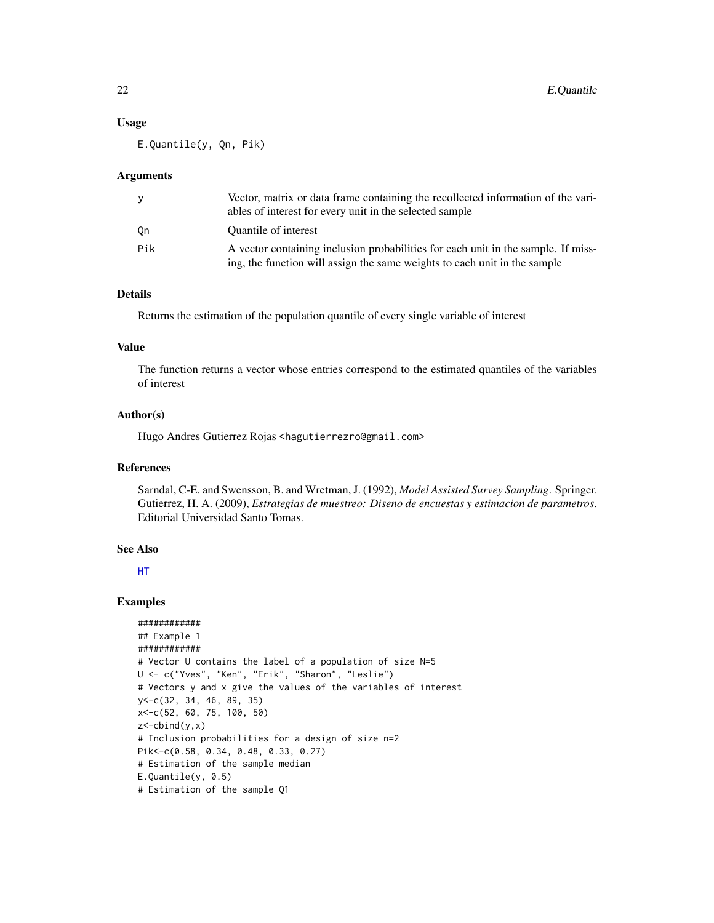#### Usage

E.Quantile(y, Qn, Pik)

#### **Arguments**

| y   | Vector, matrix or data frame containing the recollected information of the vari-<br>ables of interest for every unit in the selected sample                    |
|-----|----------------------------------------------------------------------------------------------------------------------------------------------------------------|
| 0n  | Quantile of interest                                                                                                                                           |
| Pik | A vector containing inclusion probabilities for each unit in the sample. If miss-<br>ing, the function will assign the same weights to each unit in the sample |

## Details

Returns the estimation of the population quantile of every single variable of interest

#### Value

The function returns a vector whose entries correspond to the estimated quantiles of the variables of interest

## Author(s)

Hugo Andres Gutierrez Rojas <hagutierrezro@gmail.com>

## References

Sarndal, C-E. and Swensson, B. and Wretman, J. (1992), *Model Assisted Survey Sampling*. Springer. Gutierrez, H. A. (2009), *Estrategias de muestreo: Diseno de encuestas y estimacion de parametros*. Editorial Universidad Santo Tomas.

## See Also

[HT](#page-44-1)

```
############
## Example 1
############
# Vector U contains the label of a population of size N=5
U <- c("Yves", "Ken", "Erik", "Sharon", "Leslie")
# Vectors y and x give the values of the variables of interest
y<-c(32, 34, 46, 89, 35)
x<-c(52, 60, 75, 100, 50)
z < -cbind(y, x)# Inclusion probabilities for a design of size n=2
Pik<-c(0.58, 0.34, 0.48, 0.33, 0.27)
# Estimation of the sample median
E.Quantile(y, 0.5)
# Estimation of the sample Q1
```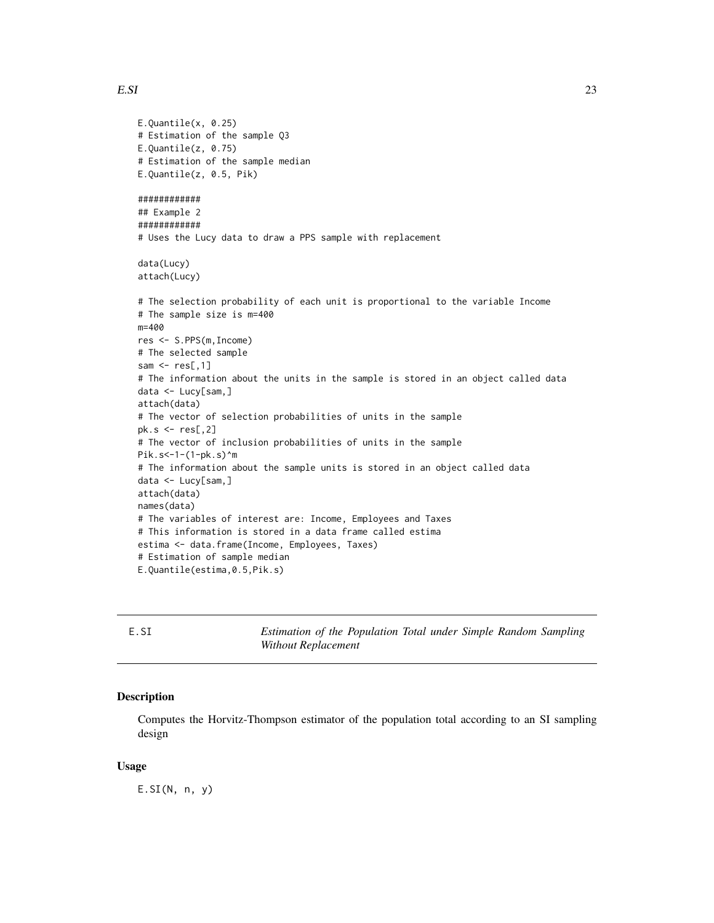```
E.Quantile(x, 0.25)
# Estimation of the sample Q3
E.Quantile(z, 0.75)
# Estimation of the sample median
E.Quantile(z, 0.5, Pik)
############
## Example 2
############
# Uses the Lucy data to draw a PPS sample with replacement
data(Lucy)
attach(Lucy)
# The selection probability of each unit is proportional to the variable Income
# The sample size is m=400
m=400
res <- S.PPS(m,Income)
# The selected sample
sam \leq res[,1]
# The information about the units in the sample is stored in an object called data
data <- Lucy[sam,]
attach(data)
# The vector of selection probabilities of units in the sample
pk.s < - res[, 2]# The vector of inclusion probabilities of units in the sample
Pik.s<-1-(1-pk.s)^m
# The information about the sample units is stored in an object called data
data <- Lucy[sam,]
attach(data)
names(data)
# The variables of interest are: Income, Employees and Taxes
# This information is stored in a data frame called estima
estima <- data.frame(Income, Employees, Taxes)
# Estimation of sample median
E.Quantile(estima,0.5,Pik.s)
```
<span id="page-22-1"></span>E.SI *Estimation of the Population Total under Simple Random Sampling Without Replacement*

#### Description

Computes the Horvitz-Thompson estimator of the population total according to an SI sampling design

#### Usage

 $E.SI(N, n, y)$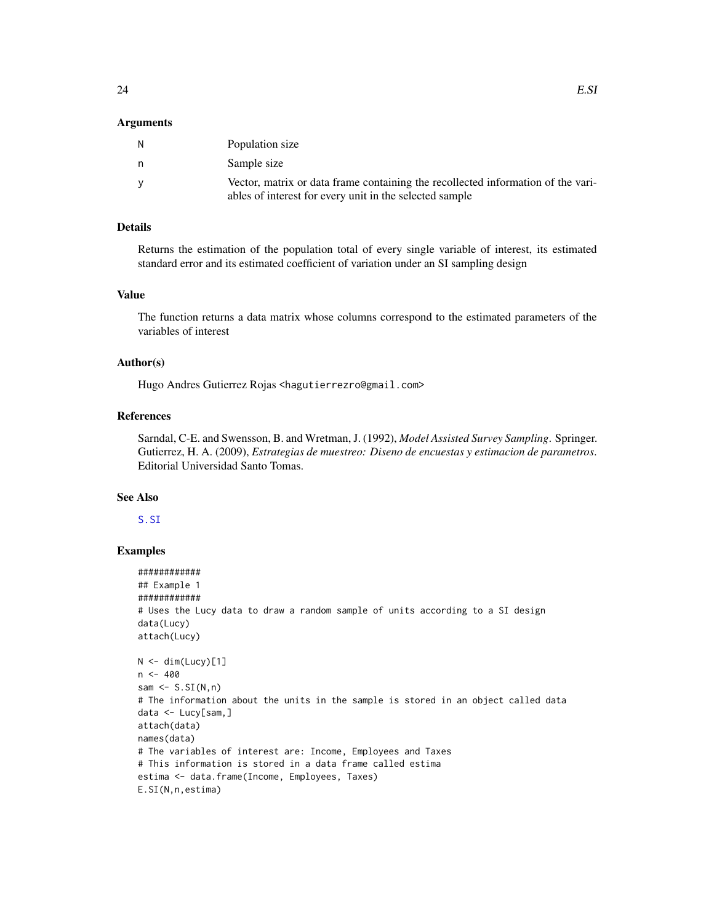#### Arguments

| N | Population size                                                                                                                             |
|---|---------------------------------------------------------------------------------------------------------------------------------------------|
| n | Sample size                                                                                                                                 |
| V | Vector, matrix or data frame containing the recollected information of the vari-<br>ables of interest for every unit in the selected sample |

## Details

Returns the estimation of the population total of every single variable of interest, its estimated standard error and its estimated coefficient of variation under an SI sampling design

#### Value

The function returns a data matrix whose columns correspond to the estimated parameters of the variables of interest

#### Author(s)

Hugo Andres Gutierrez Rojas <hagutierrezro@gmail.com>

## References

Sarndal, C-E. and Swensson, B. and Wretman, J. (1992), *Model Assisted Survey Sampling*. Springer. Gutierrez, H. A. (2009), *Estrategias de muestreo: Diseno de encuestas y estimacion de parametros*. Editorial Universidad Santo Tomas.

## See Also

[S.SI](#page-75-1)

```
############
## Example 1
############
# Uses the Lucy data to draw a random sample of units according to a SI design
data(Lucy)
attach(Lucy)
N < - dim(Lucy)[1]
n < -400sam \leq S.SI(N,n)
# The information about the units in the sample is stored in an object called data
data <- Lucy[sam,]
attach(data)
names(data)
# The variables of interest are: Income, Employees and Taxes
# This information is stored in a data frame called estima
estima <- data.frame(Income, Employees, Taxes)
E.SI(N,n,estima)
```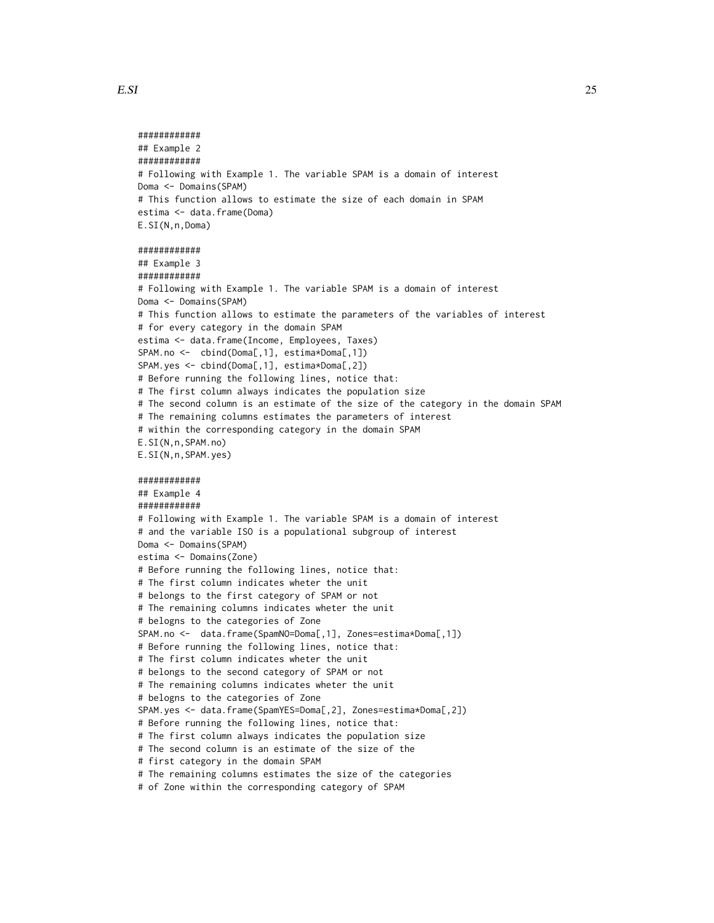```
############
## Example 2
############
# Following with Example 1. The variable SPAM is a domain of interest
Doma <- Domains(SPAM)
# This function allows to estimate the size of each domain in SPAM
estima <- data.frame(Doma)
E.SI(N,n,Doma)
############
## Example 3
############
# Following with Example 1. The variable SPAM is a domain of interest
Doma <- Domains(SPAM)
# This function allows to estimate the parameters of the variables of interest
# for every category in the domain SPAM
estima <- data.frame(Income, Employees, Taxes)
SPAM.no <- cbind(Doma[,1], estima*Doma[,1])
SPAM.yes <- cbind(Doma[,1], estima*Doma[,2])
# Before running the following lines, notice that:
# The first column always indicates the population size
# The second column is an estimate of the size of the category in the domain SPAM
# The remaining columns estimates the parameters of interest
# within the corresponding category in the domain SPAM
E.SI(N,n,SPAM.no)
E.SI(N,n,SPAM.yes)
############
## Example 4
############
# Following with Example 1. The variable SPAM is a domain of interest
# and the variable ISO is a populational subgroup of interest
Doma <- Domains(SPAM)
estima <- Domains(Zone)
# Before running the following lines, notice that:
# The first column indicates wheter the unit
# belongs to the first category of SPAM or not
# The remaining columns indicates wheter the unit
# belogns to the categories of Zone
SPAM.no <- data.frame(SpamNO=Doma[,1], Zones=estima*Doma[,1])
# Before running the following lines, notice that:
# The first column indicates wheter the unit
# belongs to the second category of SPAM or not
# The remaining columns indicates wheter the unit
# belogns to the categories of Zone
SPAM.yes <- data.frame(SpamYES=Doma[,2], Zones=estima*Doma[,2])
# Before running the following lines, notice that:
# The first column always indicates the population size
# The second column is an estimate of the size of the
# first category in the domain SPAM
# The remaining columns estimates the size of the categories
# of Zone within the corresponding category of SPAM
```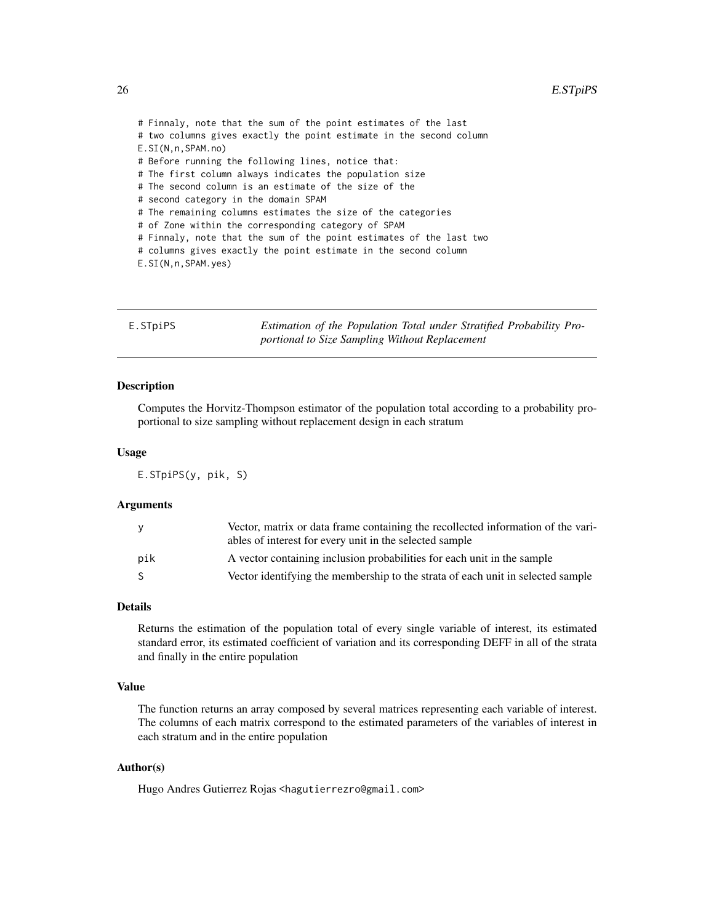<span id="page-25-0"></span># Finnaly, note that the sum of the point estimates of the last # two columns gives exactly the point estimate in the second column E.SI(N,n,SPAM.no) # Before running the following lines, notice that: # The first column always indicates the population size # The second column is an estimate of the size of the # second category in the domain SPAM # The remaining columns estimates the size of the categories # of Zone within the corresponding category of SPAM # Finnaly, note that the sum of the point estimates of the last two # columns gives exactly the point estimate in the second column E.SI(N,n,SPAM.yes)

E.STpiPS *Estimation of the Population Total under Stratified Probability Proportional to Size Sampling Without Replacement*

#### Description

Computes the Horvitz-Thompson estimator of the population total according to a probability proportional to size sampling without replacement design in each stratum

#### Usage

E.STpiPS(y, pik, S)

#### Arguments

| y   | Vector, matrix or data frame containing the recollected information of the vari-<br>ables of interest for every unit in the selected sample |
|-----|---------------------------------------------------------------------------------------------------------------------------------------------|
| pik | A vector containing inclusion probabilities for each unit in the sample                                                                     |
| S.  | Vector identifying the membership to the strata of each unit in selected sample                                                             |

#### Details

Returns the estimation of the population total of every single variable of interest, its estimated standard error, its estimated coefficient of variation and its corresponding DEFF in all of the strata and finally in the entire population

## Value

The function returns an array composed by several matrices representing each variable of interest. The columns of each matrix correspond to the estimated parameters of the variables of interest in each stratum and in the entire population

## Author(s)

Hugo Andres Gutierrez Rojas <hagutierrezro@gmail.com>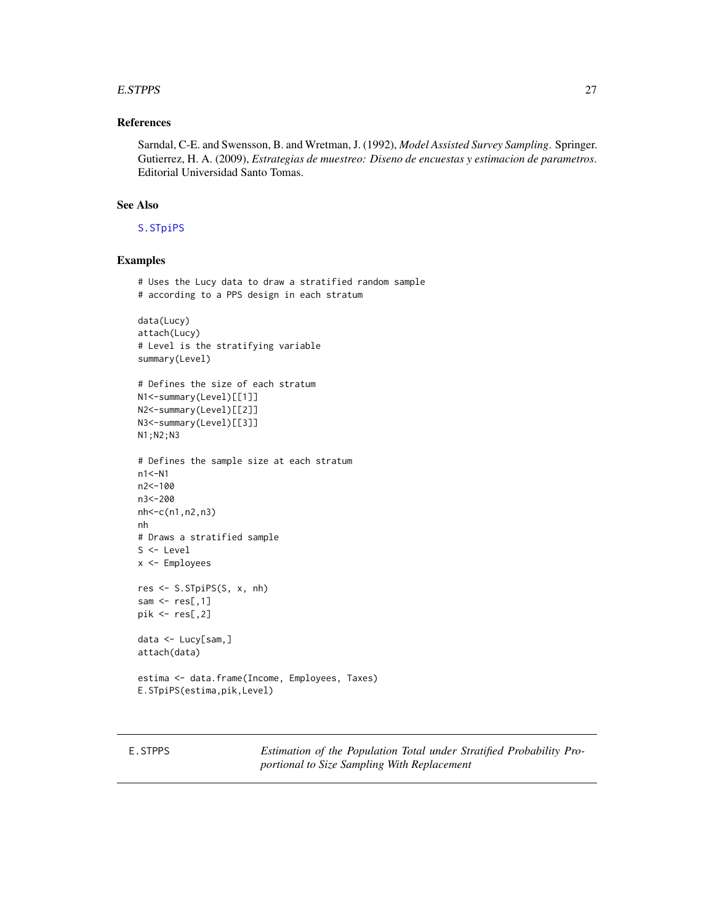#### <span id="page-26-0"></span>E.STPPS 27

## References

Sarndal, C-E. and Swensson, B. and Wretman, J. (1992), *Model Assisted Survey Sampling*. Springer. Gutierrez, H. A. (2009), *Estrategias de muestreo: Diseno de encuestas y estimacion de parametros*. Editorial Universidad Santo Tomas.

## See Also

[S.STpiPS](#page-77-1)

## Examples

```
# Uses the Lucy data to draw a stratified random sample
# according to a PPS design in each stratum
data(Lucy)
attach(Lucy)
# Level is the stratifying variable
summary(Level)
# Defines the size of each stratum
N1<-summary(Level)[[1]]
N2<-summary(Level)[[2]]
N3<-summary(Level)[[3]]
N1;N2;N3
# Defines the sample size at each stratum
n1<-N1
n2<-100
n3<-200
nh<-c(n1,n2,n3)
nh
# Draws a stratified sample
S <- Level
x <- Employees
res <- S.STpiPS(S, x, nh)
sam \leq res[,1]
pik <- res[,2]
data <- Lucy[sam,]
attach(data)
estima <- data.frame(Income, Employees, Taxes)
E.STpiPS(estima,pik,Level)
```
E.STPPS *Estimation of the Population Total under Stratified Probability Proportional to Size Sampling With Replacement*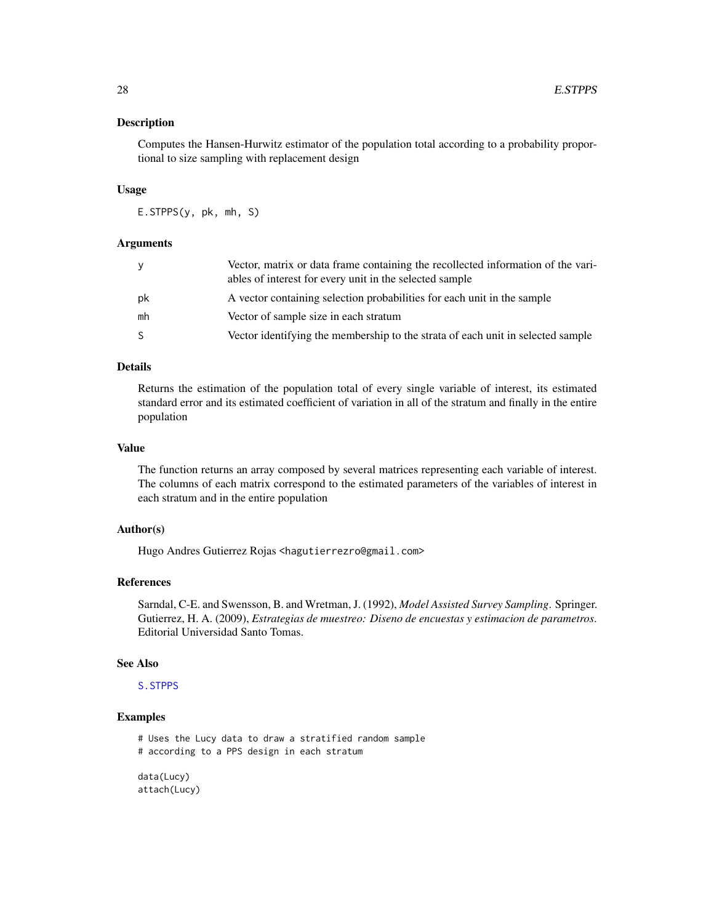#### Description

Computes the Hansen-Hurwitz estimator of the population total according to a probability proportional to size sampling with replacement design

## Usage

E.STPPS(y, pk, mh, S)

## Arguments

| ۷  | Vector, matrix or data frame containing the recollected information of the vari-<br>ables of interest for every unit in the selected sample |
|----|---------------------------------------------------------------------------------------------------------------------------------------------|
| pk | A vector containing selection probabilities for each unit in the sample                                                                     |
| mh | Vector of sample size in each stratum                                                                                                       |
| S. | Vector identifying the membership to the strata of each unit in selected sample                                                             |

## Details

Returns the estimation of the population total of every single variable of interest, its estimated standard error and its estimated coefficient of variation in all of the stratum and finally in the entire population

## Value

The function returns an array composed by several matrices representing each variable of interest. The columns of each matrix correspond to the estimated parameters of the variables of interest in each stratum and in the entire population

#### Author(s)

Hugo Andres Gutierrez Rojas <hagutierrezro@gmail.com>

## References

Sarndal, C-E. and Swensson, B. and Wretman, J. (1992), *Model Assisted Survey Sampling*. Springer. Gutierrez, H. A. (2009), *Estrategias de muestreo: Diseno de encuestas y estimacion de parametros*. Editorial Universidad Santo Tomas.

#### See Also

[S.STPPS](#page-79-1)

## Examples

# Uses the Lucy data to draw a stratified random sample

# according to a PPS design in each stratum

data(Lucy) attach(Lucy)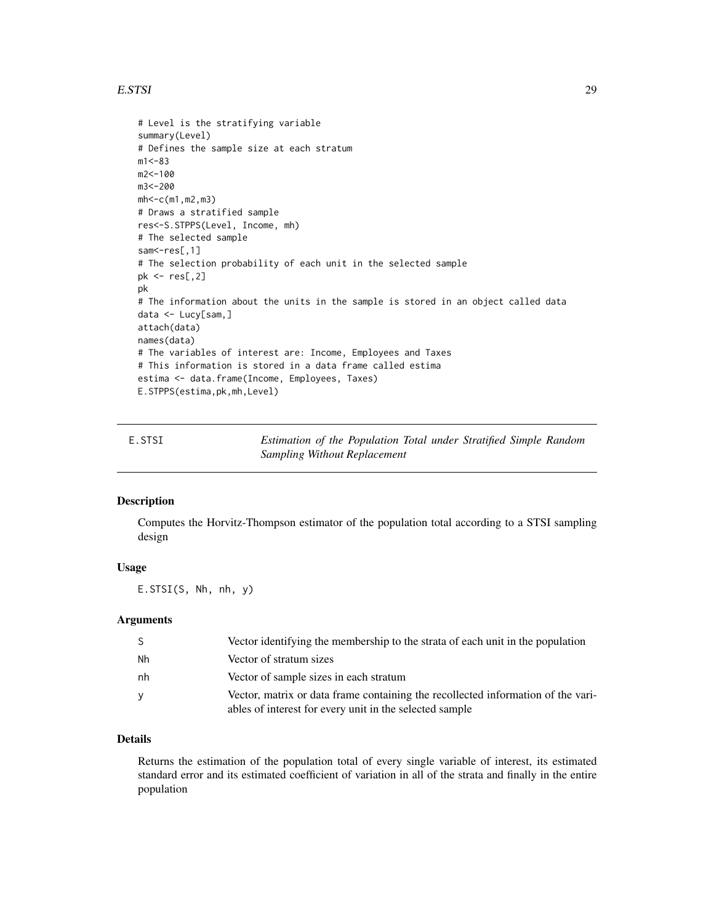#### <span id="page-28-0"></span>E.STSI 29

```
# Level is the stratifying variable
summary(Level)
# Defines the sample size at each stratum
m1 < -83m2<-100
m3<-200
mh<-c(m1,m2,m3)
# Draws a stratified sample
res<-S.STPPS(Level, Income, mh)
# The selected sample
sam<-res[,1]
# The selection probability of each unit in the selected sample
pk <- res[,2]
pk
# The information about the units in the sample is stored in an object called data
data <- Lucy[sam,]
attach(data)
names(data)
# The variables of interest are: Income, Employees and Taxes
# This information is stored in a data frame called estima
estima <- data.frame(Income, Employees, Taxes)
E.STPPS(estima,pk,mh,Level)
```
E.STSI *Estimation of the Population Total under Stratified Simple Random Sampling Without Replacement*

#### Description

Computes the Horvitz-Thompson estimator of the population total according to a STSI sampling design

## Usage

E.STSI(S, Nh, nh, y)

#### Arguments

|    | Vector identifying the membership to the strata of each unit in the population                                                              |
|----|---------------------------------------------------------------------------------------------------------------------------------------------|
| Nh | Vector of stratum sizes                                                                                                                     |
| nh | Vector of sample sizes in each stratum                                                                                                      |
| V  | Vector, matrix or data frame containing the recollected information of the vari-<br>ables of interest for every unit in the selected sample |

## Details

Returns the estimation of the population total of every single variable of interest, its estimated standard error and its estimated coefficient of variation in all of the strata and finally in the entire population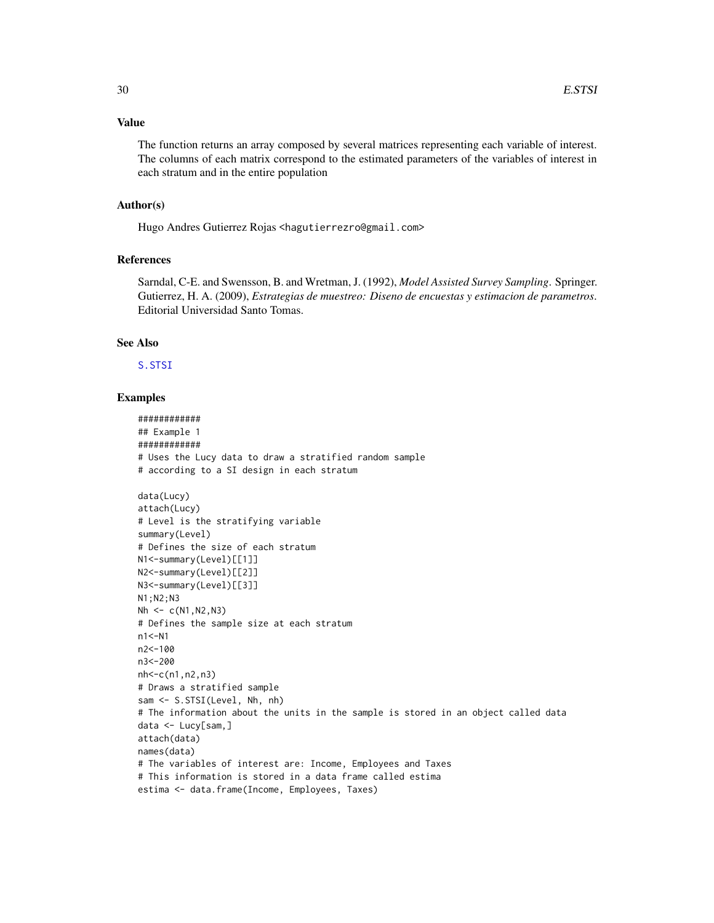## Value

The function returns an array composed by several matrices representing each variable of interest. The columns of each matrix correspond to the estimated parameters of the variables of interest in each stratum and in the entire population

#### Author(s)

Hugo Andres Gutierrez Rojas <hagutierrezro@gmail.com>

## References

Sarndal, C-E. and Swensson, B. and Wretman, J. (1992), *Model Assisted Survey Sampling*. Springer. Gutierrez, H. A. (2009), *Estrategias de muestreo: Diseno de encuestas y estimacion de parametros*. Editorial Universidad Santo Tomas.

## See Also

[S.STSI](#page-80-1)

```
############
## Example 1
############
# Uses the Lucy data to draw a stratified random sample
# according to a SI design in each stratum
data(Lucy)
attach(Lucy)
# Level is the stratifying variable
summary(Level)
# Defines the size of each stratum
N1<-summary(Level)[[1]]
N2<-summary(Level)[[2]]
N3<-summary(Level)[[3]]
N1;N2;N3
Nh \leq -c(N1,N2,N3)# Defines the sample size at each stratum
n1<-N1
n2<-100
n3<-200
nh<-c(n1,n2,n3)
# Draws a stratified sample
sam <- S.STSI(Level, Nh, nh)
# The information about the units in the sample is stored in an object called data
data <- Lucy[sam,]
attach(data)
names(data)
# The variables of interest are: Income, Employees and Taxes
# This information is stored in a data frame called estima
estima <- data.frame(Income, Employees, Taxes)
```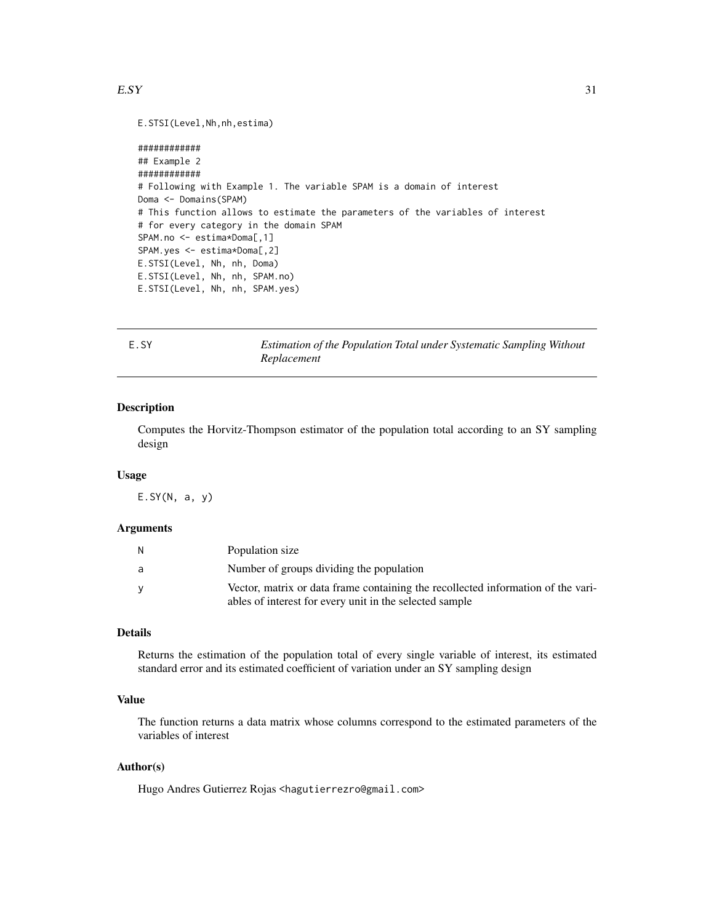#### <span id="page-30-0"></span> $E.SY$  31

```
E.STSI(Level,Nh,nh,estima)
```

```
############
## Example 2
############
# Following with Example 1. The variable SPAM is a domain of interest
Doma <- Domains(SPAM)
# This function allows to estimate the parameters of the variables of interest
# for every category in the domain SPAM
SPAM.no <- estima*Doma[,1]
SPAM.yes <- estima*Doma[,2]
E.STSI(Level, Nh, nh, Doma)
E.STSI(Level, Nh, nh, SPAM.no)
E.STSI(Level, Nh, nh, SPAM.yes)
```
E.SY *Estimation of the Population Total under Systematic Sampling Without Replacement*

## Description

Computes the Horvitz-Thompson estimator of the population total according to an SY sampling design

## Usage

 $E.SY(N, a, y)$ 

#### Arguments

| N. | Population size                                                                                                                             |
|----|---------------------------------------------------------------------------------------------------------------------------------------------|
| a  | Number of groups dividing the population                                                                                                    |
|    | Vector, matrix or data frame containing the recollected information of the vari-<br>ables of interest for every unit in the selected sample |
|    |                                                                                                                                             |

## Details

Returns the estimation of the population total of every single variable of interest, its estimated standard error and its estimated coefficient of variation under an SY sampling design

## Value

The function returns a data matrix whose columns correspond to the estimated parameters of the variables of interest

## Author(s)

Hugo Andres Gutierrez Rojas <hagutierrezro@gmail.com>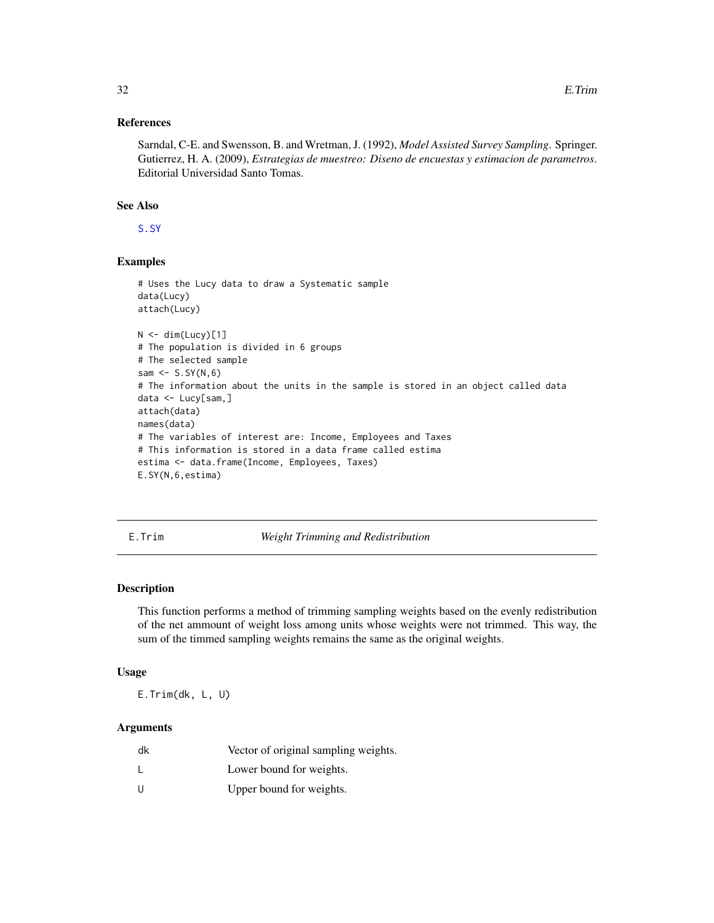#### <span id="page-31-0"></span>References

Sarndal, C-E. and Swensson, B. and Wretman, J. (1992), *Model Assisted Survey Sampling*. Springer. Gutierrez, H. A. (2009), *Estrategias de muestreo: Diseno de encuestas y estimacion de parametros*. Editorial Universidad Santo Tomas.

## See Also

[S.SY](#page-82-1)

## Examples

```
# Uses the Lucy data to draw a Systematic sample
data(Lucy)
attach(Lucy)
N < - dim(Lucy)[1]
# The population is divided in 6 groups
# The selected sample
sam \leq S.SY(N,6)
# The information about the units in the sample is stored in an object called data
data <- Lucy[sam,]
attach(data)
names(data)
# The variables of interest are: Income, Employees and Taxes
# This information is stored in a data frame called estima
estima <- data.frame(Income, Employees, Taxes)
E.SY(N,6,estima)
```
E.Trim *Weight Trimming and Redistribution*

## Description

This function performs a method of trimming sampling weights based on the evenly redistribution of the net ammount of weight loss among units whose weights were not trimmed. This way, the sum of the timmed sampling weights remains the same as the original weights.

## Usage

E.Trim(dk, L, U)

#### Arguments

| dk | Vector of original sampling weights. |
|----|--------------------------------------|
|    | Lower bound for weights.             |
| U  | Upper bound for weights.             |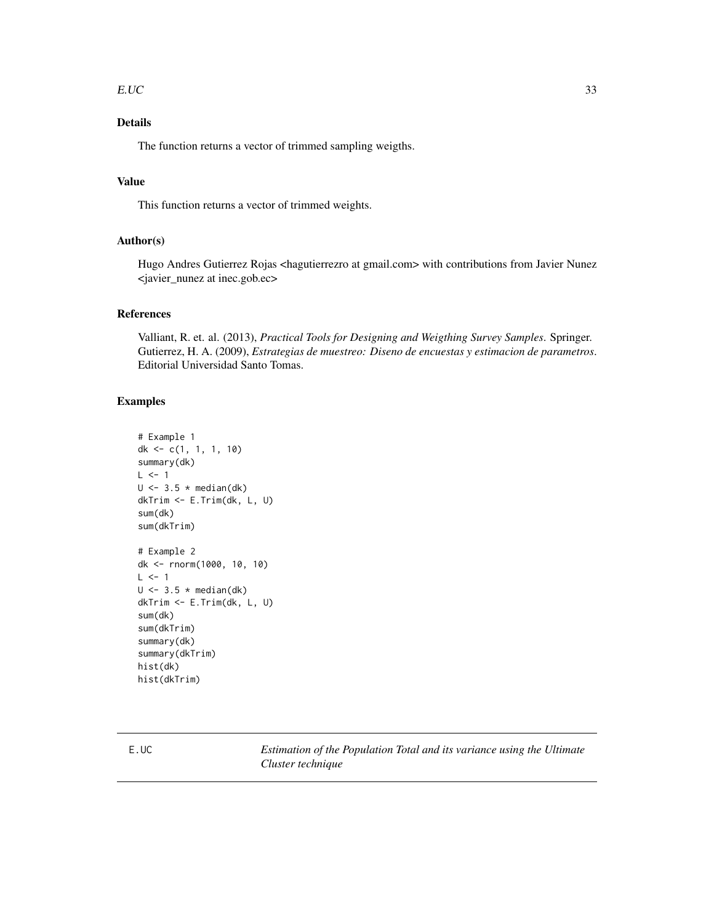#### <span id="page-32-0"></span> $E.UC$  33

## Details

The function returns a vector of trimmed sampling weigths.

## Value

This function returns a vector of trimmed weights.

## Author(s)

Hugo Andres Gutierrez Rojas <hagutierrezro at gmail.com> with contributions from Javier Nunez <javier\_nunez at inec.gob.ec>

## References

Valliant, R. et. al. (2013), *Practical Tools for Designing and Weigthing Survey Samples*. Springer. Gutierrez, H. A. (2009), *Estrategias de muestreo: Diseno de encuestas y estimacion de parametros*. Editorial Universidad Santo Tomas.

## Examples

```
# Example 1
dk <- c(1, 1, 1, 10)
summary(dk)
L < -1U \leftarrow 3.5 * median(dk)dkTrim <- E.Trim(dk, L, U)
sum(dk)
sum(dkTrim)
# Example 2
dk <- rnorm(1000, 10, 10)
L \le -1U \leftarrow 3.5 * median(dk)dkTrim <- E.Trim(dk, L, U)
sum(dk)
sum(dkTrim)
summary(dk)
summary(dkTrim)
hist(dk)
hist(dkTrim)
```
E.UC *Estimation of the Population Total and its variance using the Ultimate Cluster technique*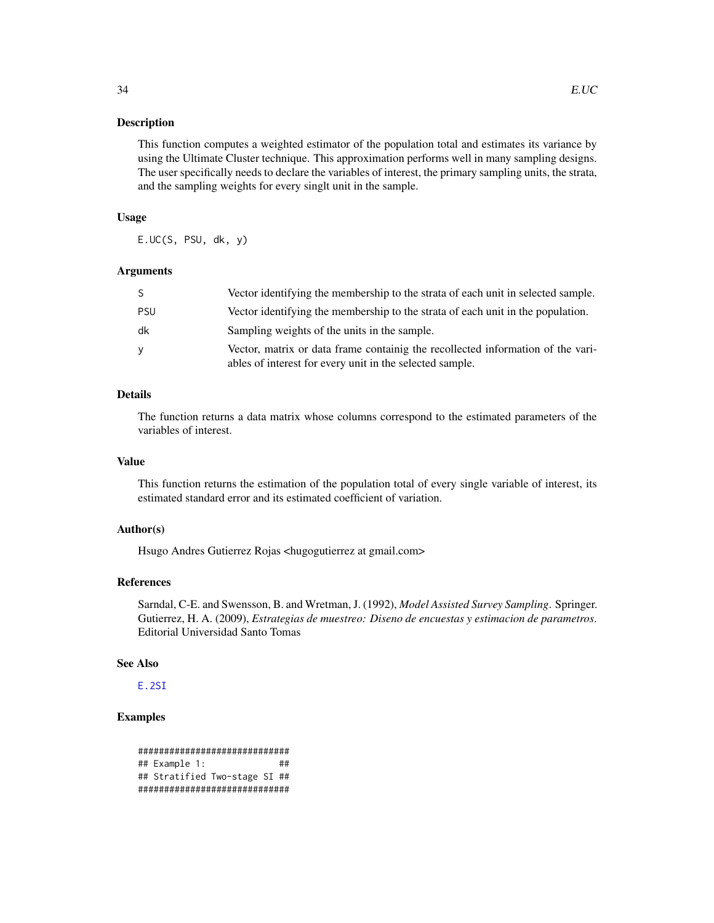#### Description

This function computes a weighted estimator of the population total and estimates its variance by using the Ultimate Cluster technique. This approximation performs well in many sampling designs. The user specifically needs to declare the variables of interest, the primary sampling units, the strata, and the sampling weights for every singlt unit in the sample.

#### Usage

E.UC(S, PSU, dk, y)

#### **Arguments**

|     | Vector identifying the membership to the strata of each unit in selected sample.                                                            |
|-----|---------------------------------------------------------------------------------------------------------------------------------------------|
| PSU | Vector identifying the membership to the strata of each unit in the population.                                                             |
| dk  | Sampling weights of the units in the sample.                                                                                                |
| v   | Vector, matrix or data frame containig the recollected information of the vari-<br>ables of interest for every unit in the selected sample. |

## Details

The function returns a data matrix whose columns correspond to the estimated parameters of the variables of interest.

## Value

This function returns the estimation of the population total of every single variable of interest, its estimated standard error and its estimated coefficient of variation.

#### Author(s)

Hsugo Andres Gutierrez Rojas <hugogutierrez at gmail.com>

## References

Sarndal, C-E. and Swensson, B. and Wretman, J. (1992), *Model Assisted Survey Sampling*. Springer. Gutierrez, H. A. (2009), *Estrategias de muestreo: Diseno de encuestas y estimacion de parametros*. Editorial Universidad Santo Tomas

#### See Also

[E.2SI](#page-9-1)

```
#############################
## Example 1: ##
## Stratified Two-stage SI ##
#############################
```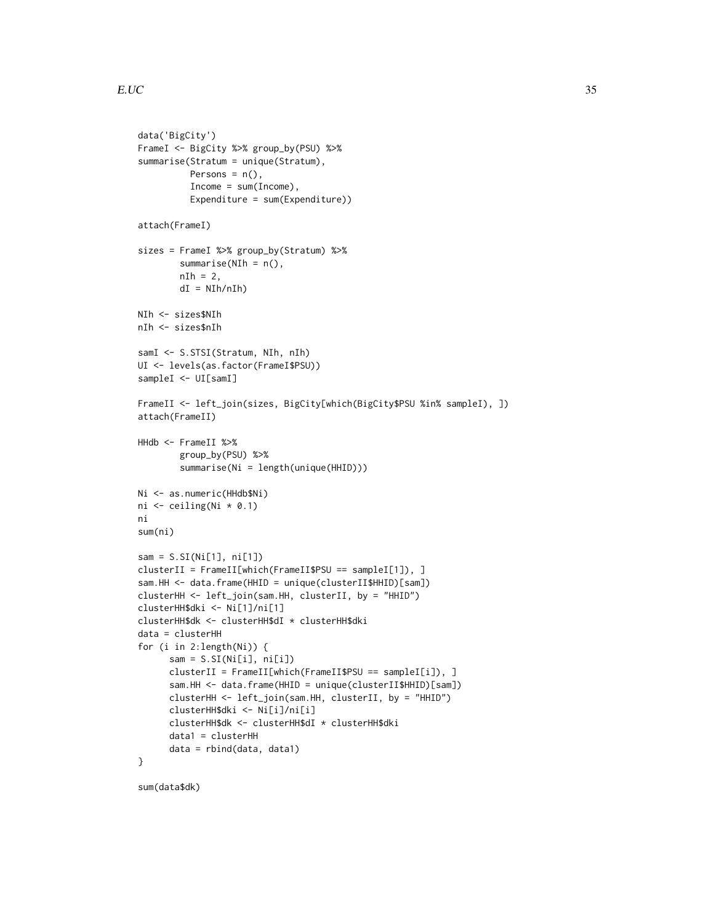```
data('BigCity')
FrameI <- BigCity %>% group_by(PSU) %>%
summarise(Stratum = unique(Stratum),
          Persons = n(),
          Income = sum(Income),
          Expenditure = sum(Expenditure))
attach(FrameI)
sizes = FrameI %>% group_by(Stratum) %>%
        summarise(NIh = n(),
        nIh = 2,
       dI = NIh/nIh)NIh <- sizes$NIh
nIh <- sizes$nIh
samI <- S.STSI(Stratum, NIh, nIh)
UI <- levels(as.factor(FrameI$PSU))
sampleI <- UI[samI]
FrameII <- left_join(sizes, BigCity[which(BigCity$PSU %in% sampleI), ])
attach(FrameII)
HHdb <- FrameII %>%
        group_by(PSU) %>%
        summarise(Ni = length(unique(HHID)))
Ni <- as.numeric(HHdb$Ni)
ni <- ceiling(Ni * 0.1)
ni
sum(ni)
sam = S.SI(Ni[1], ni[1])
clusterII = FrameII[which(FrameII$PSU == sampleI[1]), ]
sam.HH <- data.frame(HHID = unique(clusterII$HHID)[sam])
clusterHH <- left_join(sam.HH, clusterII, by = "HHID")
clusterHH$dki <- Ni[1]/ni[1]
clusterHH$dk <- clusterHH$dI * clusterHH$dki
data = clusterHH
for (i in 2:length(Ni)) {
      sam = S.SI(Ni[i], ni[i])clusterII = FrameII[which(FrameII$PSU == sampleI[i]), ]
      sam.HH <- data.frame(HHID = unique(clusterII$HHID)[sam])
      clusterHH <- left_join(sam.HH, clusterII, by = "HHID")
      clusterHH$dki <- Ni[i]/ni[i]
      clusterHH$dk <- clusterHH$dI * clusterHH$dki
      data1 = clusterHH
      data = rbind(data, data1)
}
```
sum(data\$dk)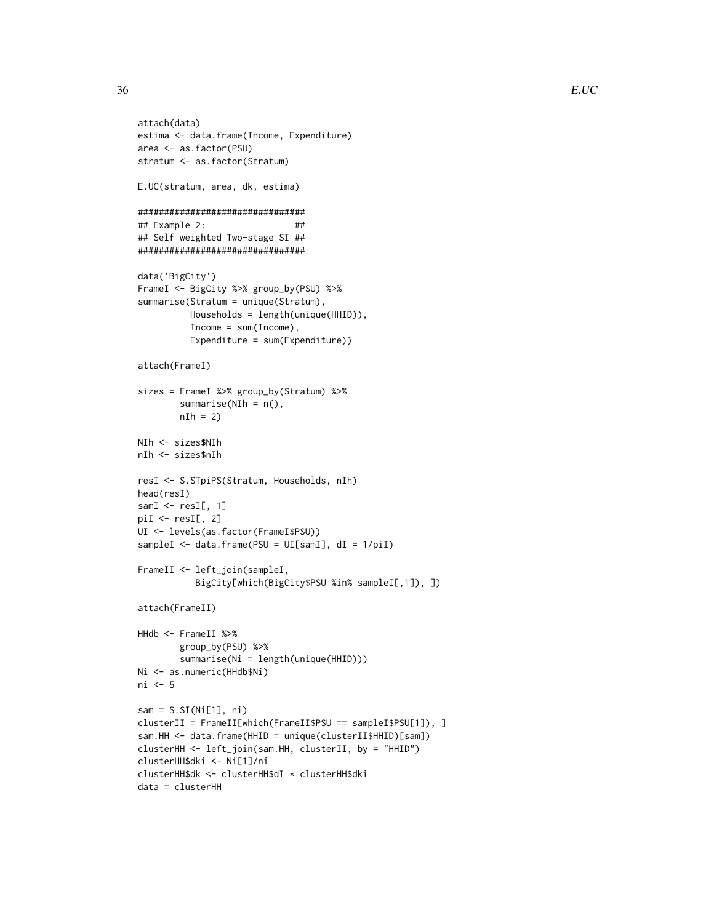```
attach(data)
estima <- data.frame(Income, Expenditure)
area <- as.factor(PSU)
stratum <- as.factor(Stratum)
E.UC(stratum, area, dk, estima)
################################
## Example 2: ##
## Self weighted Two-stage SI ##
################################
data('BigCity')
FrameI <- BigCity %>% group_by(PSU) %>%
summarise(Stratum = unique(Stratum),
          Households = length(unique(HHID)),
          Income = sum(Income),
          Expenditure = sum(Expenditure))
attach(FrameI)
sizes = FrameI %>% group_by(Stratum) %>%
        summarise(NIh = n(),
        nIh = 2NIh <- sizes$NIh
nIh <- sizes$nIh
resI <- S.STpiPS(Stratum, Households, nIh)
head(resI)
samI \leftarrow \text{resI}[, 1]piI \leftarrow resI[, 2]UI <- levels(as.factor(FrameI$PSU))
sampleI <- data.frame(PSU = UI[samI], dI = 1/piI)
FrameII <- left_join(sampleI,
           BigCity[which(BigCity$PSU %in% sampleI[,1]), ])
attach(FrameII)
HHdb <- FrameII %>%
        group_by(PSU) %>%
        summarise(Ni = length(unique(HHID)))
Ni <- as.numeric(HHdb$Ni)
ni <- 5
sam = S.SI(Ni[1], ni)clusterII = FrameII[which(FrameII$PSU == sampleI$PSU[1]), ]
sam.HH <- data.frame(HHID = unique(clusterII$HHID)[sam])
clusterHH <- left_join(sam.HH, clusterII, by = "HHID")
clusterHH$dki <- Ni[1]/ni
clusterHH$dk <- clusterHH$dI * clusterHH$dki
data = clusterHH
```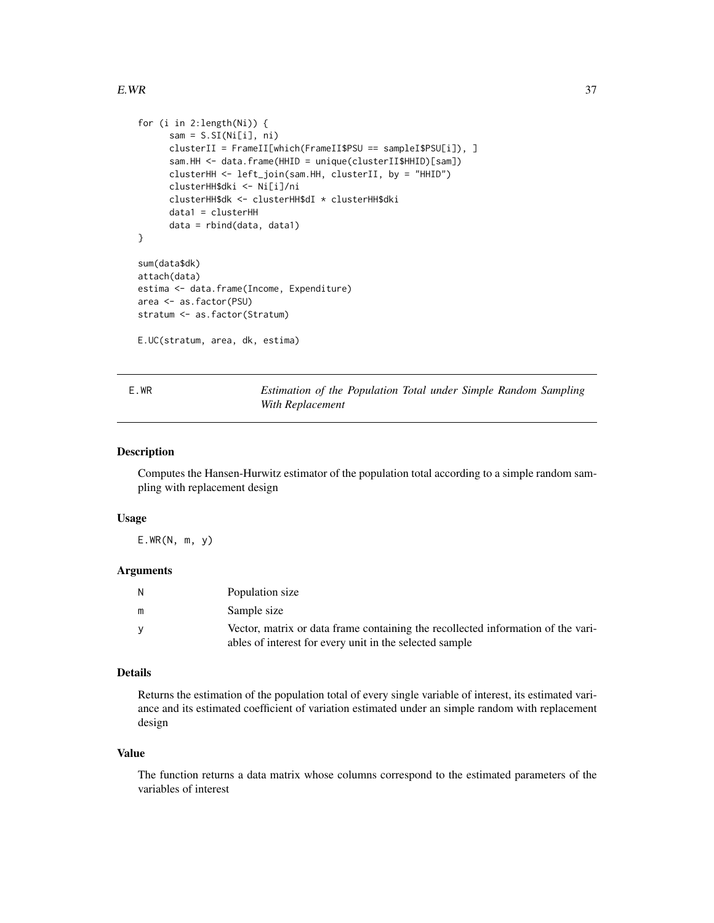```
for (i in 2:length(Ni)) {
     sam = S.SI(Ni[i], ni)clusterII = FrameII[which(FrameII$PSU == sampleI$PSU[i]), ]
     sam.HH <- data.frame(HHID = unique(clusterII$HHID)[sam])
     clusterHH <- left_join(sam.HH, clusterII, by = "HHID")
     clusterHH$dki <- Ni[i]/ni
     clusterHH$dk <- clusterHH$dI * clusterHH$dki
     data1 = clusterHH
     data = rbind(data, data1)
}
sum(data$dk)
attach(data)
estima <- data.frame(Income, Expenditure)
area <- as.factor(PSU)
stratum <- as.factor(Stratum)
E.UC(stratum, area, dk, estima)
```
E.WR *Estimation of the Population Total under Simple Random Sampling With Replacement*

#### Description

Computes the Hansen-Hurwitz estimator of the population total according to a simple random sampling with replacement design

## Usage

E.WR(N, m, y)

# Arguments

| N        | Population size                                                                  |
|----------|----------------------------------------------------------------------------------|
| m        | Sample size                                                                      |
| <b>V</b> | Vector, matrix or data frame containing the recollected information of the vari- |
|          | ables of interest for every unit in the selected sample                          |

# Details

Returns the estimation of the population total of every single variable of interest, its estimated variance and its estimated coefficient of variation estimated under an simple random with replacement design

#### Value

The function returns a data matrix whose columns correspond to the estimated parameters of the variables of interest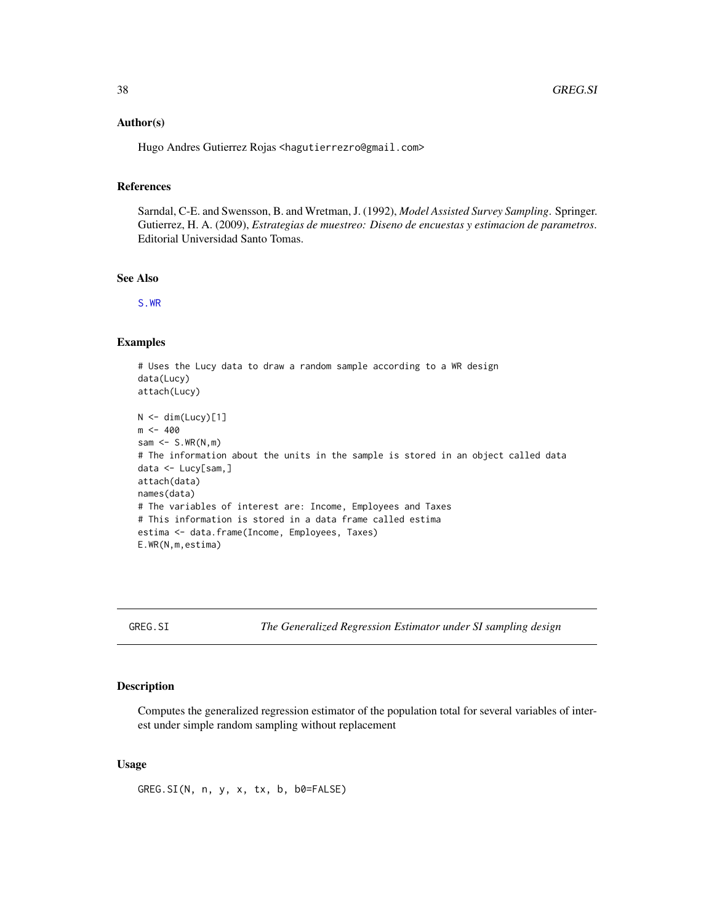## Author(s)

Hugo Andres Gutierrez Rojas <hagutierrezro@gmail.com>

### References

Sarndal, C-E. and Swensson, B. and Wretman, J. (1992), *Model Assisted Survey Sampling*. Springer. Gutierrez, H. A. (2009), *Estrategias de muestreo: Diseno de encuestas y estimacion de parametros*. Editorial Universidad Santo Tomas.

## See Also

[S.WR](#page-84-0)

#### Examples

```
# Uses the Lucy data to draw a random sample according to a WR design
data(Lucy)
attach(Lucy)
N < - dim(Lucy)[1]
m < -400sam \leq S.WR(N,m)
# The information about the units in the sample is stored in an object called data
data <- Lucy[sam,]
attach(data)
names(data)
# The variables of interest are: Income, Employees and Taxes
# This information is stored in a data frame called estima
estima <- data.frame(Income, Employees, Taxes)
E.WR(N,m,estima)
```
GREG.SI *The Generalized Regression Estimator under SI sampling design*

# Description

Computes the generalized regression estimator of the population total for several variables of interest under simple random sampling without replacement

## Usage

GREG.SI(N, n, y, x, tx, b, b0=FALSE)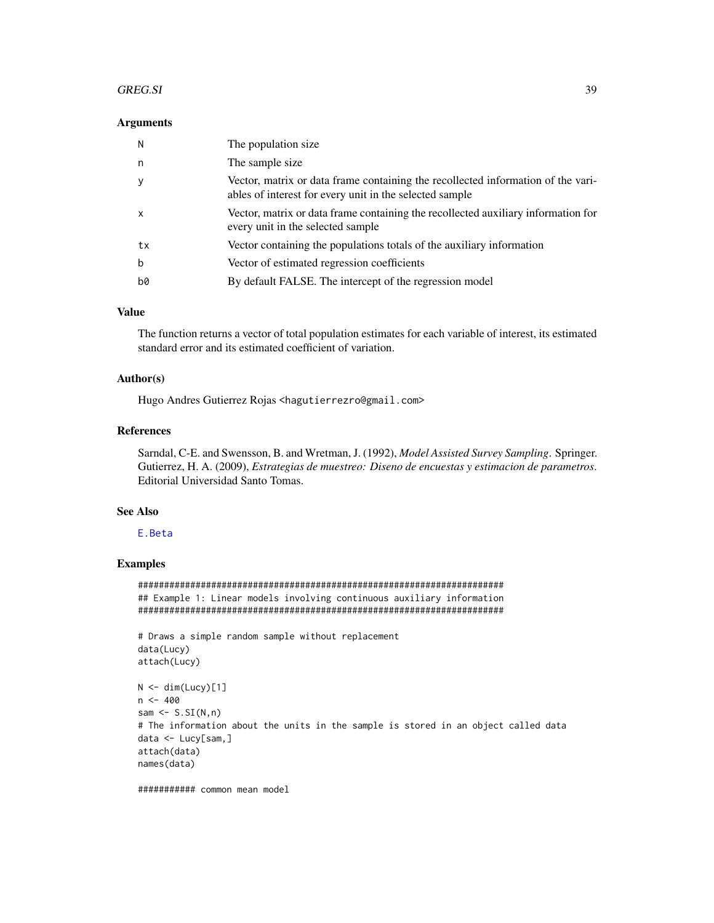#### GREG.SI 39

#### **Arguments**

| N            | The population size.                                                                                                                        |
|--------------|---------------------------------------------------------------------------------------------------------------------------------------------|
| n            | The sample size                                                                                                                             |
| <b>V</b>     | Vector, matrix or data frame containing the recollected information of the vari-<br>ables of interest for every unit in the selected sample |
| $\mathsf{x}$ | Vector, matrix or data frame containing the recollected auxiliary information for<br>every unit in the selected sample                      |
| tx           | Vector containing the populations totals of the auxiliary information                                                                       |
| b            | Vector of estimated regression coefficients                                                                                                 |
| b0           | By default FALSE. The intercept of the regression model                                                                                     |

## Value

The function returns a vector of total population estimates for each variable of interest, its estimated standard error and its estimated coefficient of variation.

# Author(s)

Hugo Andres Gutierrez Rojas <hagutierrezro@gmail.com>

# References

Sarndal, C-E. and Swensson, B. and Wretman, J. (1992), *Model Assisted Survey Sampling*. Springer. Gutierrez, H. A. (2009), *Estrategias de muestreo: Diseno de encuestas y estimacion de parametros*. Editorial Universidad Santo Tomas.

# See Also

## [E.Beta](#page-13-0)

# Examples

###################################################################### ## Example 1: Linear models involving continuous auxiliary information ######################################################################

```
# Draws a simple random sample without replacement
data(Lucy)
attach(Lucy)
```

```
N < - dim(Lucy)[1]
n < -400sam \leq S.SI(N,n)# The information about the units in the sample is stored in an object called data
data <- Lucy[sam,]
attach(data)
names(data)
```
########### common mean model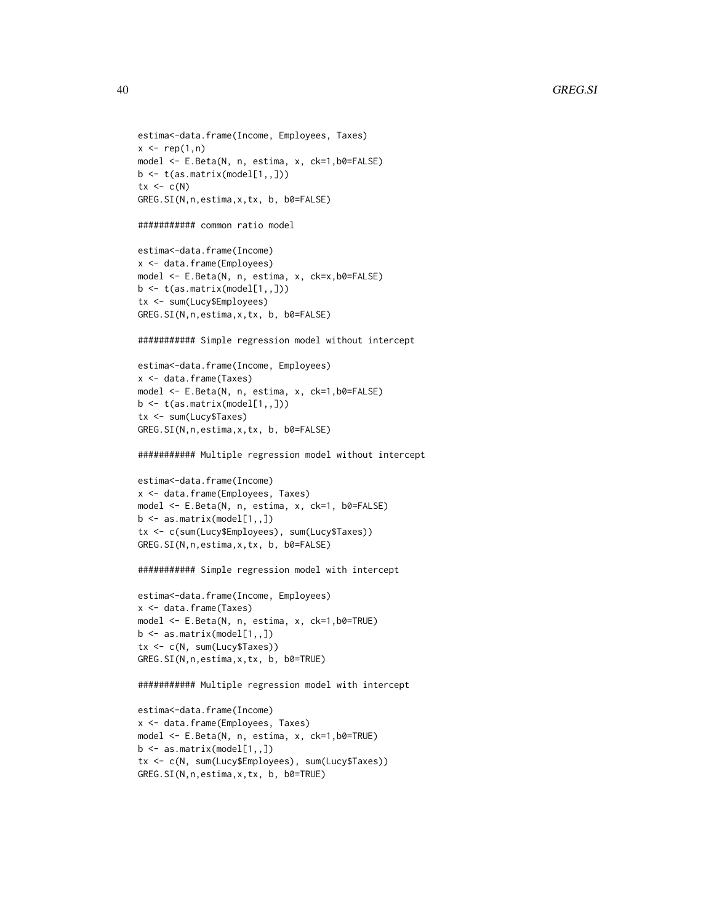```
estima<-data.frame(Income, Employees, Taxes)
x \leftarrow \text{rep}(1, n)model <- E.Beta(N, n, estima, x, ck=1,b0=FALSE)
b \leftarrow t(as.matrix(mod1[1,1]))tx < -c(N)GREG.SI(N,n,estima,x,tx, b, b0=FALSE)
########### common ratio model
estima<-data.frame(Income)
x <- data.frame(Employees)
model <- E.Beta(N, n, estima, x, ck=x,b0=FALSE)
b \leftarrow t(as.matrix(model[1, 1])tx <- sum(Lucy$Employees)
GREG.SI(N,n,estima,x,tx, b, b0=FALSE)
########### Simple regression model without intercept
estima<-data.frame(Income, Employees)
x <- data.frame(Taxes)
model <- E.Beta(N, n, estima, x, ck=1,b0=FALSE)
b <- t(as.matrix(model[1,,]))
tx <- sum(Lucy$Taxes)
GREG.SI(N,n,estima,x,tx, b, b0=FALSE)
########### Multiple regression model without intercept
estima<-data.frame(Income)
x <- data.frame(Employees, Taxes)
model <- E.Beta(N, n, estima, x, ck=1, b0=FALSE)
b \leq -as.matrix(mod[1,1])tx <- c(sum(Lucy$Employees), sum(Lucy$Taxes))
GREG.SI(N,n,estima,x,tx, b, b0=FALSE)
########### Simple regression model with intercept
estima<-data.frame(Income, Employees)
x <- data.frame(Taxes)
model <- E.Beta(N, n, estima, x, ck=1,b0=TRUE)
b \leq -a s.matrix(model[1, 1])tx <- c(N, sum(Lucy$Taxes))
GREG.SI(N,n,estima,x,tx, b, b0=TRUE)
########### Multiple regression model with intercept
estima<-data.frame(Income)
```

```
x <- data.frame(Employees, Taxes)
model <- E.Beta(N, n, estima, x, ck=1,b0=TRUE)
b \leftarrow as.matrix(model[1, 1])tx <- c(N, sum(Lucy$Employees), sum(Lucy$Taxes))
GREG.SI(N,n,estima,x,tx, b, b0=TRUE)
```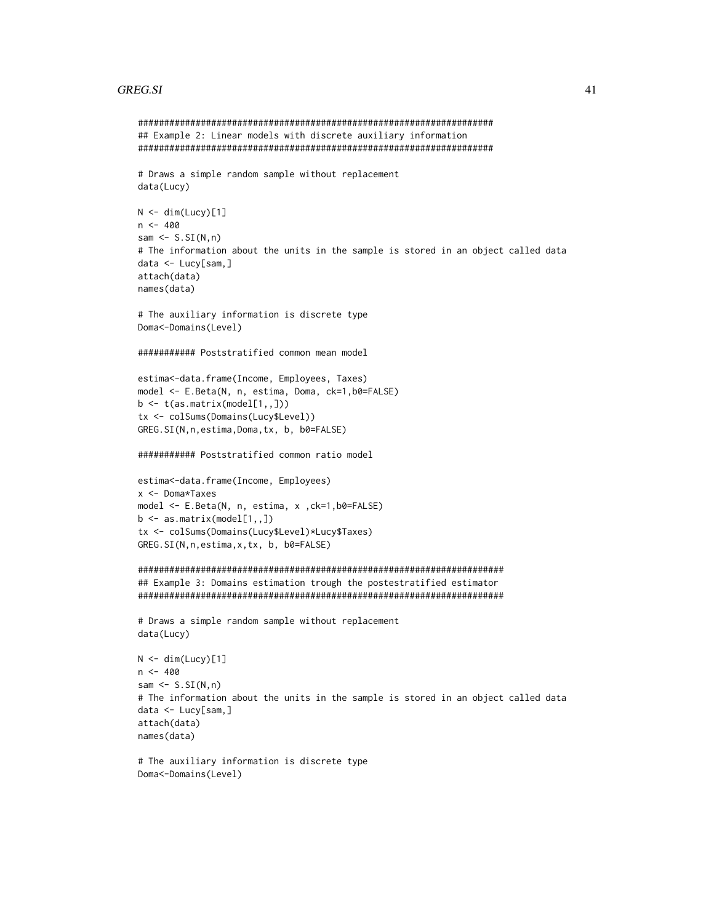#### GREG.SI 41

```
####################################################################
## Example 2: Linear models with discrete auxiliary information
####################################################################
# Draws a simple random sample without replacement
data(Lucy)
N < - dim(Lucy)[1]
n < -400sam \leq S.SI(N,n)
# The information about the units in the sample is stored in an object called data
data <- Lucy[sam,]
attach(data)
names(data)
# The auxiliary information is discrete type
Doma<-Domains(Level)
########### Poststratified common mean model
estima<-data.frame(Income, Employees, Taxes)
model <- E.Beta(N, n, estima, Doma, ck=1,b0=FALSE)
b \leftarrow t(as.matrix(model[1, 1])tx <- colSums(Domains(Lucy$Level))
GREG.SI(N,n,estima,Doma,tx, b, b0=FALSE)
########### Poststratified common ratio model
estima<-data.frame(Income, Employees)
x <- Doma*Taxes
model <- E.Beta(N, n, estima, x ,ck=1,b0=FALSE)
b \leq -as.matrix(mod[1,1])tx <- colSums(Domains(Lucy$Level)*Lucy$Taxes)
GREG.SI(N,n,estima,x,tx, b, b0=FALSE)
######################################################################
## Example 3: Domains estimation trough the postestratified estimator
######################################################################
# Draws a simple random sample without replacement
data(Lucy)
N < - dim(Lucy)[1]
n <- 400
sam \leq S.SI(N,n)
# The information about the units in the sample is stored in an object called data
data <- Lucy[sam,]
attach(data)
names(data)
# The auxiliary information is discrete type
```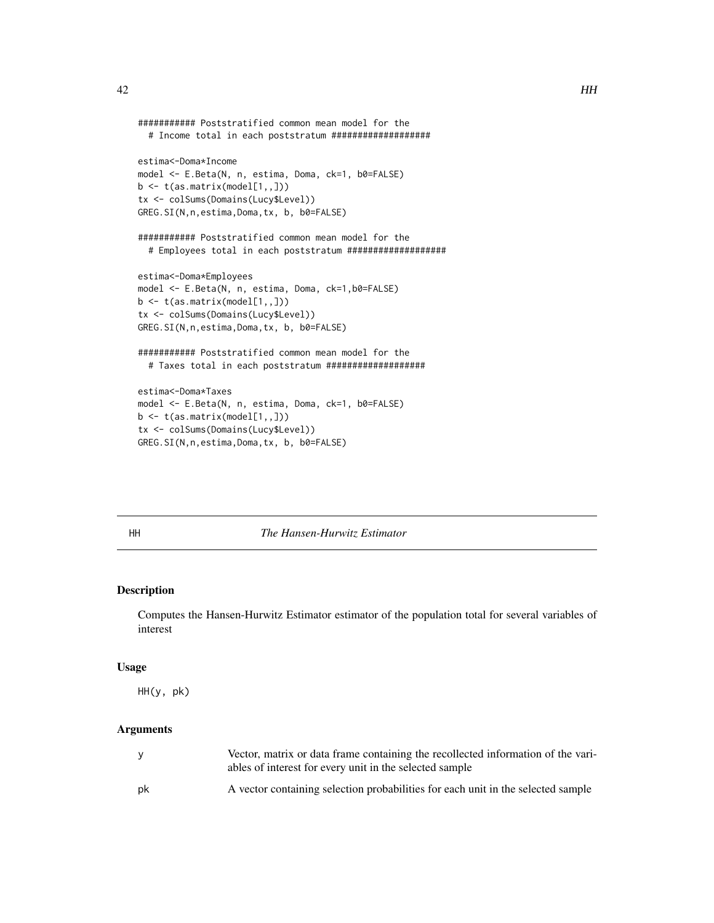```
########### Poststratified common mean model for the
  # Income total in each poststratum ###################
estima<-Doma*Income
model <- E.Beta(N, n, estima, Doma, ck=1, b0=FALSE)
b \leftarrow t(as.matrix(model[1, 1])tx <- colSums(Domains(Lucy$Level))
GREG.SI(N,n,estima,Doma,tx, b, b0=FALSE)
########### Poststratified common mean model for the
  # Employees total in each poststratum ###################
estima<-Doma*Employees
model <- E.Beta(N, n, estima, Doma, ck=1,b0=FALSE)
b \leftarrow t(as.matrix(model[1,1))tx <- colSums(Domains(Lucy$Level))
GREG.SI(N,n,estima,Doma,tx, b, b0=FALSE)
########### Poststratified common mean model for the
  # Taxes total in each poststratum ###################
estima<-Doma*Taxes
model <- E.Beta(N, n, estima, Doma, ck=1, b0=FALSE)
b \leftarrow t(as.matrix(model[1, 1])tx <- colSums(Domains(Lucy$Level))
```
GREG.SI(N,n,estima,Doma,tx, b, b0=FALSE)

<span id="page-41-0"></span>

## HH *The Hansen-Hurwitz Estimator*

### Description

Computes the Hansen-Hurwitz Estimator estimator of the population total for several variables of interest

#### Usage

HH(y, pk)

| <b>V</b> | Vector, matrix or data frame containing the recollected information of the vari-<br>ables of interest for every unit in the selected sample |
|----------|---------------------------------------------------------------------------------------------------------------------------------------------|
| pk       | A vector containing selection probabilities for each unit in the selected sample                                                            |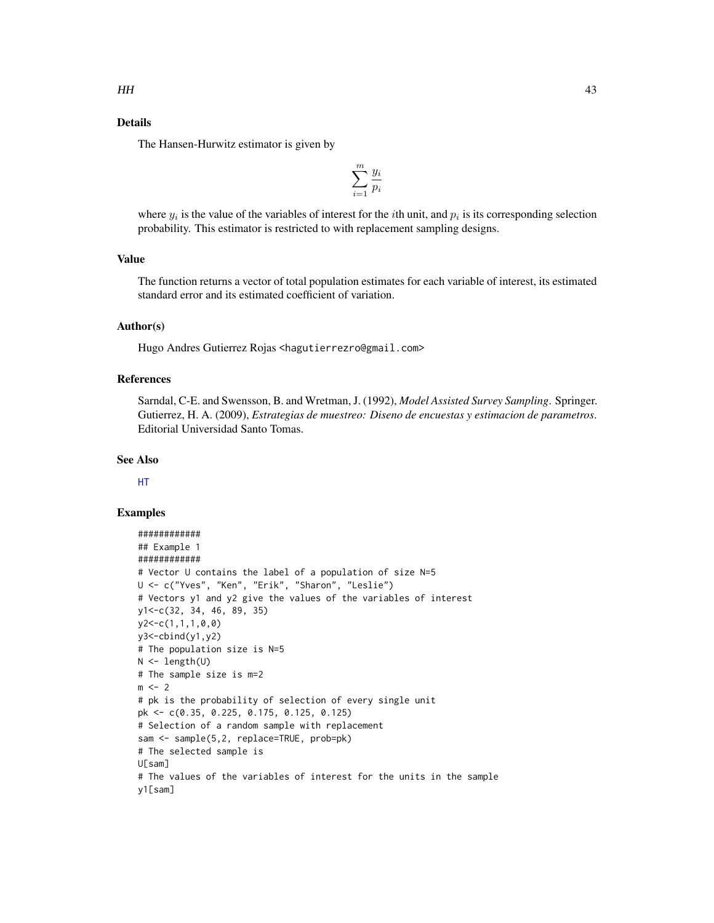# Details

The Hansen-Hurwitz estimator is given by

$$
\sum_{i=1}^{m} \frac{y_i}{p_i}
$$

where  $y_i$  is the value of the variables of interest for the *i*th unit, and  $p_i$  is its corresponding selection probability. This estimator is restricted to with replacement sampling designs.

# Value

The function returns a vector of total population estimates for each variable of interest, its estimated standard error and its estimated coefficient of variation.

# Author(s)

Hugo Andres Gutierrez Rojas <hagutierrezro@gmail.com>

# References

Sarndal, C-E. and Swensson, B. and Wretman, J. (1992), *Model Assisted Survey Sampling*. Springer. Gutierrez, H. A. (2009), *Estrategias de muestreo: Diseno de encuestas y estimacion de parametros*. Editorial Universidad Santo Tomas.

# See Also

[HT](#page-44-0)

```
############
## Example 1
############
# Vector U contains the label of a population of size N=5
U <- c("Yves", "Ken", "Erik", "Sharon", "Leslie")
# Vectors y1 and y2 give the values of the variables of interest
y1<-c(32, 34, 46, 89, 35)
y2<-c(1,1,1,0,0)
y3 < -cbind(y1, y2)# The population size is N=5
N < - length(U)
# The sample size is m=2
m < -2# pk is the probability of selection of every single unit
pk <- c(0.35, 0.225, 0.175, 0.125, 0.125)
# Selection of a random sample with replacement
sam <- sample(5,2, replace=TRUE, prob=pk)
# The selected sample is
U[sam]
# The values of the variables of interest for the units in the sample
y1[sam]
```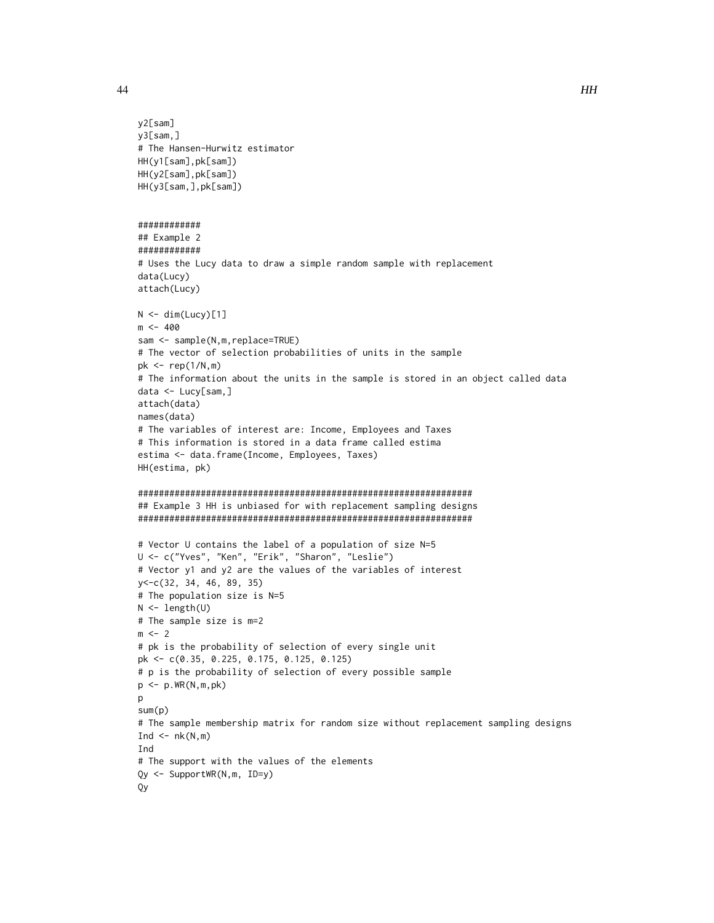```
y2[sam]
y3[sam,]
# The Hansen-Hurwitz estimator
HH(y1[sam],pk[sam])
HH(y2[sam],pk[sam])
HH(y3[sam,],pk[sam])
############
## Example 2
############
# Uses the Lucy data to draw a simple random sample with replacement
data(Lucy)
attach(Lucy)
N < - dim(Lucy)[1]
m <- 400
sam <- sample(N,m,replace=TRUE)
# The vector of selection probabilities of units in the sample
pk \leq rep(1/N,m)# The information about the units in the sample is stored in an object called data
data <- Lucy[sam,]
attach(data)
names(data)
# The variables of interest are: Income, Employees and Taxes
# This information is stored in a data frame called estima
estima <- data.frame(Income, Employees, Taxes)
HH(estima, pk)
################################################################
## Example 3 HH is unbiased for with replacement sampling designs
################################################################
# Vector U contains the label of a population of size N=5
U <- c("Yves", "Ken", "Erik", "Sharon", "Leslie")
# Vector y1 and y2 are the values of the variables of interest
y<-c(32, 34, 46, 89, 35)
# The population size is N=5
N <- length(U)
# The sample size is m=2
m < -2# pk is the probability of selection of every single unit
pk <- c(0.35, 0.225, 0.175, 0.125, 0.125)
# p is the probability of selection of every possible sample
p \leftarrow p.WR(N,m,pk)p
sum(p)
# The sample membership matrix for random size without replacement sampling designs
Ind \leq -nk(N,m)Ind
# The support with the values of the elements
Qy <- SupportWR(N,m, ID=y)
Qy
```
44 HH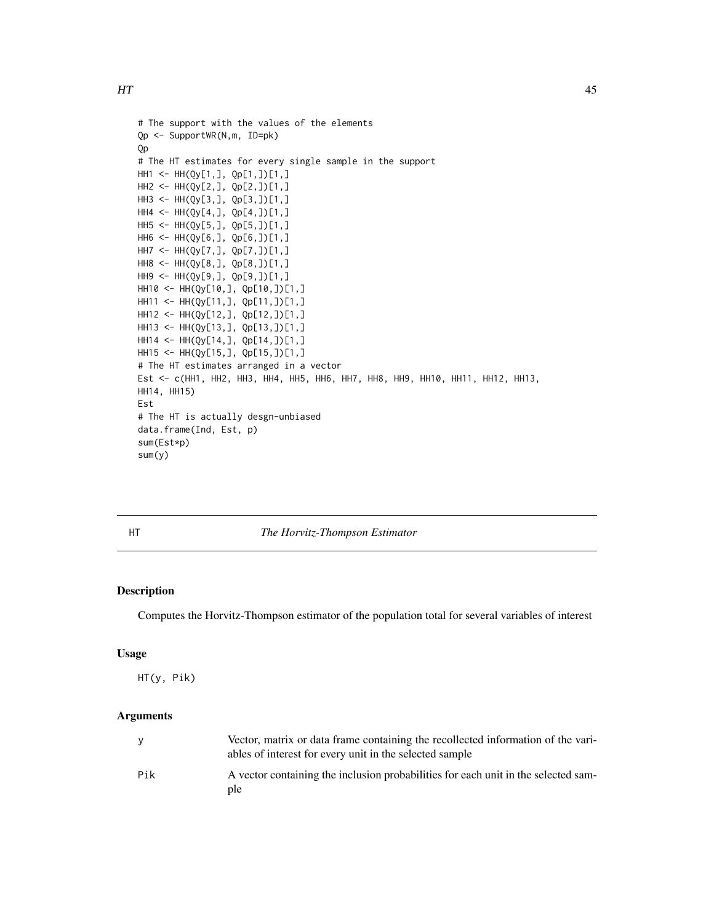```
# The support with the values of the elements
Qp <- SupportWR(N,m, ID=pk)
Qp
# The HT estimates for every single sample in the support
HH1 <- HH(Qy[1,], Qp[1,])[1,]
HH2 <- HH(Qy[2,], Qp[2,])[1,]
HH3 <- HH(Qy[3,], Qp[3,])[1,]
HH4 <- HH(Qy[4,], Qp[4,])[1,]
HH5 <- HH(Qy[5,], Qp[5,])[1,]
HH6 <- HH(Qy[6,], Qp[6,])[1,]
HH7 <- HH(Qy[7,], Qp[7,])[1,]
HH8 <- HH(Qy[8,], Qp[8,])[1,]
HH9 <- HH(Qy[9,], Qp[9,])[1,]
HH10 <- HH(Qy[10,], Qp[10,])[1,]
HH11 <- HH(Qy[11,], Qp[11,])[1,]
HH12 <- HH(Qy[12,], Qp[12,])[1,]
HH13 <- HH(Qy[13,], Qp[13,])[1,]
HH14 <- HH(Qy[14,], Qp[14,])[1,]
HH15 <- HH(Qy[15,], Qp[15,])[1,]
# The HT estimates arranged in a vector
Est <- c(HH1, HH2, HH3, HH4, HH5, HH6, HH7, HH8, HH9, HH10, HH11, HH12, HH13,
HH14, HH15)
Est
# The HT is actually desgn-unbiased
data.frame(Ind, Est, p)
sum(Est*p)
sum(y)
```
<span id="page-44-0"></span>

HT *The Horvitz-Thompson Estimator*

# Description

Computes the Horvitz-Thompson estimator of the population total for several variables of interest

#### Usage

HT(y, Pik)

|     | Vector, matrix or data frame containing the recollected information of the vari-<br>ables of interest for every unit in the selected sample |
|-----|---------------------------------------------------------------------------------------------------------------------------------------------|
| Pik | A vector containing the inclusion probabilities for each unit in the selected sam-<br>ple                                                   |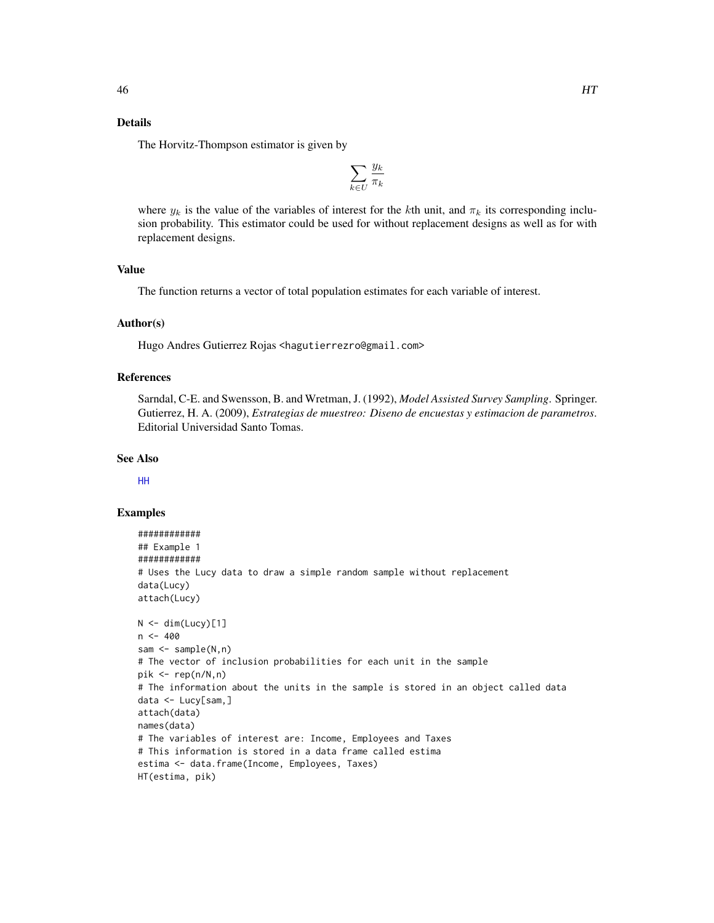# Details

The Horvitz-Thompson estimator is given by

$$
\sum_{k\in U}\frac{y_k}{\pi_k}
$$

where  $y_k$  is the value of the variables of interest for the kth unit, and  $\pi_k$  its corresponding inclusion probability. This estimator could be used for without replacement designs as well as for with replacement designs.

# Value

The function returns a vector of total population estimates for each variable of interest.

#### Author(s)

Hugo Andres Gutierrez Rojas <hagutierrezro@gmail.com>

# References

Sarndal, C-E. and Swensson, B. and Wretman, J. (1992), *Model Assisted Survey Sampling*. Springer. Gutierrez, H. A. (2009), *Estrategias de muestreo: Diseno de encuestas y estimacion de parametros*. Editorial Universidad Santo Tomas.

#### See Also

[HH](#page-41-0)

```
############
## Example 1
############
# Uses the Lucy data to draw a simple random sample without replacement
data(Lucy)
attach(Lucy)
N < - dim(Lucy)[1]
n < -400sam <- sample(N,n)
# The vector of inclusion probabilities for each unit in the sample
pik \leq rep(n/N,n)# The information about the units in the sample is stored in an object called data
data <- Lucy[sam,]
attach(data)
names(data)
# The variables of interest are: Income, Employees and Taxes
# This information is stored in a data frame called estima
estima <- data.frame(Income, Employees, Taxes)
HT(estima, pik)
```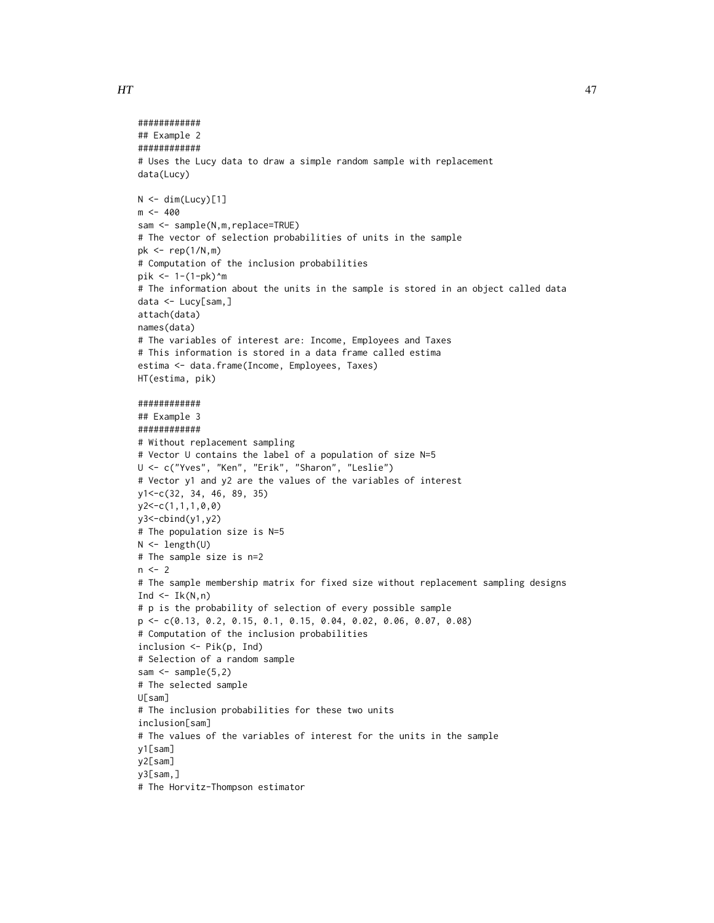```
############
## Example 2
############
# Uses the Lucy data to draw a simple random sample with replacement
data(Lucy)
N < - dim(Lucy)[1]
m < -400sam <- sample(N,m,replace=TRUE)
# The vector of selection probabilities of units in the sample
pk <- rep(1/N,m)
# Computation of the inclusion probabilities
pik <- 1-(1-pk)^m
# The information about the units in the sample is stored in an object called data
data <- Lucy[sam,]
attach(data)
names(data)
# The variables of interest are: Income, Employees and Taxes
# This information is stored in a data frame called estima
estima <- data.frame(Income, Employees, Taxes)
HT(estima, pik)
############
## Example 3
############
# Without replacement sampling
# Vector U contains the label of a population of size N=5
U <- c("Yves", "Ken", "Erik", "Sharon", "Leslie")
# Vector y1 and y2 are the values of the variables of interest
y1<-c(32, 34, 46, 89, 35)
y2<-c(1,1,1,0,0)
y3<-cbind(y1,y2)
# The population size is N=5
N <- length(U)
# The sample size is n=2
n < -2# The sample membership matrix for fixed size without replacement sampling designs
Ind \leftarrow Ik(N,n)
# p is the probability of selection of every possible sample
p <- c(0.13, 0.2, 0.15, 0.1, 0.15, 0.04, 0.02, 0.06, 0.07, 0.08)
# Computation of the inclusion probabilities
inclusion <- Pik(p, Ind)
# Selection of a random sample
sam <- sample(5,2)# The selected sample
U[sam]
# The inclusion probabilities for these two units
inclusion[sam]
# The values of the variables of interest for the units in the sample
y1[sam]
y2[sam]
y3[sam,]
```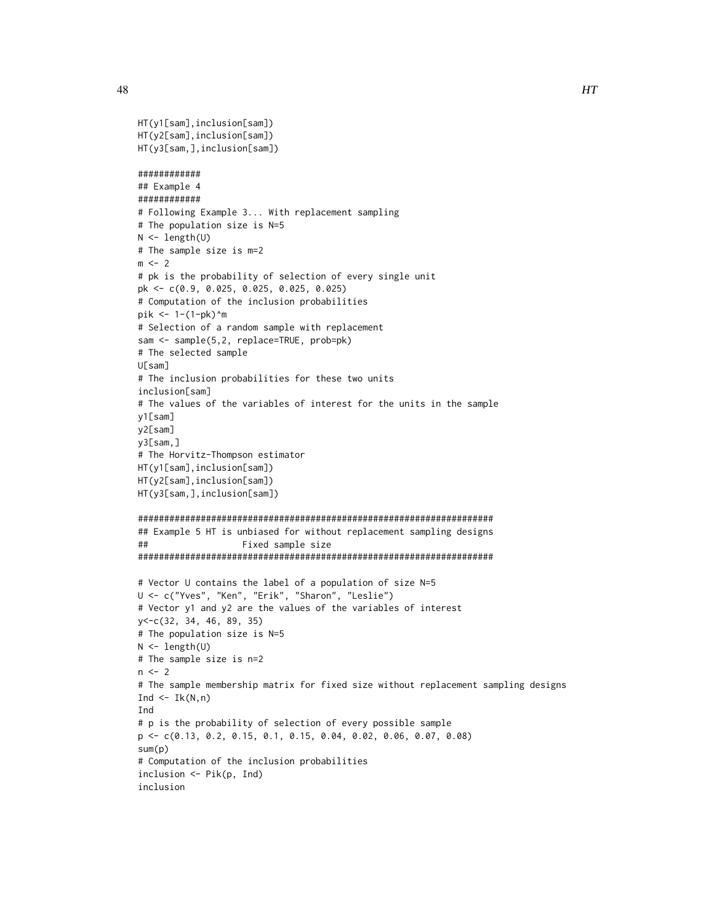```
HT(y1[sam],inclusion[sam])
HT(y2[sam],inclusion[sam])
HT(y3[sam,],inclusion[sam])
############
## Example 4
############
# Following Example 3... With replacement sampling
# The population size is N=5
N <- length(U)
# The sample size is m=2
m \le -2# pk is the probability of selection of every single unit
pk <- c(0.9, 0.025, 0.025, 0.025, 0.025)
# Computation of the inclusion probabilities
pik <- 1-(1-pk)^m
# Selection of a random sample with replacement
sam <- sample(5,2, replace=TRUE, prob=pk)
# The selected sample
U[sam]
# The inclusion probabilities for these two units
inclusion[sam]
# The values of the variables of interest for the units in the sample
y1[sam]
y2[sam]
y3[sam,]
# The Horvitz-Thompson estimator
HT(y1[sam],inclusion[sam])
HT(y2[sam],inclusion[sam])
HT(y3[sam,],inclusion[sam])
####################################################################
## Example 5 HT is unbiased for without replacement sampling designs
## Fixed sample size
####################################################################
# Vector U contains the label of a population of size N=5
U <- c("Yves", "Ken", "Erik", "Sharon", "Leslie")
# Vector y1 and y2 are the values of the variables of interest
y<-c(32, 34, 46, 89, 35)
# The population size is N=5
N <- length(U)
# The sample size is n=2
n < -2# The sample membership matrix for fixed size without replacement sampling designs
Ind \leq Ik(N,n)
Ind
# p is the probability of selection of every possible sample
p <- c(0.13, 0.2, 0.15, 0.1, 0.15, 0.04, 0.02, 0.06, 0.07, 0.08)
sum(p)
# Computation of the inclusion probabilities
inclusion <- Pik(p, Ind)
inclusion
```
48 and the contract of the contract of the contract of the contract of the contract of the contract of the contract of the contract of the contract of the contract of the contract of the contract of the contract of the con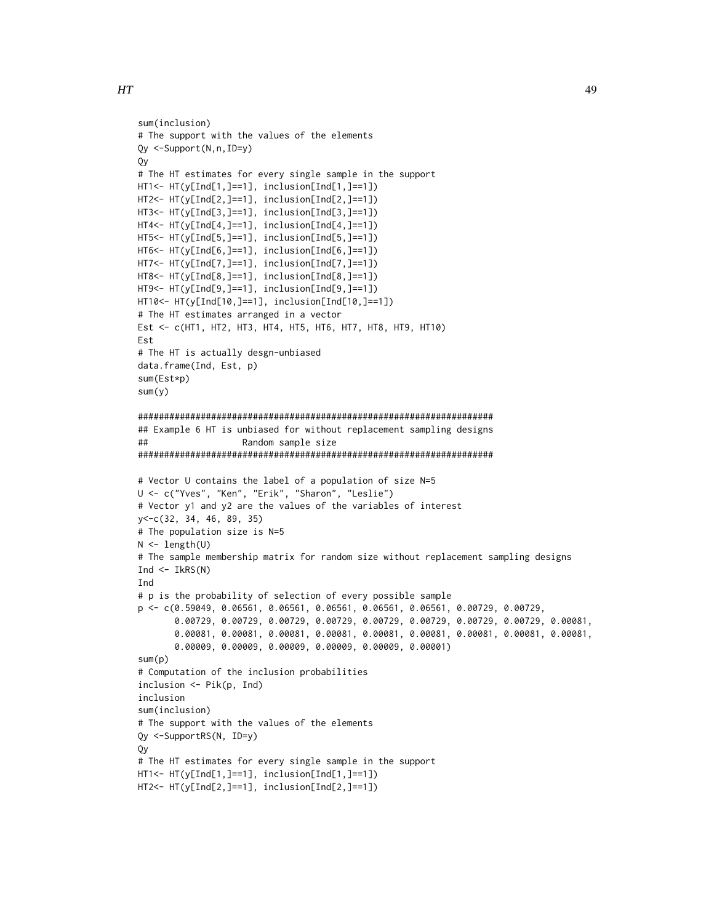```
sum(inclusion)
# The support with the values of the elements
Qy <-Support(N,n,ID=y)
Qy
# The HT estimates for every single sample in the support
HT1<- HT(y[Ind[1,]==1], inclusion[Ind[1,]==1])
HT2<- HT(y[Ind[2,]==1], inclusion[Ind[2,]==1])
HT3<- HT(y[Ind[3,]==1], inclusion[Ind[3,]==1])
HT4<- HT(y[Ind[4,]==1], inclusion[Ind[4,]==1])
HT5<- HT(y[Ind[5,]==1], inclusion[Ind[5,]==1])
HT6<- HT(y[Ind[6,]==1], inclusion[Ind[6,]==1])
HT7<- HT(y[Ind[7,]==1], inclusion[Ind[7,]==1])
HT8<- HT(y[Ind[8,]==1], inclusion[Ind[8,]==1])
HT9<- HT(y[Ind[9,]==1], inclusion[Ind[9,]==1])
HT10<- HT(y[Ind[10,]==1], inclusion[Ind[10,]==1])
# The HT estimates arranged in a vector
Est <- c(HT1, HT2, HT3, HT4, HT5, HT6, HT7, HT8, HT9, HT10)
Est
# The HT is actually desgn-unbiased
data.frame(Ind, Est, p)
sum(Est*p)
sum(y)
####################################################################
## Example 6 HT is unbiased for without replacement sampling designs
## Random sample size
####################################################################
# Vector U contains the label of a population of size N=5
U <- c("Yves", "Ken", "Erik", "Sharon", "Leslie")
# Vector y1 and y2 are the values of the variables of interest
y<-c(32, 34, 46, 89, 35)
# The population size is N=5
N \leftarrow length(U)
# The sample membership matrix for random size without replacement sampling designs
Ind \leftarrow IkRS(N)Ind
# p is the probability of selection of every possible sample
p <- c(0.59049, 0.06561, 0.06561, 0.06561, 0.06561, 0.06561, 0.00729, 0.00729,
       0.00729, 0.00729, 0.00729, 0.00729, 0.00729, 0.00729, 0.00729, 0.00729, 0.00081,
       0.00081, 0.00081, 0.00081, 0.00081, 0.00081, 0.00081, 0.00081, 0.00081, 0.00081,
       0.00009, 0.00009, 0.00009, 0.00009, 0.00009, 0.00001)
sum(p)
# Computation of the inclusion probabilities
inclusion <- Pik(p, Ind)
inclusion
sum(inclusion)
# The support with the values of the elements
Qy <-SupportRS(N, ID=y)
Qy
# The HT estimates for every single sample in the support
HT1<- HT(y[Ind[1,]==1], inclusion[Ind[1,]==1])
HT2<- HT(y[Ind[2,]==1], inclusion[Ind[2,]==1])
```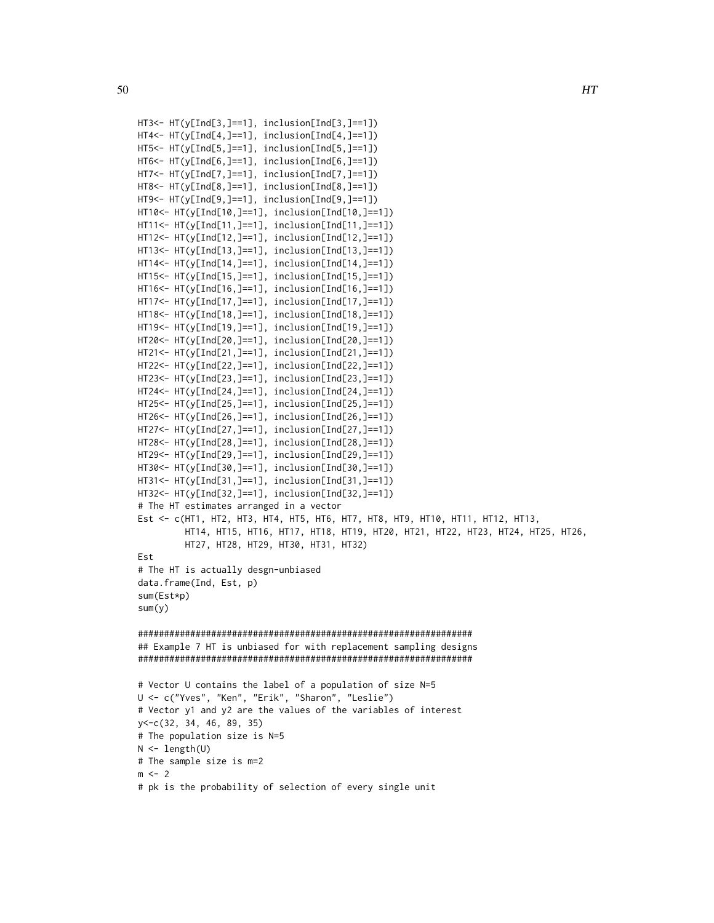```
HT3<- HT(y[Ind[3,]==1], inclusion[Ind[3,]==1])
HT4<- HT(y[Ind[4,]==1], inclusion[Ind[4,]==1])
HT5<- HT(y[Ind[5,]==1], inclusion[Ind[5,]==1])
HT6<- HT(y[Ind[6,]==1], inclusion[Ind[6,]==1])
HT7<- HT(y[Ind[7,]==1], inclusion[Ind[7,]==1])
HT8<- HT(y[Ind[8,]==1], inclusion[Ind[8,]==1])
HT9<- HT(y[Ind[9,]==1], inclusion[Ind[9,]==1])
HT10<- HT(y[Ind[10,]==1], inclusion[Ind[10,]==1])
HT11<- HT(y[Ind[11,]==1], inclusion[Ind[11,]==1])
HT12<- HT(y[Ind[12,]==1], inclusion[Ind[12,]==1])
HT13<- HT(y[Ind[13,]==1], inclusion[Ind[13,]==1])
HT14<- HT(y[Ind[14,]==1], inclusion[Ind[14,]==1])
HT15<- HT(y[Ind[15,]==1], inclusion[Ind[15,]==1])
HT16<- HT(y[Ind[16,]==1], inclusion[Ind[16,]==1])
HT17<- HT(y[Ind[17,]==1], inclusion[Ind[17,]==1])
HT18<- HT(y[Ind[18,]==1], inclusion[Ind[18,]==1])
HT19<- HT(y[Ind[19,]==1], inclusion[Ind[19,]==1])
HT20<- HT(y[Ind[20,]==1], inclusion[Ind[20,]==1])
HT21<- HT(y[Ind[21,]==1], inclusion[Ind[21,]==1])
HT22<- HT(y[Ind[22,]==1], inclusion[Ind[22,]==1])
HT23<- HT(y[Ind[23,]==1], inclusion[Ind[23,]==1])
HT24<- HT(y[Ind[24,]==1], inclusion[Ind[24,]==1])
HT25<- HT(y[Ind[25,]==1], inclusion[Ind[25,]==1])
HT26<- HT(y[Ind[26,]==1], inclusion[Ind[26,]==1])
HT27<- HT(y[Ind[27,]==1], inclusion[Ind[27,]==1])
HT28<- HT(y[Ind[28,]==1], inclusion[Ind[28,]==1])
HT29<- HT(y[Ind[29,]==1], inclusion[Ind[29,]==1])
HT30<- HT(y[Ind[30,]==1], inclusion[Ind[30,]==1])
HT31<- HT(y[Ind[31,]==1], inclusion[Ind[31,]==1])
HT32<- HT(y[Ind[32,]==1], inclusion[Ind[32,]==1])
# The HT estimates arranged in a vector
Est <- c(HT1, HT2, HT3, HT4, HT5, HT6, HT7, HT8, HT9, HT10, HT11, HT12, HT13,
         HT14, HT15, HT16, HT17, HT18, HT19, HT20, HT21, HT22, HT23, HT24, HT25, HT26,
         HT27, HT28, HT29, HT30, HT31, HT32)
Est
# The HT is actually desgn-unbiased
data.frame(Ind, Est, p)
sum(Est*p)
sum(y)
################################################################
## Example 7 HT is unbiased for with replacement sampling designs
################################################################
# Vector U contains the label of a population of size N=5
U <- c("Yves", "Ken", "Erik", "Sharon", "Leslie")
# Vector y1 and y2 are the values of the variables of interest
y<-c(32, 34, 46, 89, 35)
# The population size is N=5
N \leftarrow length(U)
```

```
# The sample size is m=2
```

```
m < -2
```
# pk is the probability of selection of every single unit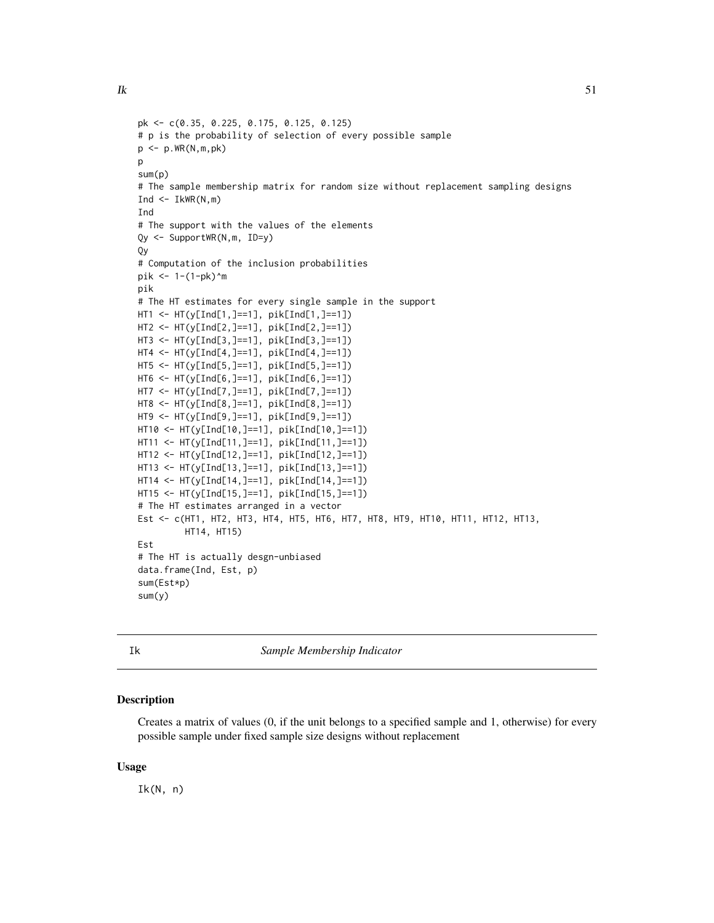```
pk <- c(0.35, 0.225, 0.175, 0.125, 0.125)
# p is the probability of selection of every possible sample
p <- p.WR(N,m,pk)
\mathbf{D}sum(p)
# The sample membership matrix for random size without replacement sampling designs
Ind \leq IkWR(N,m)
Ind
# The support with the values of the elements
Qy <- SupportWR(N,m, ID=y)
Qy
# Computation of the inclusion probabilities
pik <- 1-(1-pk)^m
pik
# The HT estimates for every single sample in the support
HT1 <- HT(y[Ind[1,]==1], pik[Ind[1,]==1])
HT2 <- HT(y[Ind[2,]==1], pik[Ind[2,]==1])
HT3 <- HT(y[Ind[3,]==1], pik[Ind[3,]==1])
HT4 <- HT(y[Ind[4,]==1], pik[Ind[4,]==1])
HT5 <- HT(y[Ind[5,]==1], pik[Ind[5,]==1])
HT6 <- HT(y[Ind[6,]==1], pik[Ind[6,]==1])
HT7 <- HT(y[Ind[7,]==1], pik[Ind[7,]==1])
HT8 <- HT(y[Ind[8,]==1], pik[Ind[8,]==1])
HT9 <- HT(y[Ind[9,]==1], pik[Ind[9,]==1])
HT10 <- HT(y[Ind[10,]==1], pik[Ind[10,]==1])
HT11 <- HT(y[Ind[11,]==1], pik[Ind[11,]==1])
HT12 <- HT(y[Ind[12,]==1], pik[Ind[12,]==1])
HT13 <- HT(y[Ind[13,]==1], pik[Ind[13,]==1])
HT14 <- HT(y[Ind[14,]==1], pik[Ind[14,]==1])
HT15 <- HT(y[Ind[15,]==1], pik[Ind[15,]==1])
# The HT estimates arranged in a vector
Est <- c(HT1, HT2, HT3, HT4, HT5, HT6, HT7, HT8, HT9, HT10, HT11, HT12, HT13,
         HT14, HT15)
Est
# The HT is actually desgn-unbiased
data.frame(Ind, Est, p)
sum(Est*p)
sum(y)
```
Ik *Sample Membership Indicator*

#### Description

Creates a matrix of values (0, if the unit belongs to a specified sample and 1, otherwise) for every possible sample under fixed sample size designs without replacement

## Usage

Ik(N, n)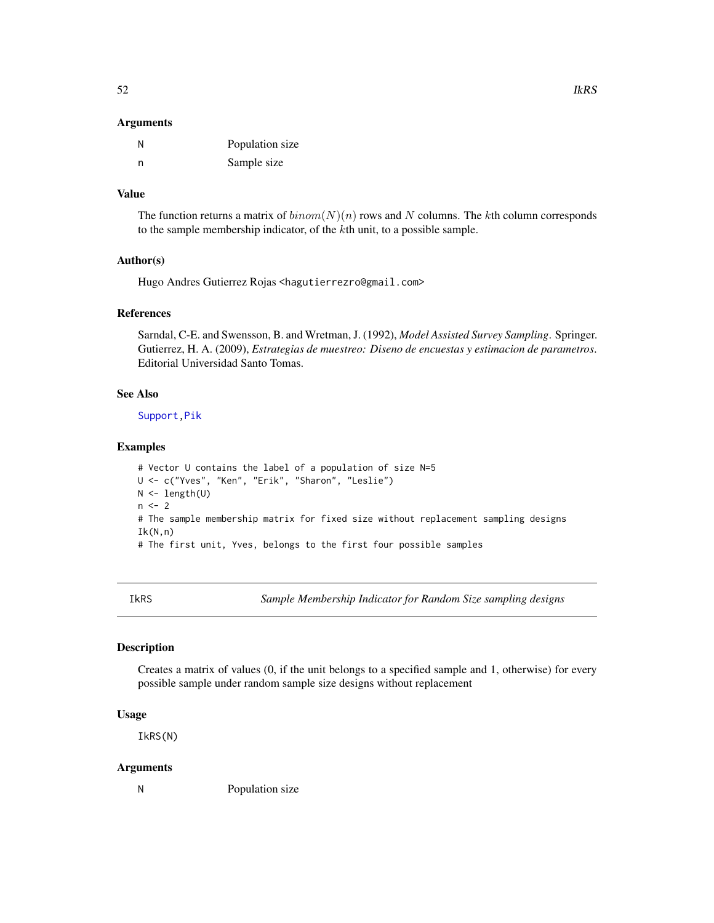#### **Arguments**

| N | Population size |
|---|-----------------|
| n | Sample size     |

# Value

The function returns a matrix of  $binom(N)(n)$  rows and N columns. The kth column corresponds to the sample membership indicator, of the kth unit, to a possible sample.

## Author(s)

Hugo Andres Gutierrez Rojas <hagutierrezro@gmail.com>

## References

Sarndal, C-E. and Swensson, B. and Wretman, J. (1992), *Model Assisted Survey Sampling*. Springer. Gutierrez, H. A. (2009), *Estrategias de muestreo: Diseno de encuestas y estimacion de parametros*. Editorial Universidad Santo Tomas.

## See Also

[Support](#page-85-0)[,Pik](#page-60-0)

## Examples

```
# Vector U contains the label of a population of size N=5
U <- c("Yves", "Ken", "Erik", "Sharon", "Leslie")
N <- length(U)
n < -2# The sample membership matrix for fixed size without replacement sampling designs
Ik(N,n)# The first unit, Yves, belongs to the first four possible samples
```
IkRS *Sample Membership Indicator for Random Size sampling designs*

# Description

Creates a matrix of values (0, if the unit belongs to a specified sample and 1, otherwise) for every possible sample under random sample size designs without replacement

# Usage

IkRS(N)

# Arguments

N Population size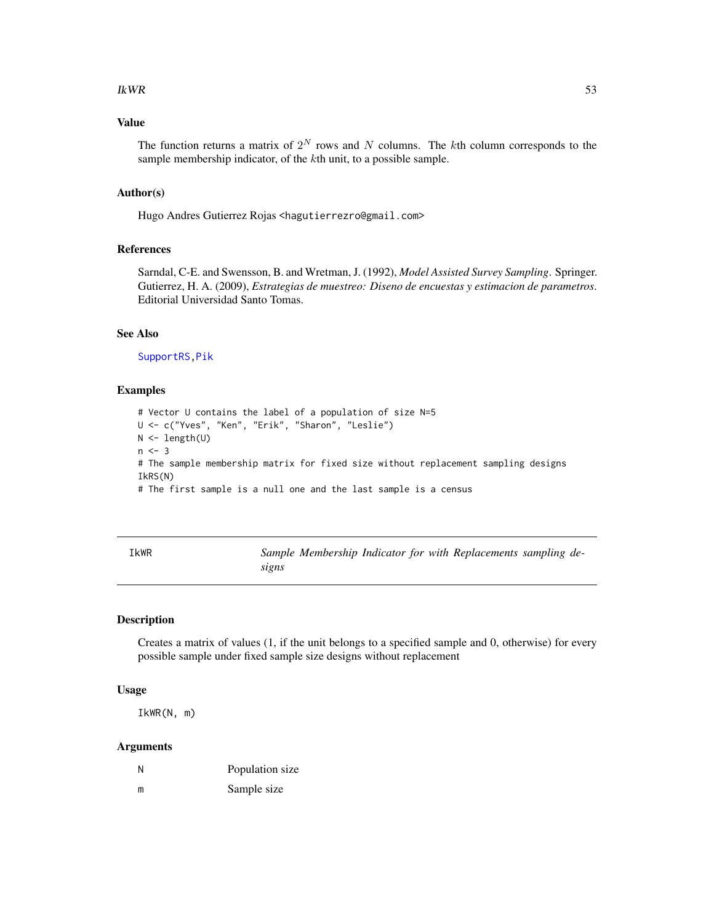#### $IkWR$  53

# Value

The function returns a matrix of  $2^N$  rows and N columns. The kth column corresponds to the sample membership indicator, of the kth unit, to a possible sample.

#### Author(s)

Hugo Andres Gutierrez Rojas <hagutierrezro@gmail.com>

# References

Sarndal, C-E. and Swensson, B. and Wretman, J. (1992), *Model Assisted Survey Sampling*. Springer. Gutierrez, H. A. (2009), *Estrategias de muestreo: Diseno de encuestas y estimacion de parametros*. Editorial Universidad Santo Tomas.

# See Also

[SupportRS](#page-86-0)[,Pik](#page-60-0)

# Examples

```
# Vector U contains the label of a population of size N=5
U <- c("Yves", "Ken", "Erik", "Sharon", "Leslie")
N <- length(U)
n < -3# The sample membership matrix for fixed size without replacement sampling designs
IkRS(N)
# The first sample is a null one and the last sample is a census
```

| IkWR |       |  |  | Sample Membership Indicator for with Replacements sampling de- |  |
|------|-------|--|--|----------------------------------------------------------------|--|
|      | sıgns |  |  |                                                                |  |

## Description

Creates a matrix of values (1, if the unit belongs to a specified sample and 0, otherwise) for every possible sample under fixed sample size designs without replacement

## Usage

IkWR(N, m)

| N | Population size |
|---|-----------------|
| m | Sample size     |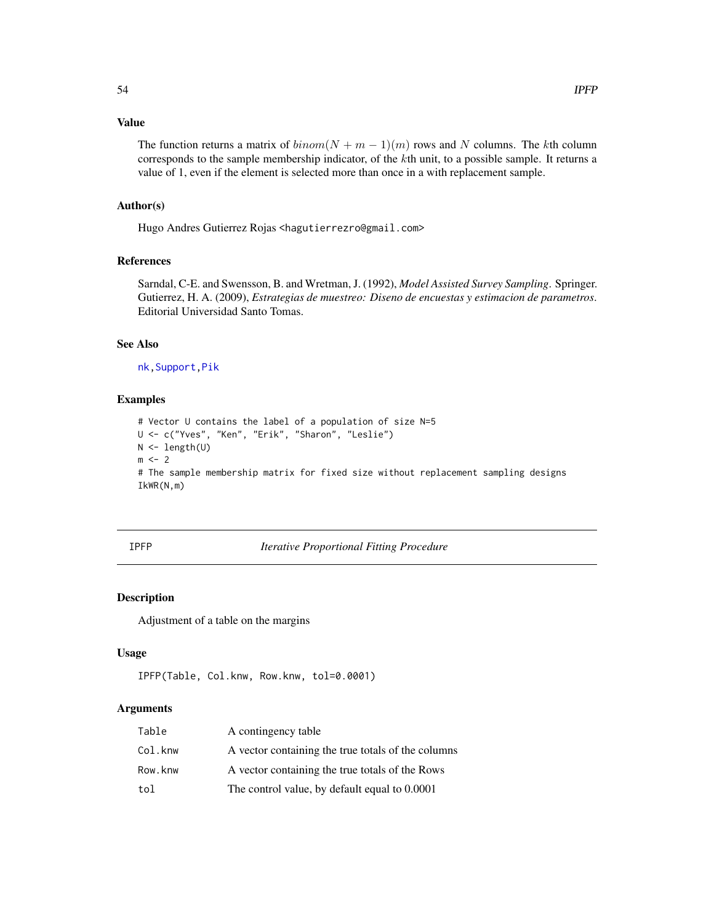# Value

The function returns a matrix of  $binom(N + m - 1)(m)$  rows and N columns. The kth column corresponds to the sample membership indicator, of the  $k$ th unit, to a possible sample. It returns a value of 1, even if the element is selected more than once in a with replacement sample.

## Author(s)

Hugo Andres Gutierrez Rojas <hagutierrezro@gmail.com>

## References

Sarndal, C-E. and Swensson, B. and Wretman, J. (1992), *Model Assisted Survey Sampling*. Springer. Gutierrez, H. A. (2009), *Estrategias de muestreo: Diseno de encuestas y estimacion de parametros*. Editorial Universidad Santo Tomas.

#### See Also

[nk](#page-56-0)[,Support](#page-85-0)[,Pik](#page-60-0)

#### Examples

```
# Vector U contains the label of a population of size N=5
U <- c("Yves", "Ken", "Erik", "Sharon", "Leslie")
N <- length(U)
m \leq -2# The sample membership matrix for fixed size without replacement sampling designs
IkWR(N,m)
```
# IPFP *Iterative Proportional Fitting Procedure*

# Description

Adjustment of a table on the margins

## Usage

```
IPFP(Table, Col.knw, Row.knw, tol=0.0001)
```

| Table   | A contingency table                                |
|---------|----------------------------------------------------|
| Col.knw | A vector containing the true totals of the columns |
| Row.knw | A vector containing the true totals of the Rows    |
| tol     | The control value, by default equal to 0.0001      |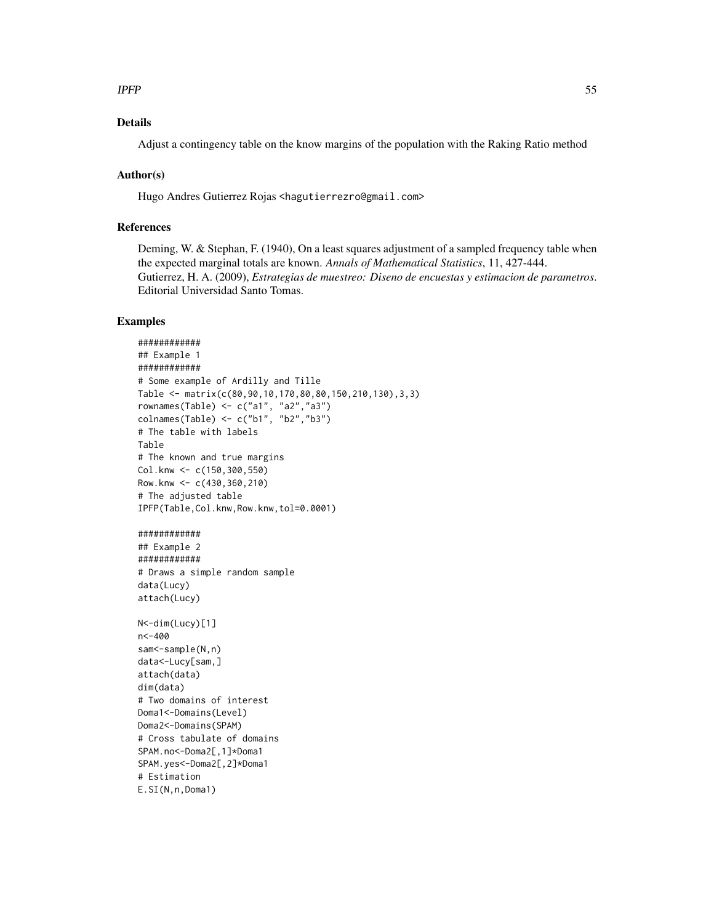## $I$ PFP 55

# Details

Adjust a contingency table on the know margins of the population with the Raking Ratio method

## Author(s)

Hugo Andres Gutierrez Rojas <hagutierrezro@gmail.com>

# References

Deming, W. & Stephan, F. (1940), On a least squares adjustment of a sampled frequency table when the expected marginal totals are known. *Annals of Mathematical Statistics*, 11, 427-444. Gutierrez, H. A. (2009), *Estrategias de muestreo: Diseno de encuestas y estimacion de parametros*. Editorial Universidad Santo Tomas.

```
############
## Example 1
############
# Some example of Ardilly and Tille
Table <- matrix(c(80,90,10,170,80,80,150,210,130),3,3)
rownames(Table) <- c("a1", "a2","a3")
colnames(Table) <- c("b1", "b2","b3")
# The table with labels
Table
# The known and true margins
Col.knw <- c(150,300,550)
Row.knw \leq -c(430, 360, 210)# The adjusted table
IPFP(Table,Col.knw,Row.knw,tol=0.0001)
############
## Example 2
############
# Draws a simple random sample
data(Lucy)
attach(Lucy)
N<-dim(Lucy)[1]
n<-400
sam<-sample(N,n)
data<-Lucy[sam,]
attach(data)
dim(data)
# Two domains of interest
Doma1<-Domains(Level)
Doma2<-Domains(SPAM)
# Cross tabulate of domains
SPAM.no<-Doma2[,1]*Doma1
SPAM.yes<-Doma2[,2]*Doma1
# Estimation
E.SI(N,n,Doma1)
```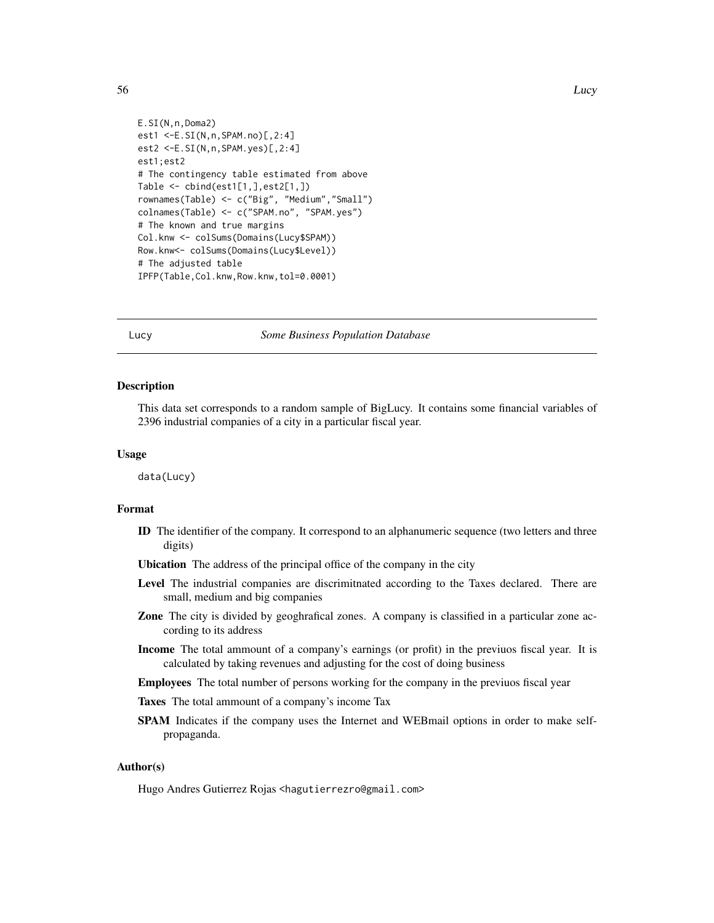```
E.SI(N,n,Doma2)
est1 <-E.SI(N,n,SPAM.no)[,2:4]
est2 <-E.SI(N,n,SPAM.yes)[,2:4]
est1;est2
# The contingency table estimated from above
Table <- cbind(est1[1,],est2[1,])
rownames(Table) <- c("Big", "Medium","Small")
colnames(Table) <- c("SPAM.no", "SPAM.yes")
# The known and true margins
Col.knw <- colSums(Domains(Lucy$SPAM))
Row.knw<- colSums(Domains(Lucy$Level))
# The adjusted table
IPFP(Table,Col.knw,Row.knw,tol=0.0001)
```
#### Lucy *Some Business Population Database*

#### Description

This data set corresponds to a random sample of BigLucy. It contains some financial variables of 2396 industrial companies of a city in a particular fiscal year.

# Usage

data(Lucy)

## Format

- ID The identifier of the company. It correspond to an alphanumeric sequence (two letters and three digits)
- Ubication The address of the principal office of the company in the city
- Level The industrial companies are discrimitnated according to the Taxes declared. There are small, medium and big companies
- Zone The city is divided by geoghrafical zones. A company is classified in a particular zone according to its address
- Income The total ammount of a company's earnings (or profit) in the previuos fiscal year. It is calculated by taking revenues and adjusting for the cost of doing business
- Employees The total number of persons working for the company in the previuos fiscal year
- Taxes The total ammount of a company's income Tax
- SPAM Indicates if the company uses the Internet and WEBmail options in order to make selfpropaganda.

## Author(s)

Hugo Andres Gutierrez Rojas <hagutierrezro@gmail.com>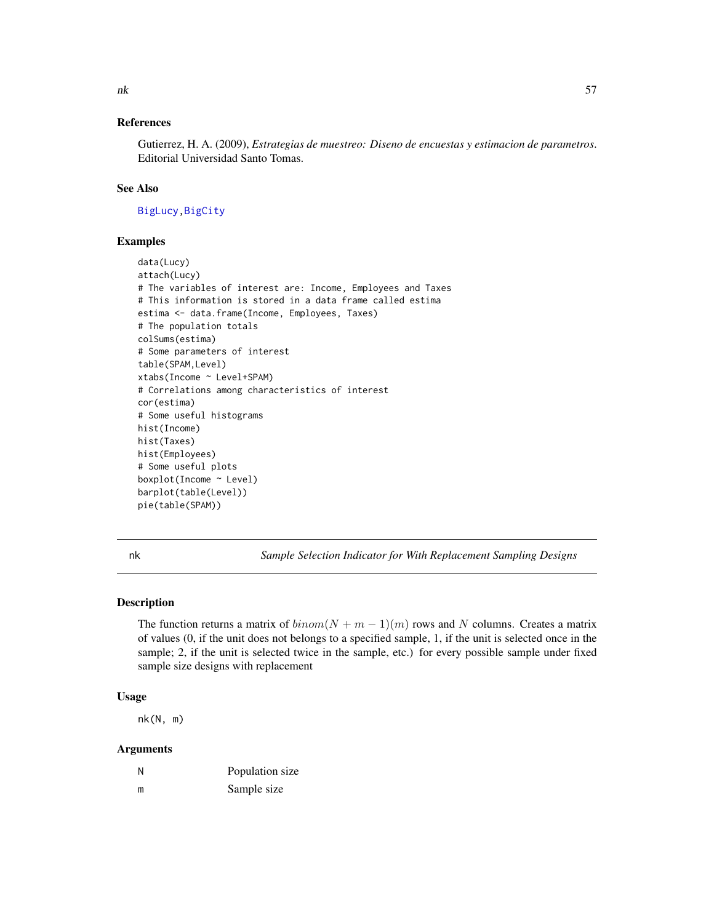# References

Gutierrez, H. A. (2009), *Estrategias de muestreo: Diseno de encuestas y estimacion de parametros*. Editorial Universidad Santo Tomas.

# See Also

[BigLucy](#page-3-0)[,BigCity](#page-2-0)

## Examples

```
data(Lucy)
attach(Lucy)
# The variables of interest are: Income, Employees and Taxes
# This information is stored in a data frame called estima
estima <- data.frame(Income, Employees, Taxes)
# The population totals
colSums(estima)
# Some parameters of interest
table(SPAM,Level)
xtabs(Income ~ Level+SPAM)
# Correlations among characteristics of interest
cor(estima)
# Some useful histograms
hist(Income)
hist(Taxes)
hist(Employees)
# Some useful plots
boxplot(Income ~ Level)
barplot(table(Level))
pie(table(SPAM))
```
<span id="page-56-0"></span>

nk *Sample Selection Indicator for With Replacement Sampling Designs*

# **Description**

The function returns a matrix of  $binom(N + m - 1)(m)$  rows and N columns. Creates a matrix of values (0, if the unit does not belongs to a specified sample, 1, if the unit is selected once in the sample; 2, if the unit is selected twice in the sample, etc.) for every possible sample under fixed sample size designs with replacement

# Usage

nk(N, m)

| N | Population size |
|---|-----------------|
| m | Sample size     |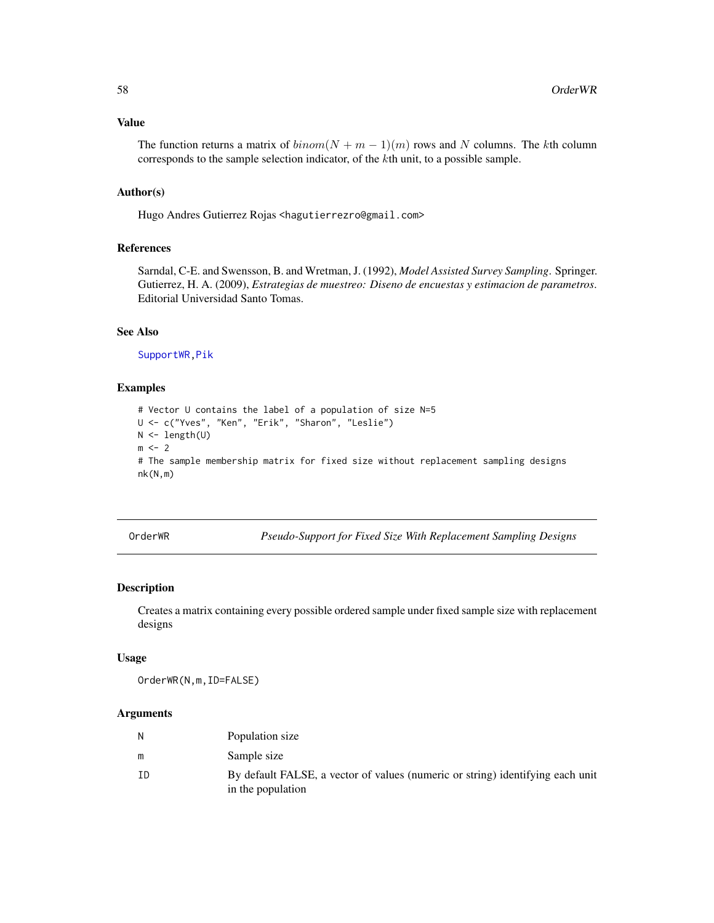## Value

The function returns a matrix of  $binom(N + m - 1)(m)$  rows and N columns. The kth column corresponds to the sample selection indicator, of the kth unit, to a possible sample.

# Author(s)

Hugo Andres Gutierrez Rojas <hagutierrezro@gmail.com>

## References

Sarndal, C-E. and Swensson, B. and Wretman, J. (1992), *Model Assisted Survey Sampling*. Springer. Gutierrez, H. A. (2009), *Estrategias de muestreo: Diseno de encuestas y estimacion de parametros*. Editorial Universidad Santo Tomas.

## See Also

[SupportWR](#page-88-0)[,Pik](#page-60-0)

## Examples

```
# Vector U contains the label of a population of size N=5
U <- c("Yves", "Ken", "Erik", "Sharon", "Leslie")
N <- length(U)
m \le -2# The sample membership matrix for fixed size without replacement sampling designs
nk(N,m)
```
OrderWR *Pseudo-Support for Fixed Size With Replacement Sampling Designs*

#### Description

Creates a matrix containing every possible ordered sample under fixed sample size with replacement designs

#### Usage

OrderWR(N,m,ID=FALSE)

| N  | Population size                                                                                     |
|----|-----------------------------------------------------------------------------------------------------|
| m  | Sample size                                                                                         |
| ΙD | By default FALSE, a vector of values (numeric or string) identifying each unit<br>in the population |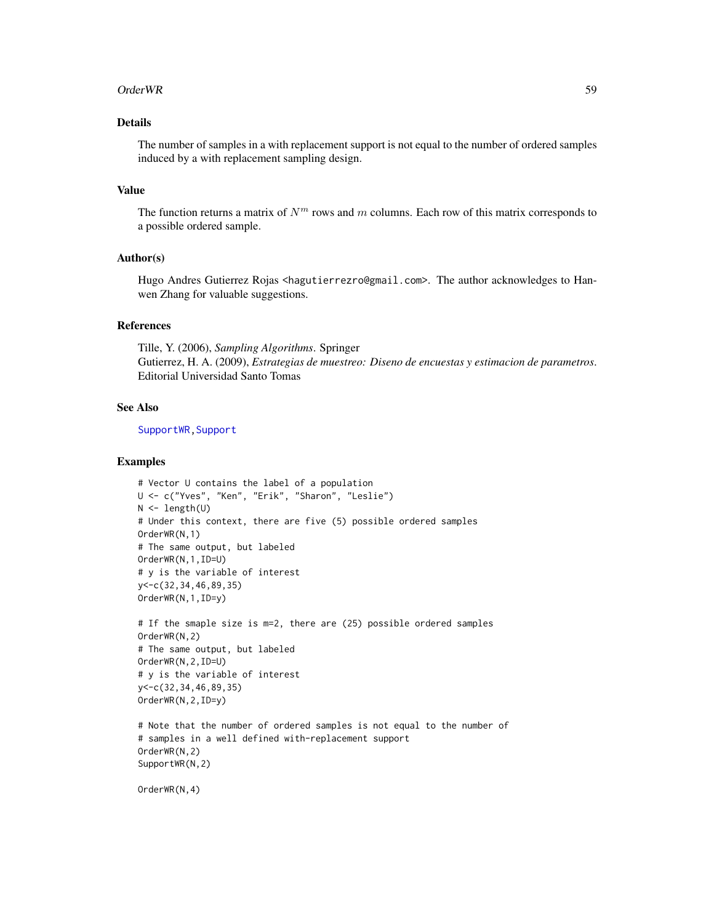#### Order WR 59

# Details

The number of samples in a with replacement support is not equal to the number of ordered samples induced by a with replacement sampling design.

## Value

The function returns a matrix of  $N<sup>m</sup>$  rows and m columns. Each row of this matrix corresponds to a possible ordered sample.

## Author(s)

Hugo Andres Gutierrez Rojas <hagutierrezro@gmail.com>. The author acknowledges to Hanwen Zhang for valuable suggestions.

## References

Tille, Y. (2006), *Sampling Algorithms*. Springer Gutierrez, H. A. (2009), *Estrategias de muestreo: Diseno de encuestas y estimacion de parametros*. Editorial Universidad Santo Tomas

#### See Also

[SupportWR](#page-88-0)[,Support](#page-85-0)

## Examples

```
# Vector U contains the label of a population
U <- c("Yves", "Ken", "Erik", "Sharon", "Leslie")
N < - length(U)
# Under this context, there are five (5) possible ordered samples
OrderWR(N,1)
# The same output, but labeled
OrderWR(N,1,ID=U)
# y is the variable of interest
y<-c(32,34,46,89,35)
OrderWR(N,1,ID=y)
# If the smaple size is m=2, there are (25) possible ordered samples
```

```
OrderWR(N,2)
# The same output, but labeled
OrderWR(N,2,ID=U)
# y is the variable of interest
y<-c(32,34,46,89,35)
OrderWR(N,2,ID=y)
```

```
# Note that the number of ordered samples is not equal to the number of
# samples in a well defined with-replacement support
OrderWR(N,2)
SupportWR(N,2)
```
OrderWR(N,4)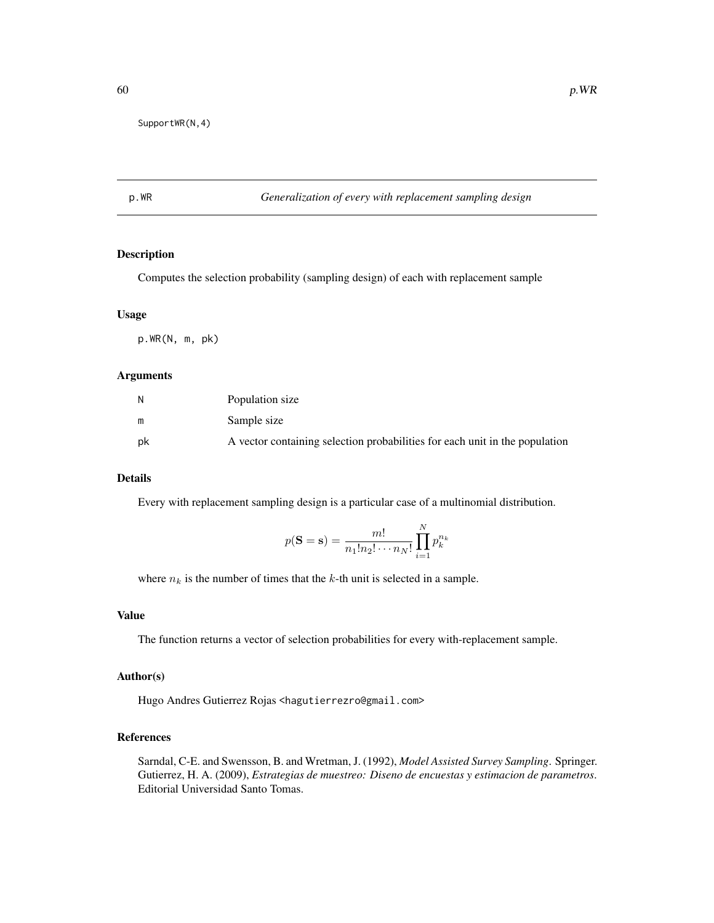# p.WR *Generalization of every with replacement sampling design*

# Description

Computes the selection probability (sampling design) of each with replacement sample

# Usage

p.WR(N, m, pk)

## Arguments

| Ν  | Population size                                                             |
|----|-----------------------------------------------------------------------------|
| m  | Sample size                                                                 |
| pk | A vector containing selection probabilities for each unit in the population |

## Details

Every with replacement sampling design is a particular case of a multinomial distribution.

$$
p(\mathbf{S} = \mathbf{s}) = \frac{m!}{n_1! n_2! \cdots n_N!} \prod_{i=1}^N p_k^{n_k}
$$

where  $n_k$  is the number of times that the k-th unit is selected in a sample.

# Value

The function returns a vector of selection probabilities for every with-replacement sample.

#### Author(s)

Hugo Andres Gutierrez Rojas <hagutierrezro@gmail.com>

## References

Sarndal, C-E. and Swensson, B. and Wretman, J. (1992), *Model Assisted Survey Sampling*. Springer. Gutierrez, H. A. (2009), *Estrategias de muestreo: Diseno de encuestas y estimacion de parametros*. Editorial Universidad Santo Tomas.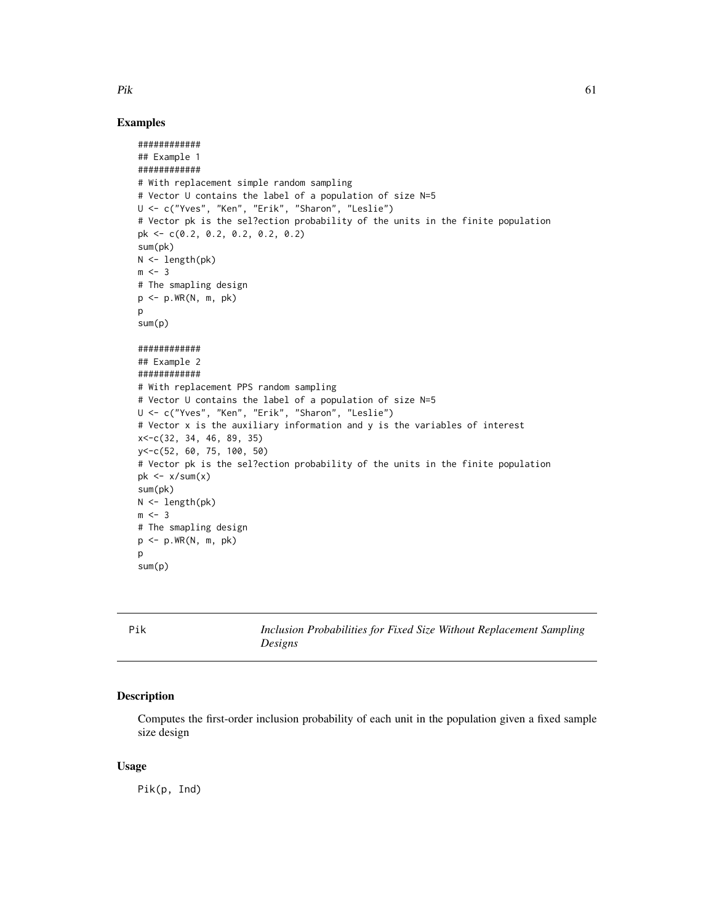# Examples

```
############
## Example 1
############
# With replacement simple random sampling
# Vector U contains the label of a population of size N=5
U <- c("Yves", "Ken", "Erik", "Sharon", "Leslie")
# Vector pk is the sel?ection probability of the units in the finite population
pk <- c(0.2, 0.2, 0.2, 0.2, 0.2)
sum(pk)
N <- length(pk)
m < -3# The smapling design
p \leq -p.WR(N, m, pk)p
sum(p)
############
## Example 2
############
# With replacement PPS random sampling
# Vector U contains the label of a population of size N=5
U <- c("Yves", "Ken", "Erik", "Sharon", "Leslie")
# Vector x is the auxiliary information and y is the variables of interest
x<-c(32, 34, 46, 89, 35)
y<-c(52, 60, 75, 100, 50)
# Vector pk is the sel?ection probability of the units in the finite population
pk \leq x/sum(x)sum(pk)
N < - length(pk)
m < -3# The smapling design
p <- p.WR(N, m, pk)
p
sum(p)
```
<span id="page-60-0"></span>Pik *Inclusion Probabilities for Fixed Size Without Replacement Sampling Designs*

# Description

Computes the first-order inclusion probability of each unit in the population given a fixed sample size design

## Usage

Pik(p, Ind)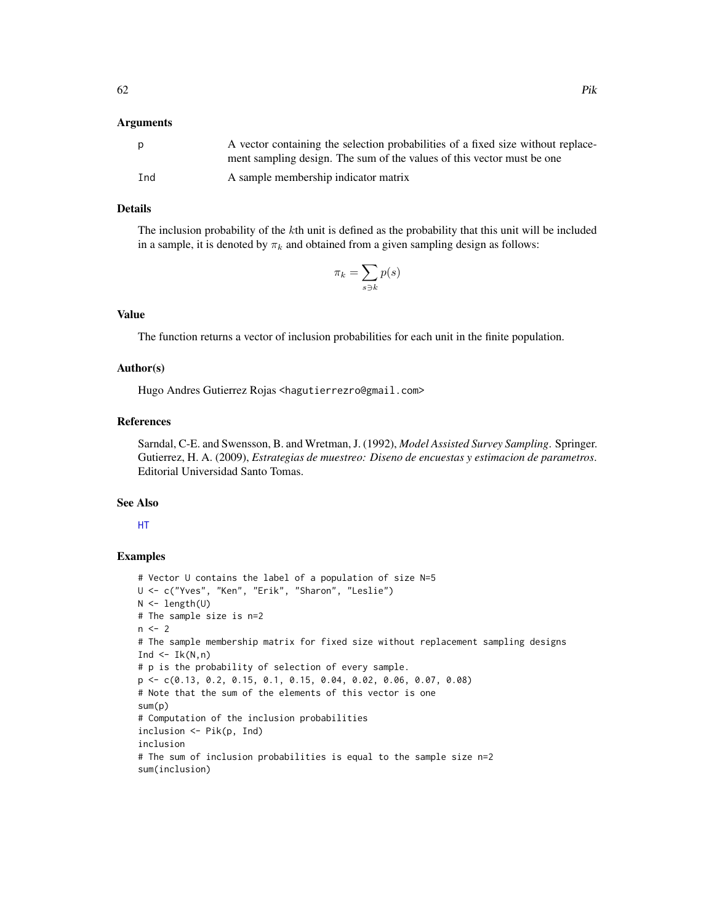## Arguments

| <sub>p</sub> | A vector containing the selection probabilities of a fixed size without replace- |
|--------------|----------------------------------------------------------------------------------|
|              | ment sampling design. The sum of the values of this vector must be one           |
| Ind          | A sample membership indicator matrix                                             |

# Details

The inclusion probability of the kth unit is defined as the probability that this unit will be included in a sample, it is denoted by  $\pi_k$  and obtained from a given sampling design as follows:

$$
\pi_k = \sum_{s \ni k} p(s)
$$

# Value

The function returns a vector of inclusion probabilities for each unit in the finite population.

#### Author(s)

Hugo Andres Gutierrez Rojas <hagutierrezro@gmail.com>

# References

Sarndal, C-E. and Swensson, B. and Wretman, J. (1992), *Model Assisted Survey Sampling*. Springer. Gutierrez, H. A. (2009), *Estrategias de muestreo: Diseno de encuestas y estimacion de parametros*. Editorial Universidad Santo Tomas.

#### See Also

[HT](#page-44-0)

```
# Vector U contains the label of a population of size N=5
U <- c("Yves", "Ken", "Erik", "Sharon", "Leslie")
N <- length(U)
# The sample size is n=2
n < - 2# The sample membership matrix for fixed size without replacement sampling designs
Ind \leq Ik(N,n)
# p is the probability of selection of every sample.
p <- c(0.13, 0.2, 0.15, 0.1, 0.15, 0.04, 0.02, 0.06, 0.07, 0.08)
# Note that the sum of the elements of this vector is one
sum(p)
# Computation of the inclusion probabilities
inclusion <- Pik(p, Ind)
inclusion
# The sum of inclusion probabilities is equal to the sample size n=2
sum(inclusion)
```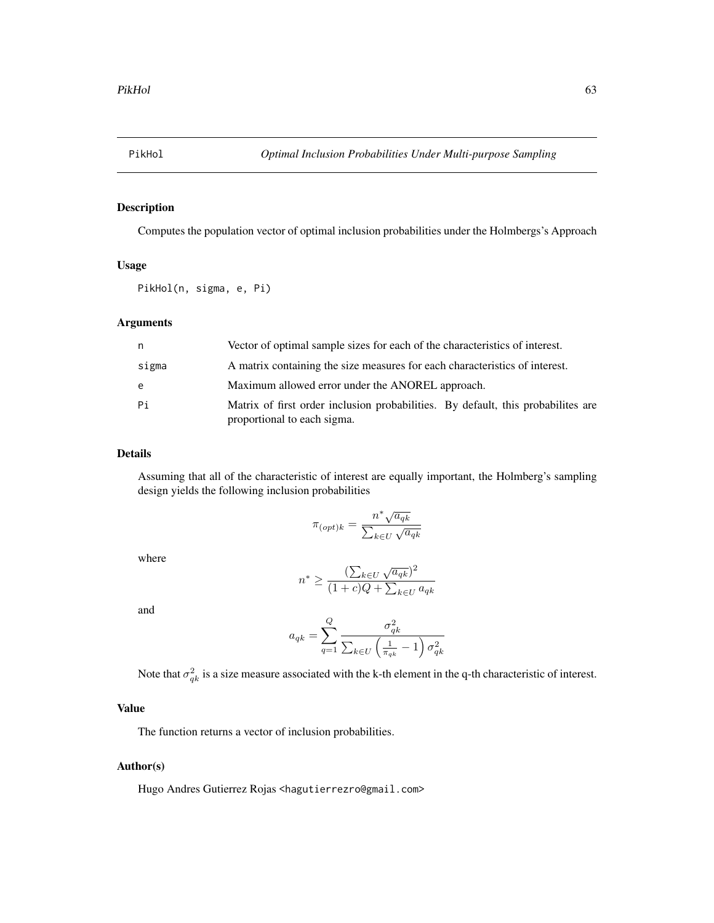<span id="page-62-0"></span>

# Description

Computes the population vector of optimal inclusion probabilities under the Holmbergs's Approach

## Usage

PikHol(n, sigma, e, Pi)

# Arguments

| n.    | Vector of optimal sample sizes for each of the characteristics of interest.                                      |
|-------|------------------------------------------------------------------------------------------------------------------|
| sigma | A matrix containing the size measures for each characteristics of interest.                                      |
| e     | Maximum allowed error under the ANOREL approach.                                                                 |
| Pi    | Matrix of first order inclusion probabilities. By default, this probabilities are<br>proportional to each sigma. |

# Details

Assuming that all of the characteristic of interest are equally important, the Holmberg's sampling design yields the following inclusion probabilities

$$
\pi_{(opt)k} = \frac{n^* \sqrt{a_{qk}}}{\sum_{k \in U} \sqrt{a_{qk}}}
$$

where

$$
n^* \ge \frac{(\sum_{k \in U} \sqrt{a_{qk}})^2}{(1+c)Q + \sum_{k \in U} a_{qk}}
$$

and

$$
a_{qk} = \sum_{q=1}^{Q} \frac{\sigma_{qk}^2}{\sum_{k \in U} \left(\frac{1}{\pi_{qk}} - 1\right) \sigma_{qk}^2}
$$

Note that  $\sigma_{qk}^2$  is a size measure associated with the k-th element in the q-th characteristic of interest.

# Value

The function returns a vector of inclusion probabilities.

# Author(s)

Hugo Andres Gutierrez Rojas <hagutierrezro@gmail.com>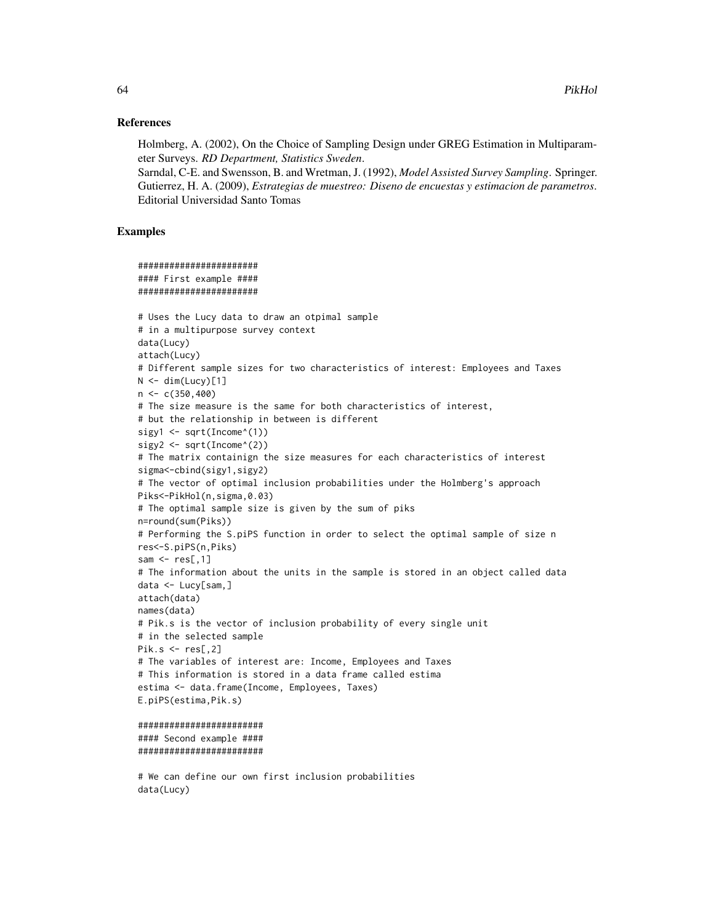#### References

Holmberg, A. (2002), On the Choice of Sampling Design under GREG Estimation in Multiparameter Surveys. *RD Department, Statistics Sweden*.

Sarndal, C-E. and Swensson, B. and Wretman, J. (1992), *Model Assisted Survey Sampling*. Springer. Gutierrez, H. A. (2009), *Estrategias de muestreo: Diseno de encuestas y estimacion de parametros*. Editorial Universidad Santo Tomas

## Examples

```
#######################
#### First example ####
#######################
# Uses the Lucy data to draw an otpimal sample
# in a multipurpose survey context
data(Lucy)
attach(Lucy)
# Different sample sizes for two characteristics of interest: Employees and Taxes
N < - dim(Lucy)[1]
n < -c(350, 400)# The size measure is the same for both characteristics of interest,
# but the relationship in between is different
sigy1 <- sqrt(Income^(1))
sigy2 \leq sqrt(Income^(2))
# The matrix containign the size measures for each characteristics of interest
sigma<-cbind(sigy1,sigy2)
# The vector of optimal inclusion probabilities under the Holmberg's approach
Piks<-PikHol(n,sigma,0.03)
# The optimal sample size is given by the sum of piks
n=round(sum(Piks))
# Performing the S.piPS function in order to select the optimal sample of size n
res<-S.piPS(n,Piks)
sam \leq res[,1]
# The information about the units in the sample is stored in an object called data
data <- Lucy[sam,]
attach(data)
names(data)
# Pik.s is the vector of inclusion probability of every single unit
# in the selected sample
Pik.s \leftarrow res[, 2]# The variables of interest are: Income, Employees and Taxes
# This information is stored in a data frame called estima
estima <- data.frame(Income, Employees, Taxes)
E.piPS(estima,Pik.s)
########################
```

```
#### Second example ####
########################
```
# We can define our own first inclusion probabilities data(Lucy)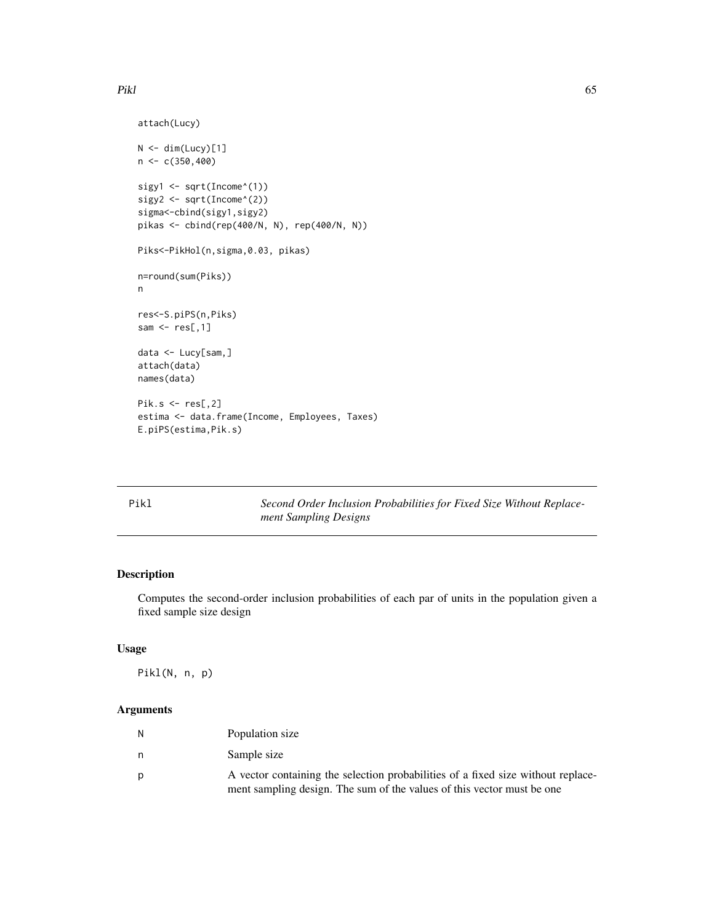```
attach(Lucy)
N < - dim(Lucy)[1]
n < c(350, 400)sigy1 <- sqrt(Income^(1))
sigy2 <- sqrt(Income^(2))
sigma<-cbind(sigy1,sigy2)
pikas <- cbind(rep(400/N, N), rep(400/N, N))
Piks<-PikHol(n,sigma,0.03, pikas)
n=round(sum(Piks))
n
res<-S.piPS(n,Piks)
sam \leq res[,1]
data <- Lucy[sam,]
attach(data)
names(data)
Pik.s <- res[,2]
estima <- data.frame(Income, Employees, Taxes)
E.piPS(estima,Pik.s)
```

| × |
|---|
|---|

1 Second *Order Inclusion Probabilities for Fixed Size Without Replacement Sampling Designs*

# Description

Computes the second-order inclusion probabilities of each par of units in the population given a fixed sample size design

#### Usage

Pikl(N, n, p)

| N | Population size                                                                  |
|---|----------------------------------------------------------------------------------|
| n | Sample size                                                                      |
| D | A vector containing the selection probabilities of a fixed size without replace- |
|   | ment sampling design. The sum of the values of this vector must be one           |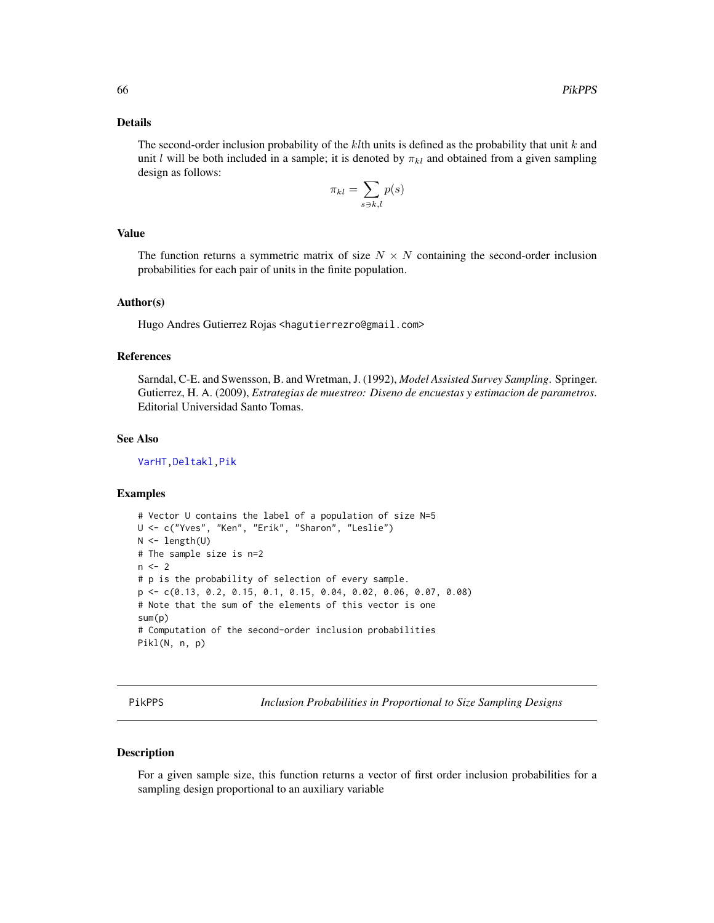## Details

The second-order inclusion probability of the  $k$ th units is defined as the probability that unit  $k$  and unit l will be both included in a sample; it is denoted by  $\pi_{kl}$  and obtained from a given sampling design as follows:

$$
\pi_{kl} = \sum_{s \ni k, l} p(s)
$$

## Value

The function returns a symmetric matrix of size  $N \times N$  containing the second-order inclusion probabilities for each pair of units in the finite population.

# Author(s)

Hugo Andres Gutierrez Rojas <hagutierrezro@gmail.com>

## References

Sarndal, C-E. and Swensson, B. and Wretman, J. (1992), *Model Assisted Survey Sampling*. Springer. Gutierrez, H. A. (2009), *Estrategias de muestreo: Diseno de encuestas y estimacion de parametros*. Editorial Universidad Santo Tomas.

## See Also

[VarHT](#page-91-0)[,Deltakl](#page-5-0)[,Pik](#page-60-0)

## Examples

```
# Vector U contains the label of a population of size N=5
U <- c("Yves", "Ken", "Erik", "Sharon", "Leslie")
N \leftarrow length(U)
# The sample size is n=2
n < -2# p is the probability of selection of every sample.
p <- c(0.13, 0.2, 0.15, 0.1, 0.15, 0.04, 0.02, 0.06, 0.07, 0.08)
# Note that the sum of the elements of this vector is one
sum(p)
# Computation of the second-order inclusion probabilities
Pikl(N, n, p)
```
<span id="page-65-0"></span>PikPPS *Inclusion Probabilities in Proportional to Size Sampling Designs*

#### Description

For a given sample size, this function returns a vector of first order inclusion probabilities for a sampling design proportional to an auxiliary variable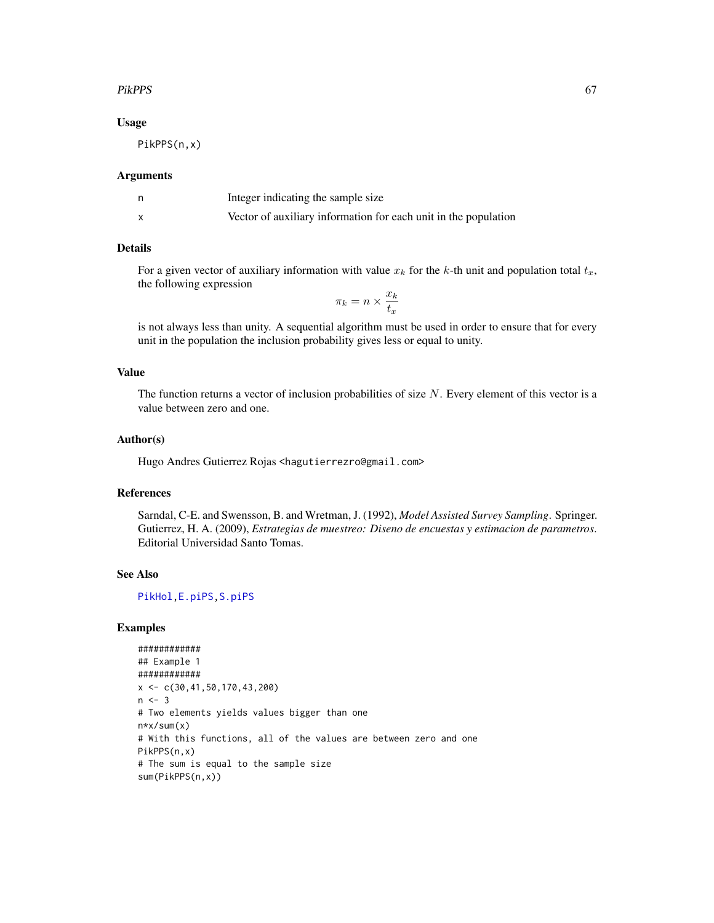## PikPPS 67

## Usage

PikPPS(n,x)

## Arguments

| Integer indicating the sample size                              |
|-----------------------------------------------------------------|
| Vector of auxiliary information for each unit in the population |

#### Details

For a given vector of auxiliary information with value  $x_k$  for the k-th unit and population total  $t_x$ , the following expression

 $\pi_k = n \times \frac{x_k}{t}$  $t_x$ 

is not always less than unity. A sequential algorithm must be used in order to ensure that for every unit in the population the inclusion probability gives less or equal to unity.

## Value

The function returns a vector of inclusion probabilities of size  $N$ . Every element of this vector is a value between zero and one.

## Author(s)

Hugo Andres Gutierrez Rojas <hagutierrezro@gmail.com>

# References

Sarndal, C-E. and Swensson, B. and Wretman, J. (1992), *Model Assisted Survey Sampling*. Springer. Gutierrez, H. A. (2009), *Estrategias de muestreo: Diseno de encuestas y estimacion de parametros*. Editorial Universidad Santo Tomas.

# See Also

[PikHol](#page-62-0)[,E.piPS](#page-16-0)[,S.piPS](#page-71-0)

```
############
## Example 1
############
x \leftarrow c(30, 41, 50, 170, 43, 200)n < -3# Two elements yields values bigger than one
n*x/sum(x)
# With this functions, all of the values are between zero and one
PikPPS(n,x)
# The sum is equal to the sample size
sum(PikPPS(n,x))
```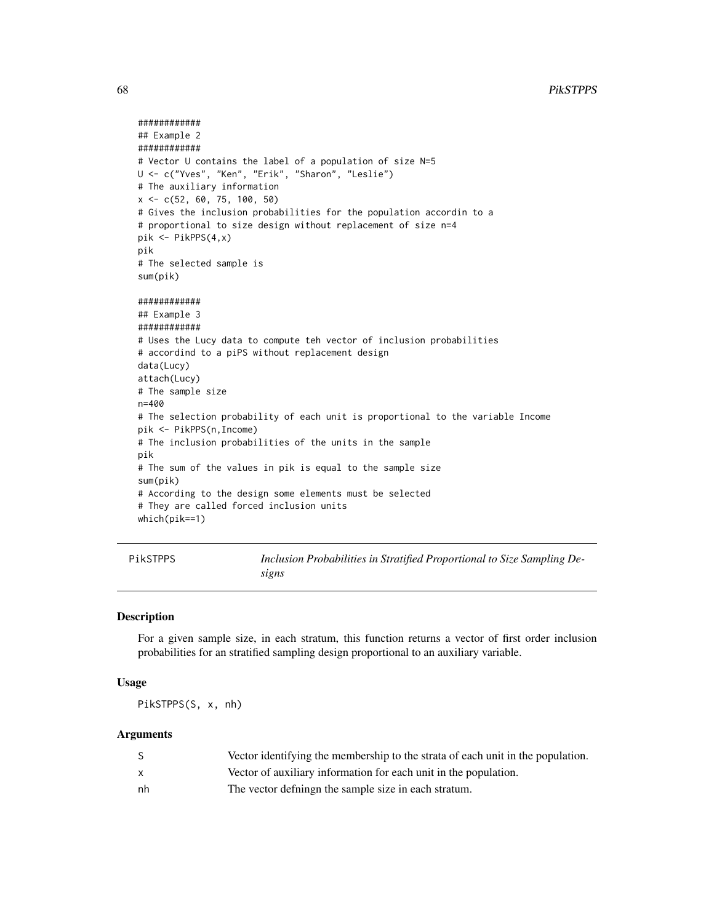```
############
## Example 2
############
# Vector U contains the label of a population of size N=5
U <- c("Yves", "Ken", "Erik", "Sharon", "Leslie")
# The auxiliary information
x <- c(52, 60, 75, 100, 50)
# Gives the inclusion probabilities for the population accordin to a
# proportional to size design without replacement of size n=4
pik <- PikPPS(4,x)
pik
# The selected sample is
sum(pik)
############
## Example 3
############
# Uses the Lucy data to compute teh vector of inclusion probabilities
# accordind to a piPS without replacement design
data(Lucy)
attach(Lucy)
# The sample size
n=400
# The selection probability of each unit is proportional to the variable Income
pik <- PikPPS(n,Income)
# The inclusion probabilities of the units in the sample
pik
# The sum of the values in pik is equal to the sample size
sum(pik)
# According to the design some elements must be selected
# They are called forced inclusion units
which(pik==1)
```
PikSTPPS *Inclusion Probabilities in Stratified Proportional to Size Sampling Designs*

#### Description

For a given sample size, in each stratum, this function returns a vector of first order inclusion probabilities for an stratified sampling design proportional to an auxiliary variable.

#### Usage

PikSTPPS(S, x, nh)

|    | Vector identifying the membership to the strata of each unit in the population. |
|----|---------------------------------------------------------------------------------|
|    | Vector of auxiliary information for each unit in the population.                |
| nh | The vector defining the sample size in each stratum.                            |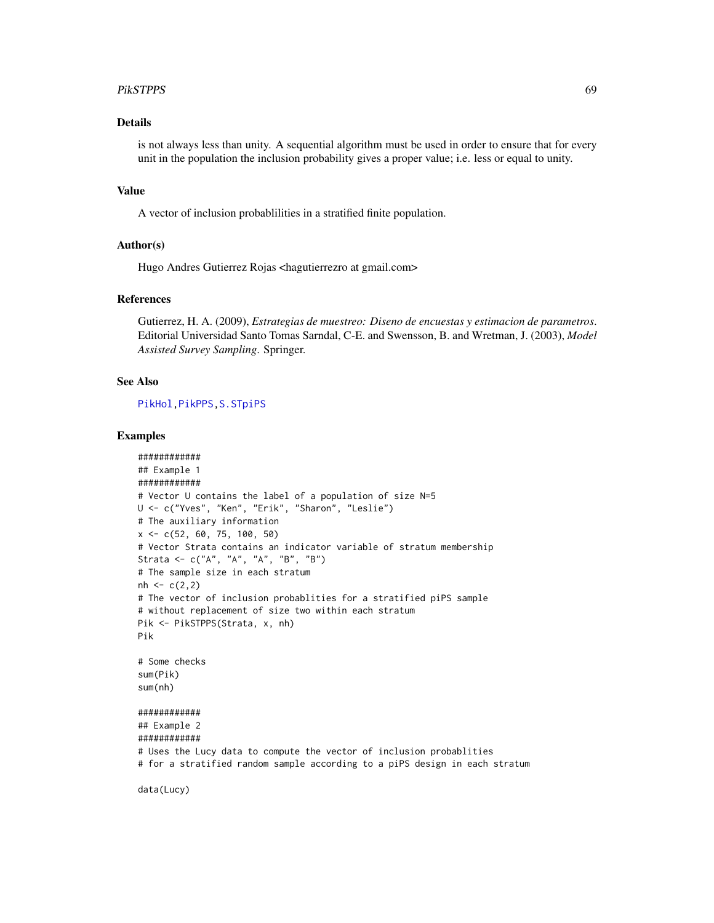#### PikSTPPS 69

# Details

is not always less than unity. A sequential algorithm must be used in order to ensure that for every unit in the population the inclusion probability gives a proper value; i.e. less or equal to unity.

# Value

A vector of inclusion probablilities in a stratified finite population.

#### Author(s)

Hugo Andres Gutierrez Rojas <hagutierrezro at gmail.com>

## References

Gutierrez, H. A. (2009), *Estrategias de muestreo: Diseno de encuestas y estimacion de parametros*. Editorial Universidad Santo Tomas Sarndal, C-E. and Swensson, B. and Wretman, J. (2003), *Model Assisted Survey Sampling*. Springer.

# See Also

[PikHol](#page-62-0)[,PikPPS](#page-65-0)[,S.STpiPS](#page-77-0)

```
############
## Example 1
############
# Vector U contains the label of a population of size N=5
U <- c("Yves", "Ken", "Erik", "Sharon", "Leslie")
# The auxiliary information
x <- c(52, 60, 75, 100, 50)
# Vector Strata contains an indicator variable of stratum membership
Strata <- c("A", "A", "A", "B", "B")
# The sample size in each stratum
nh < -c(2,2)# The vector of inclusion probablities for a stratified piPS sample
# without replacement of size two within each stratum
Pik <- PikSTPPS(Strata, x, nh)
Pik
# Some checks
sum(Pik)
sum(nh)
############
## Example 2
############
# Uses the Lucy data to compute the vector of inclusion probablities
# for a stratified random sample according to a piPS design in each stratum
```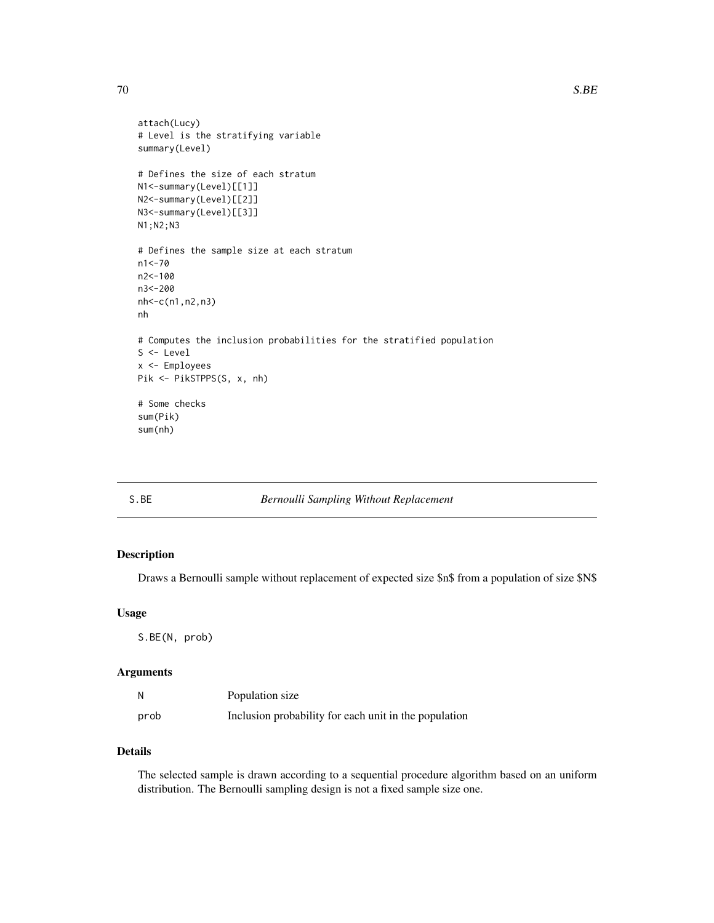```
attach(Lucy)
# Level is the stratifying variable
summary(Level)
# Defines the size of each stratum
N1<-summary(Level)[[1]]
N2<-summary(Level)[[2]]
N3<-summary(Level)[[3]]
N1;N2;N3
# Defines the sample size at each stratum
n1<-70
n2<-100
n3<-200
nh<-c(n1,n2,n3)
nh
# Computes the inclusion probabilities for the stratified population
S <- Level
x <- Employees
Pik <- PikSTPPS(S, x, nh)
# Some checks
sum(Pik)
sum(nh)
```
# S.BE *Bernoulli Sampling Without Replacement*

# Description

Draws a Bernoulli sample without replacement of expected size \$n\$ from a population of size \$N\$

#### Usage

S.BE(N, prob)

# Arguments

| N    | Population size                                       |
|------|-------------------------------------------------------|
| prob | Inclusion probability for each unit in the population |

# Details

The selected sample is drawn according to a sequential procedure algorithm based on an uniform distribution. The Bernoulli sampling design is not a fixed sample size one.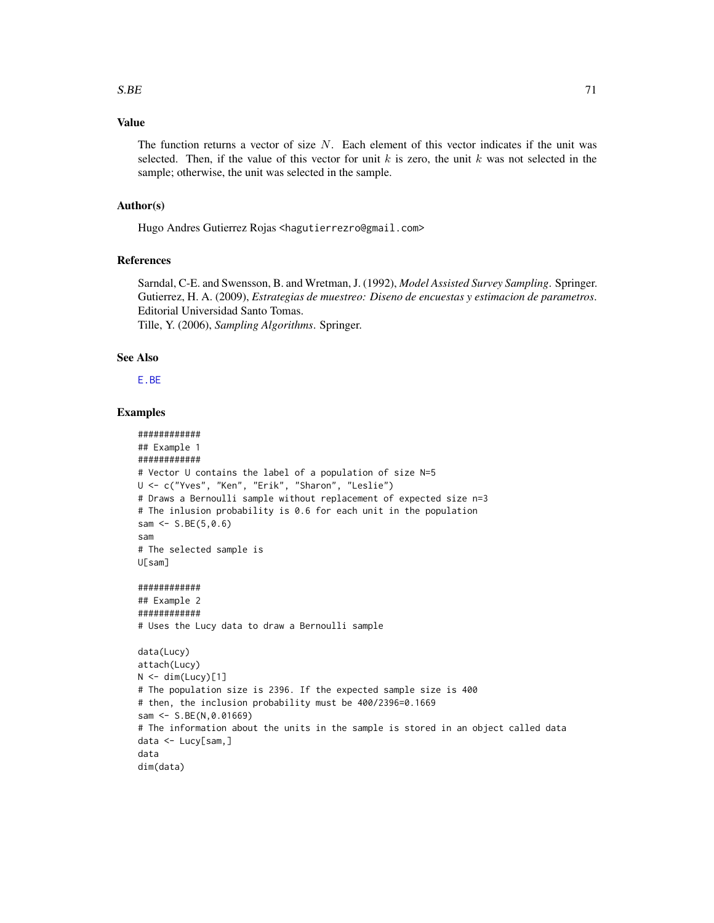# Value

The function returns a vector of size  $N$ . Each element of this vector indicates if the unit was selected. Then, if the value of this vector for unit k is zero, the unit k was not selected in the sample; otherwise, the unit was selected in the sample.

## Author(s)

Hugo Andres Gutierrez Rojas <hagutierrezro@gmail.com>

## References

Sarndal, C-E. and Swensson, B. and Wretman, J. (1992), *Model Assisted Survey Sampling*. Springer. Gutierrez, H. A. (2009), *Estrategias de muestreo: Diseno de encuestas y estimacion de parametros*. Editorial Universidad Santo Tomas. Tille, Y. (2006), *Sampling Algorithms*. Springer.

#### See Also

[E.BE](#page-12-0)

```
############
## Example 1
############
# Vector U contains the label of a population of size N=5
U <- c("Yves", "Ken", "Erik", "Sharon", "Leslie")
# Draws a Bernoulli sample without replacement of expected size n=3
# The inlusion probability is 0.6 for each unit in the population
sam <- S.BE(5,0.6)
sam
# The selected sample is
U[sam]
############
## Example 2
############
# Uses the Lucy data to draw a Bernoulli sample
data(Lucy)
attach(Lucy)
N < - dim(Lucy)[1]
# The population size is 2396. If the expected sample size is 400
# then, the inclusion probability must be 400/2396=0.1669
sam <- S.BE(N,0.01669)
# The information about the units in the sample is stored in an object called data
data <- Lucy[sam,]
data
dim(data)
```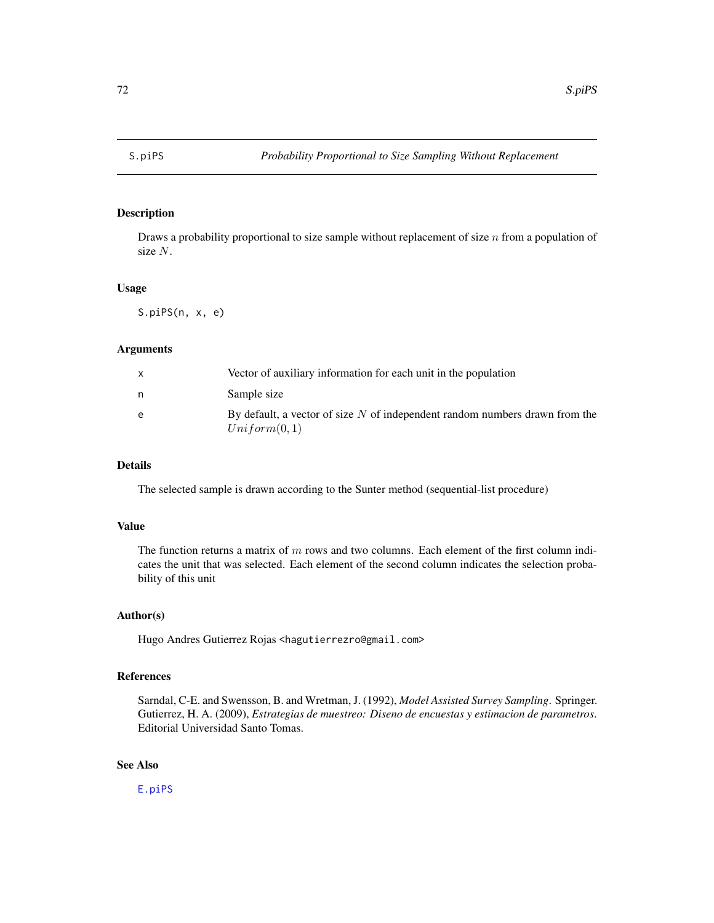<span id="page-71-0"></span>

# Description

Draws a probability proportional to size sample without replacement of size  $n$  from a population of size N.

## Usage

S.piPS(n, x, e)

## Arguments

| X | Vector of auxiliary information for each unit in the population                               |
|---|-----------------------------------------------------------------------------------------------|
| n | Sample size                                                                                   |
| e | By default, a vector of size $N$ of independent random numbers drawn from the<br>Uniform(0,1) |

# Details

The selected sample is drawn according to the Sunter method (sequential-list procedure)

## Value

The function returns a matrix of  $m$  rows and two columns. Each element of the first column indicates the unit that was selected. Each element of the second column indicates the selection probability of this unit

#### Author(s)

Hugo Andres Gutierrez Rojas <hagutierrezro@gmail.com>

#### References

Sarndal, C-E. and Swensson, B. and Wretman, J. (1992), *Model Assisted Survey Sampling*. Springer. Gutierrez, H. A. (2009), *Estrategias de muestreo: Diseno de encuestas y estimacion de parametros*. Editorial Universidad Santo Tomas.

# See Also

[E.piPS](#page-16-0)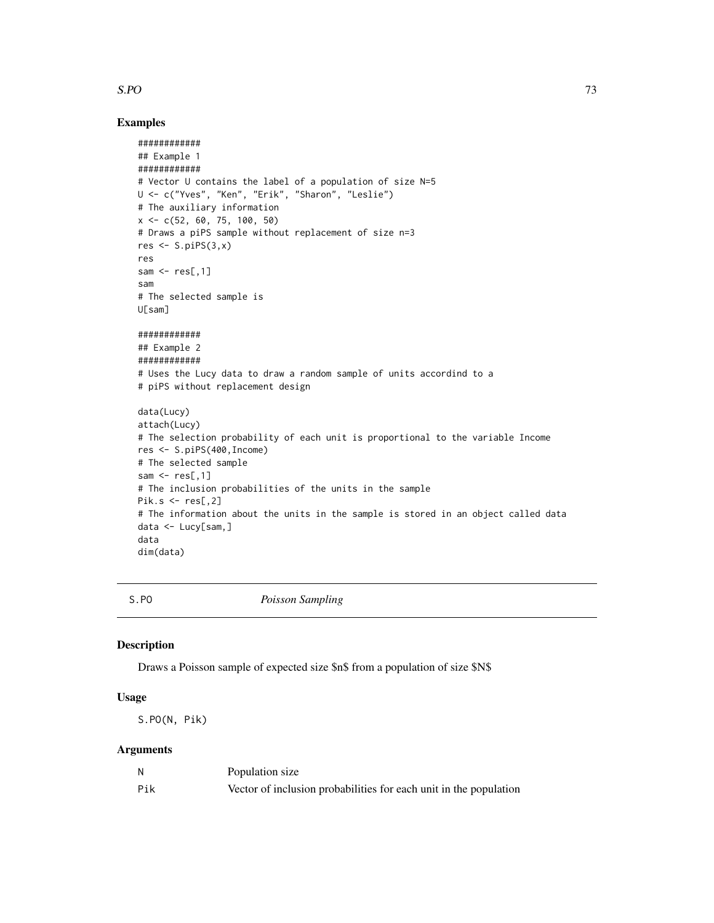## <span id="page-72-0"></span> $S.PO$  73

## Examples

```
############
## Example 1
############
# Vector U contains the label of a population of size N=5
U <- c("Yves", "Ken", "Erik", "Sharon", "Leslie")
# The auxiliary information
x <- c(52, 60, 75, 100, 50)
# Draws a piPS sample without replacement of size n=3
res \leq S.piPS(3,x)res
sam \leq res[,1]
sam
# The selected sample is
U[sam]
############
## Example 2
############
# Uses the Lucy data to draw a random sample of units accordind to a
# piPS without replacement design
data(Lucy)
attach(Lucy)
# The selection probability of each unit is proportional to the variable Income
res <- S.piPS(400,Income)
# The selected sample
sam \leq res[,1]
# The inclusion probabilities of the units in the sample
Pik.s \le res[,2]
# The information about the units in the sample is stored in an object called data
data <- Lucy[sam,]
data
dim(data)
```
S.PO *Poisson Sampling*

#### Description

Draws a Poisson sample of expected size \$n\$ from a population of size \$N\$

# Usage

S.PO(N, Pik)

# Arguments

|     | Population size                                                   |
|-----|-------------------------------------------------------------------|
| Pik | Vector of inclusion probabilities for each unit in the population |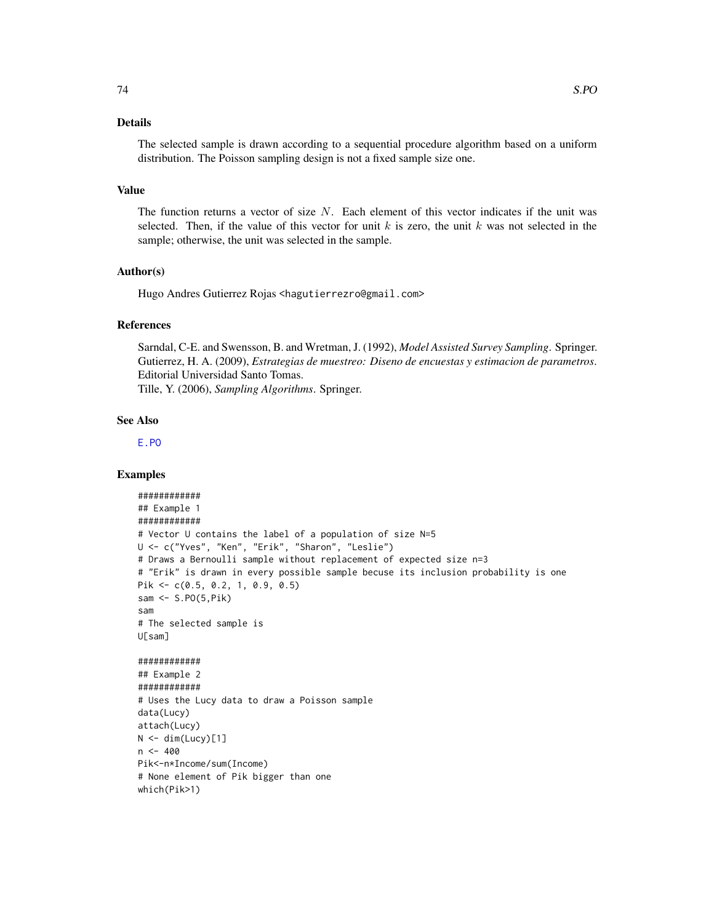# <span id="page-73-0"></span>Details

The selected sample is drawn according to a sequential procedure algorithm based on a uniform distribution. The Poisson sampling design is not a fixed sample size one.

## Value

The function returns a vector of size  $N$ . Each element of this vector indicates if the unit was selected. Then, if the value of this vector for unit k is zero, the unit k was not selected in the sample; otherwise, the unit was selected in the sample.

## Author(s)

Hugo Andres Gutierrez Rojas <hagutierrezro@gmail.com>

## References

Sarndal, C-E. and Swensson, B. and Wretman, J. (1992), *Model Assisted Survey Sampling*. Springer. Gutierrez, H. A. (2009), *Estrategias de muestreo: Diseno de encuestas y estimacion de parametros*. Editorial Universidad Santo Tomas. Tille, Y. (2006), *Sampling Algorithms*. Springer.

## See Also

[E.PO](#page-18-0)

```
############
## Example 1
############
# Vector U contains the label of a population of size N=5
U <- c("Yves", "Ken", "Erik", "Sharon", "Leslie")
# Draws a Bernoulli sample without replacement of expected size n=3
# "Erik" is drawn in every possible sample becuse its inclusion probability is one
Pik <- c(0.5, 0.2, 1, 0.9, 0.5)
sam <- S.PO(5,Pik)
sam
# The selected sample is
U[sam]
############
## Example 2
############
# Uses the Lucy data to draw a Poisson sample
data(Lucy)
attach(Lucy)
N < - dim(Lucy)[1]
n < -400Pik<-n*Income/sum(Income)
# None element of Pik bigger than one
which(Pik>1)
```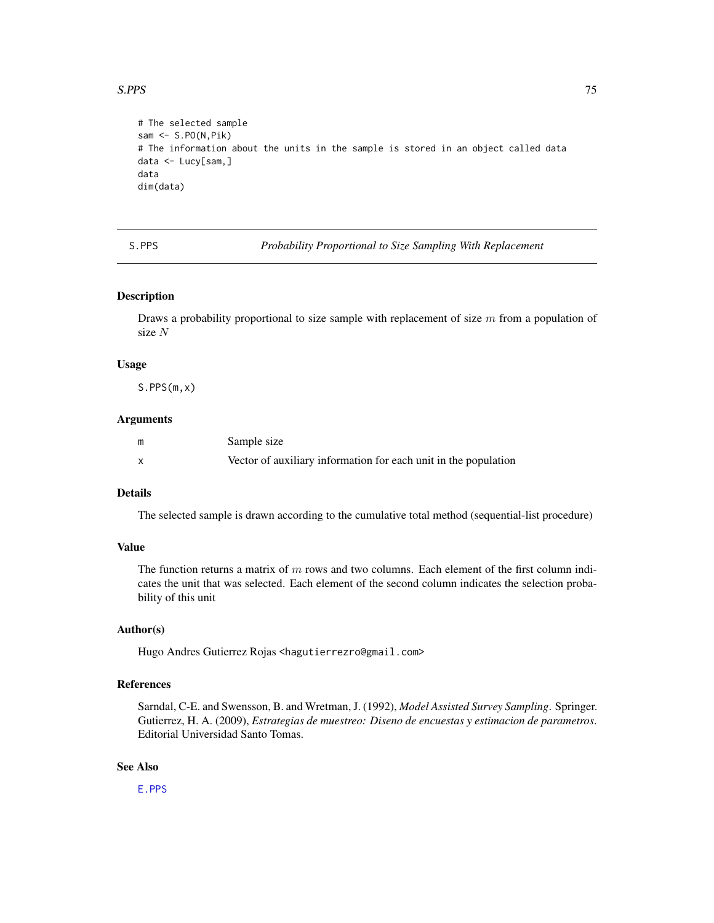## <span id="page-74-0"></span> $S.PPS$  75

```
# The selected sample
sam <- S.PO(N,Pik)
# The information about the units in the sample is stored in an object called data
data <- Lucy[sam,]
data
dim(data)
```
S.PPS *Probability Proportional to Size Sampling With Replacement*

## Description

Draws a probability proportional to size sample with replacement of size  $m$  from a population of size N

#### Usage

S.PPS(m,x)

#### Arguments

| Sample size                                                     |
|-----------------------------------------------------------------|
| Vector of auxiliary information for each unit in the population |

# Details

The selected sample is drawn according to the cumulative total method (sequential-list procedure)

## Value

The function returns a matrix of  $m$  rows and two columns. Each element of the first column indicates the unit that was selected. Each element of the second column indicates the selection probability of this unit

#### Author(s)

Hugo Andres Gutierrez Rojas <hagutierrezro@gmail.com>

## References

Sarndal, C-E. and Swensson, B. and Wretman, J. (1992), *Model Assisted Survey Sampling*. Springer. Gutierrez, H. A. (2009), *Estrategias de muestreo: Diseno de encuestas y estimacion de parametros*. Editorial Universidad Santo Tomas.

# See Also

[E.PPS](#page-19-0)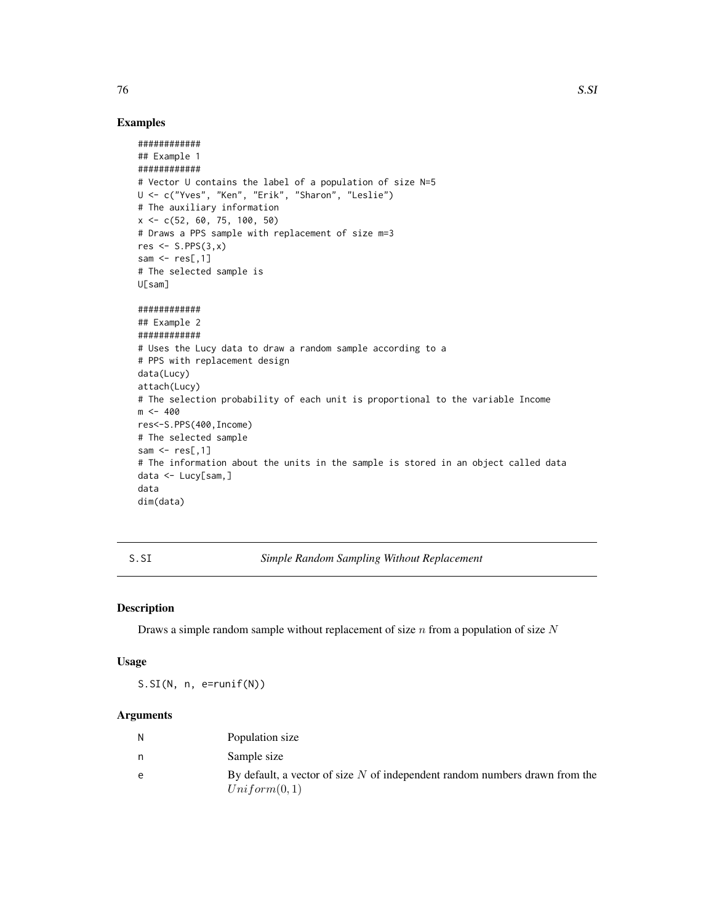# Examples

```
############
## Example 1
############
# Vector U contains the label of a population of size N=5
U <- c("Yves", "Ken", "Erik", "Sharon", "Leslie")
# The auxiliary information
x <- c(52, 60, 75, 100, 50)
# Draws a PPS sample with replacement of size m=3
res \leq S.PPS(3,x)sam \leq res[.1]
# The selected sample is
U[sam]
############
## Example 2
############
# Uses the Lucy data to draw a random sample according to a
# PPS with replacement design
data(Lucy)
attach(Lucy)
# The selection probability of each unit is proportional to the variable Income
m < -400res<-S.PPS(400,Income)
# The selected sample
sam \leq res[,1]
# The information about the units in the sample is stored in an object called data
data <- Lucy[sam,]
data
dim(data)
```
<span id="page-75-0"></span>S.SI *Simple Random Sampling Without Replacement*

## Description

Draws a simple random sample without replacement of size  $n$  from a population of size  $N$ 

#### Usage

S.SI(N, n, e=runif(N))

## Arguments

| N | Population size                                                               |
|---|-------------------------------------------------------------------------------|
| n | Sample size                                                                   |
| e | By default, a vector of size $N$ of independent random numbers drawn from the |
|   | Uniform(0,1)                                                                  |

<span id="page-75-1"></span> $76$  S.SI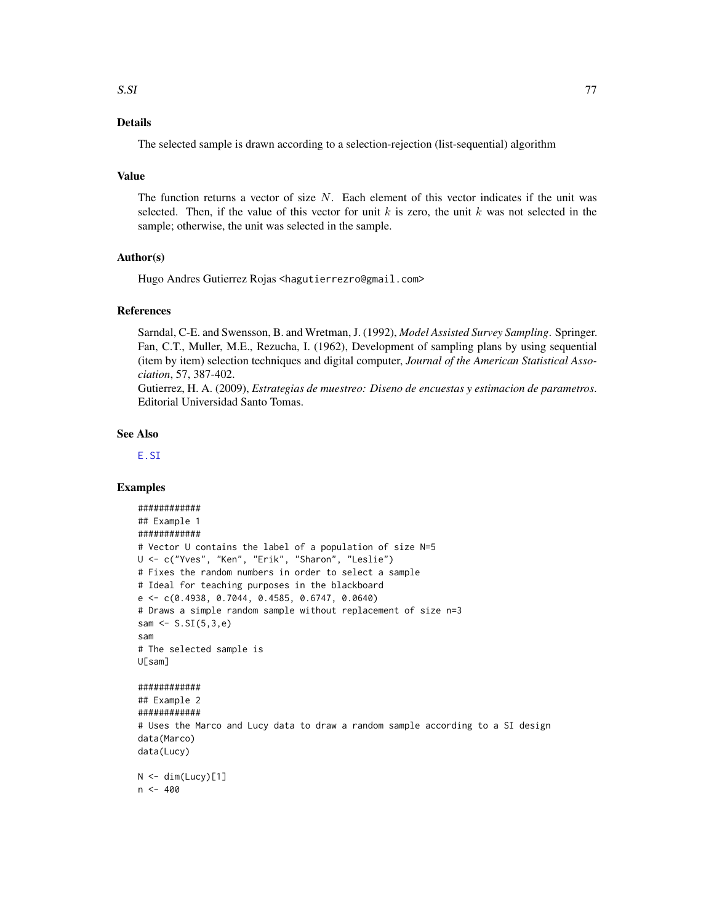# <span id="page-76-0"></span>Details

The selected sample is drawn according to a selection-rejection (list-sequential) algorithm

## Value

The function returns a vector of size  $N$ . Each element of this vector indicates if the unit was selected. Then, if the value of this vector for unit k is zero, the unit k was not selected in the sample; otherwise, the unit was selected in the sample.

# Author(s)

Hugo Andres Gutierrez Rojas <hagutierrezro@gmail.com>

#### References

Sarndal, C-E. and Swensson, B. and Wretman, J. (1992), *Model Assisted Survey Sampling*. Springer. Fan, C.T., Muller, M.E., Rezucha, I. (1962), Development of sampling plans by using sequential (item by item) selection techniques and digital computer, *Journal of the American Statistical Association*, 57, 387-402.

Gutierrez, H. A. (2009), *Estrategias de muestreo: Diseno de encuestas y estimacion de parametros*. Editorial Universidad Santo Tomas.

## See Also

[E.SI](#page-22-0)

```
############
## Example 1
############
# Vector U contains the label of a population of size N=5
U <- c("Yves", "Ken", "Erik", "Sharon", "Leslie")
# Fixes the random numbers in order to select a sample
# Ideal for teaching purposes in the blackboard
e <- c(0.4938, 0.7044, 0.4585, 0.6747, 0.0640)
# Draws a simple random sample without replacement of size n=3
sam <- S.SI(5,3,e)
sam
# The selected sample is
U[sam]
############
## Example 2
############
# Uses the Marco and Lucy data to draw a random sample according to a SI design
data(Marco)
data(Lucy)
N < - dim(Lucy)[1]
n < -400
```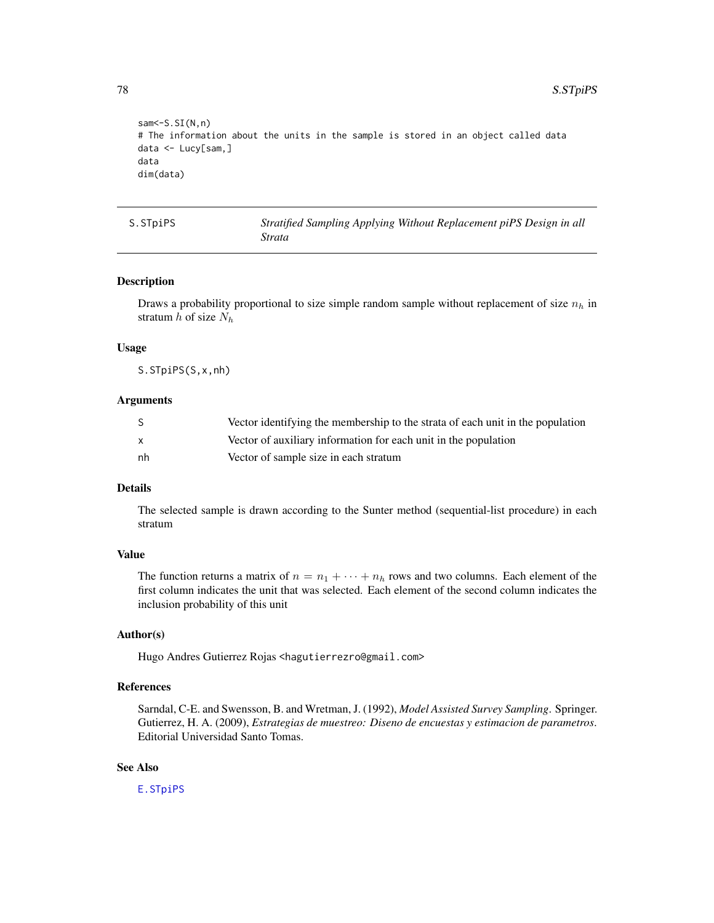<span id="page-77-0"></span>78 S.STpiPS

```
sam <- S.SI(N,n)
# The information about the units in the sample is stored in an object called data
data <- Lucy[sam,]
data
dim(data)
```
S.STpiPS *Stratified Sampling Applying Without Replacement piPS Design in all Strata*

## Description

Draws a probability proportional to size simple random sample without replacement of size  $n_h$  in stratum  $h$  of size  $N_h$ 

## Usage

S.STpiPS(S,x,nh)

## Arguments

|    | Vector identifying the membership to the strata of each unit in the population |
|----|--------------------------------------------------------------------------------|
|    | Vector of auxiliary information for each unit in the population                |
| nh | Vector of sample size in each stratum                                          |

# Details

The selected sample is drawn according to the Sunter method (sequential-list procedure) in each stratum

# Value

The function returns a matrix of  $n = n_1 + \cdots + n_h$  rows and two columns. Each element of the first column indicates the unit that was selected. Each element of the second column indicates the inclusion probability of this unit

#### Author(s)

Hugo Andres Gutierrez Rojas <hagutierrezro@gmail.com>

# References

Sarndal, C-E. and Swensson, B. and Wretman, J. (1992), *Model Assisted Survey Sampling*. Springer. Gutierrez, H. A. (2009), *Estrategias de muestreo: Diseno de encuestas y estimacion de parametros*. Editorial Universidad Santo Tomas.

# See Also

[E.STpiPS](#page-25-0)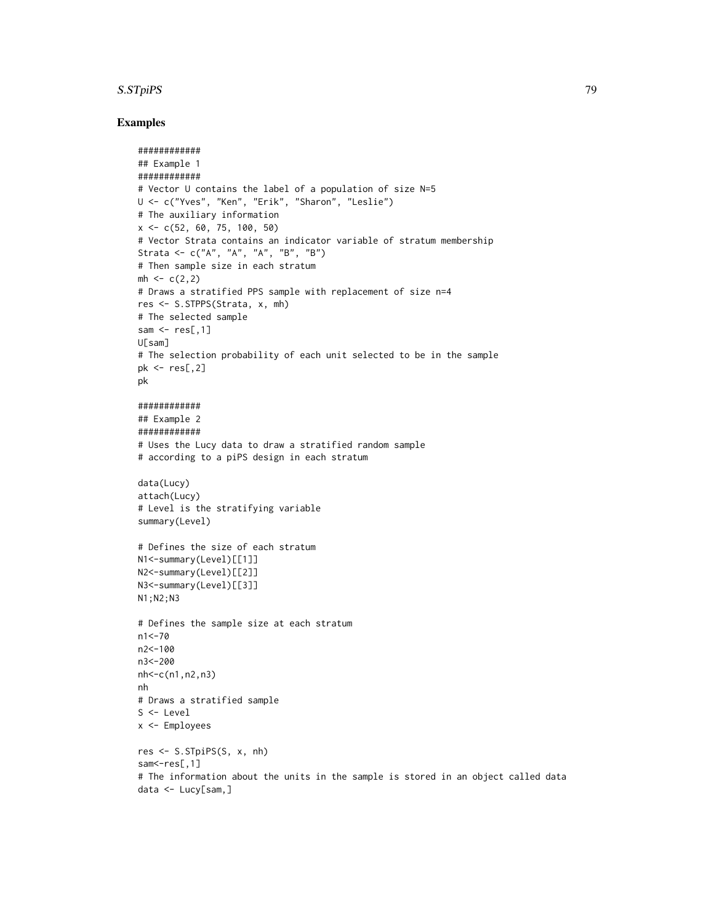## S.STpiPS 79

```
############
## Example 1
############
# Vector U contains the label of a population of size N=5
U <- c("Yves", "Ken", "Erik", "Sharon", "Leslie")
# The auxiliary information
x \leq -c(52, 60, 75, 100, 50)# Vector Strata contains an indicator variable of stratum membership
Strata <- c("A", "A", "A", "B", "B")
# Then sample size in each stratum
mh < -c(2,2)# Draws a stratified PPS sample with replacement of size n=4
res <- S.STPPS(Strata, x, mh)
# The selected sample
sam \leq res[,1]
U[sam]
# The selection probability of each unit selected to be in the sample
pk \le res[,2]
pk
############
## Example 2
############
# Uses the Lucy data to draw a stratified random sample
# according to a piPS design in each stratum
data(Lucy)
attach(Lucy)
# Level is the stratifying variable
summary(Level)
# Defines the size of each stratum
N1<-summary(Level)[[1]]
N2<-summary(Level)[[2]]
N3<-summary(Level)[[3]]
N1;N2;N3
# Defines the sample size at each stratum
n1<-70
n2<-100
n3<-200
nh<-c(n1,n2,n3)
nh
# Draws a stratified sample
S <- Level
x <- Employees
res <- S.STpiPS(S, x, nh)
sam <- res[,1]
# The information about the units in the sample is stored in an object called data
data <- Lucy[sam,]
```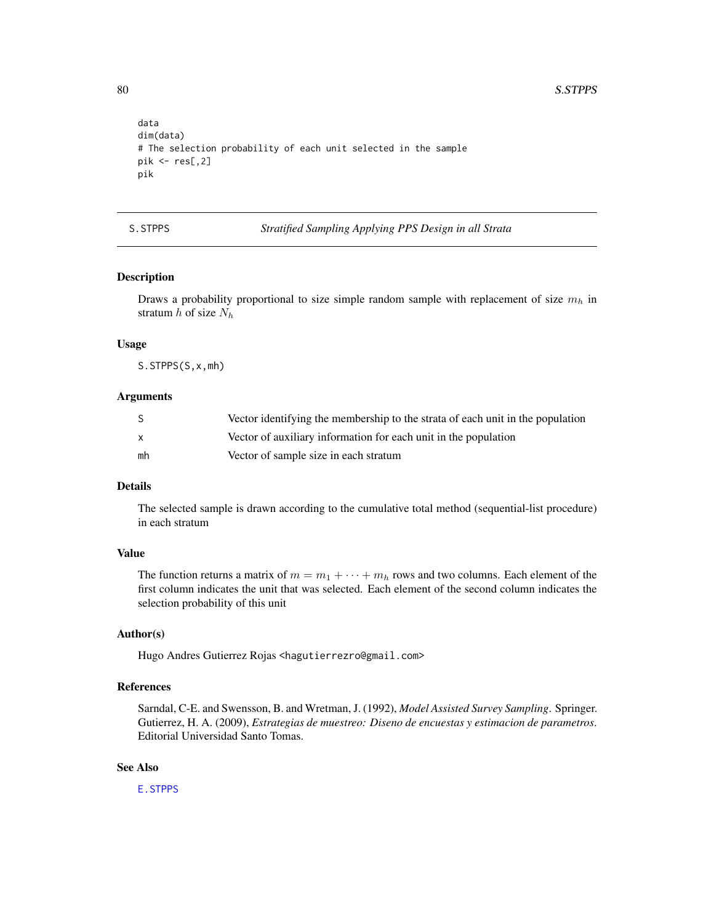```
data
dim(data)
# The selection probability of each unit selected in the sample
pik \leftarrow res[, 2]pik
```
S.STPPS *Stratified Sampling Applying PPS Design in all Strata*

# Description

Draws a probability proportional to size simple random sample with replacement of size  $m_h$  in stratum  $h$  of size  $N_h$ 

#### Usage

S.STPPS(S,x,mh)

## Arguments

| S.           | Vector identifying the membership to the strata of each unit in the population |
|--------------|--------------------------------------------------------------------------------|
| $\mathsf{x}$ | Vector of auxiliary information for each unit in the population                |
| mh           | Vector of sample size in each stratum                                          |

# Details

The selected sample is drawn according to the cumulative total method (sequential-list procedure) in each stratum

## Value

The function returns a matrix of  $m = m_1 + \cdots + m_h$  rows and two columns. Each element of the first column indicates the unit that was selected. Each element of the second column indicates the selection probability of this unit

# Author(s)

Hugo Andres Gutierrez Rojas <hagutierrezro@gmail.com>

# References

Sarndal, C-E. and Swensson, B. and Wretman, J. (1992), *Model Assisted Survey Sampling*. Springer. Gutierrez, H. A. (2009), *Estrategias de muestreo: Diseno de encuestas y estimacion de parametros*. Editorial Universidad Santo Tomas.

## See Also

[E.STPPS](#page-26-0)

<span id="page-79-0"></span>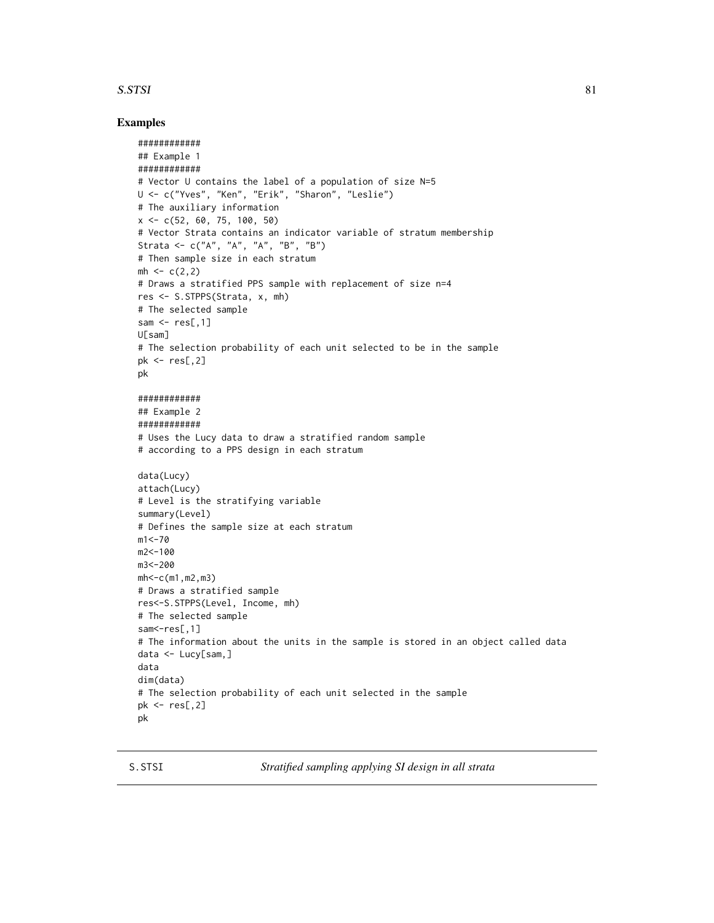## <span id="page-80-0"></span>S.STSI 81

## Examples

```
############
## Example 1
############
# Vector U contains the label of a population of size N=5
U <- c("Yves", "Ken", "Erik", "Sharon", "Leslie")
# The auxiliary information
x \leq -c(52, 60, 75, 100, 50)# Vector Strata contains an indicator variable of stratum membership
Strata <- c("A", "A", "A", "B", "B")
# Then sample size in each stratum
mh < -c(2, 2)# Draws a stratified PPS sample with replacement of size n=4
res <- S.STPPS(Strata, x, mh)
# The selected sample
sam \leq res[,1]
U[sam]
# The selection probability of each unit selected to be in the sample
pk <- res[,2]
pk
############
## Example 2
############
# Uses the Lucy data to draw a stratified random sample
# according to a PPS design in each stratum
data(Lucy)
attach(Lucy)
# Level is the stratifying variable
summary(Level)
# Defines the sample size at each stratum
m1 < -70m2<-100
m3<-200
mh<-c(m1,m2,m3)
# Draws a stratified sample
res<-S.STPPS(Level, Income, mh)
# The selected sample
sam <- res[,1]
# The information about the units in the sample is stored in an object called data
data <- Lucy[sam,]
data
dim(data)
# The selection probability of each unit selected in the sample
pk <- res[,2]
pk
```
S.STSI *Stratified sampling applying SI design in all strata*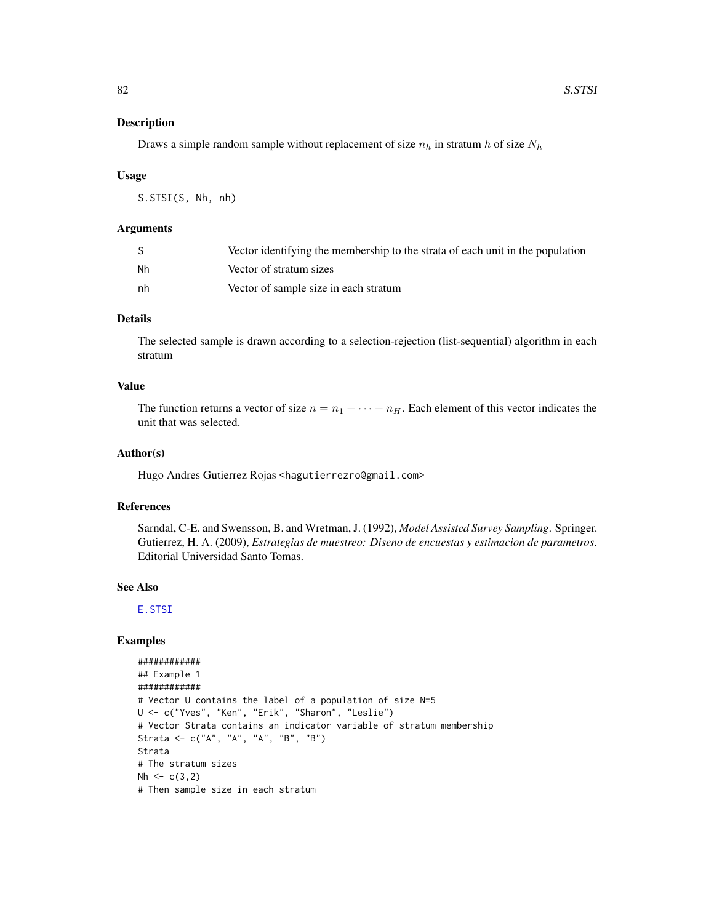## <span id="page-81-0"></span>Description

Draws a simple random sample without replacement of size  $n_h$  in stratum h of size  $N_h$ 

#### Usage

S.STSI(S, Nh, nh)

## Arguments

|    | Vector identifying the membership to the strata of each unit in the population |
|----|--------------------------------------------------------------------------------|
| Nh | Vector of stratum sizes                                                        |
| nh | Vector of sample size in each stratum                                          |

# Details

The selected sample is drawn according to a selection-rejection (list-sequential) algorithm in each stratum

# Value

The function returns a vector of size  $n = n_1 + \cdots + n_H$ . Each element of this vector indicates the unit that was selected.

#### Author(s)

Hugo Andres Gutierrez Rojas <hagutierrezro@gmail.com>

## References

Sarndal, C-E. and Swensson, B. and Wretman, J. (1992), *Model Assisted Survey Sampling*. Springer. Gutierrez, H. A. (2009), *Estrategias de muestreo: Diseno de encuestas y estimacion de parametros*. Editorial Universidad Santo Tomas.

#### See Also

[E.STSI](#page-28-0)

```
############
## Example 1
############
# Vector U contains the label of a population of size N=5
U <- c("Yves", "Ken", "Erik", "Sharon", "Leslie")
# Vector Strata contains an indicator variable of stratum membership
Strata <- c("A", "A", "A", "B", "B")
Strata
# The stratum sizes
Nh \leftarrow c(3, 2)# Then sample size in each stratum
```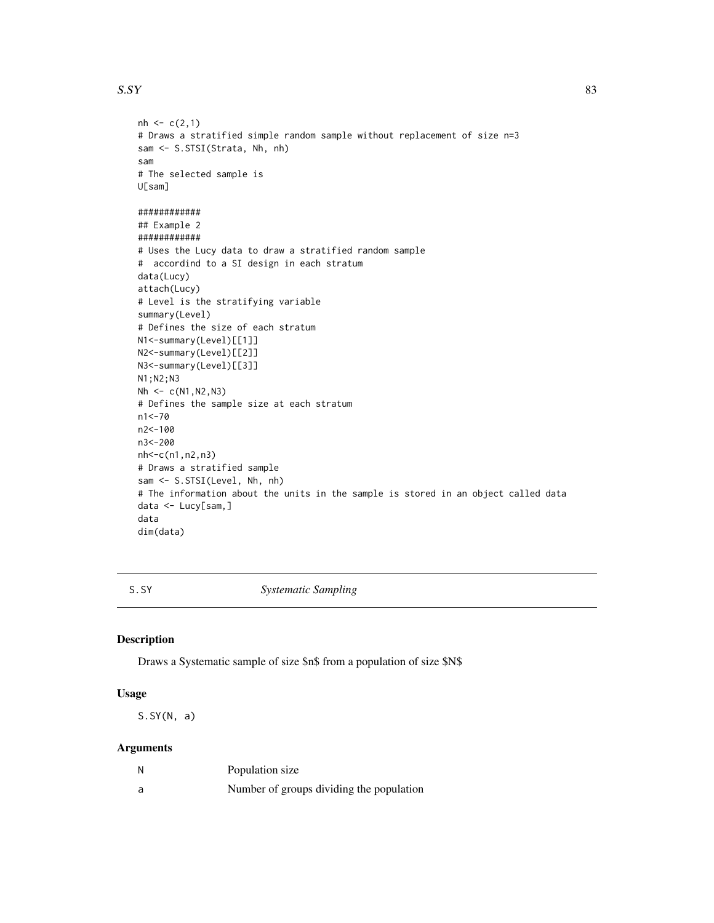#### <span id="page-82-0"></span> $S. SY$  83

```
nh < -c(2,1)# Draws a stratified simple random sample without replacement of size n=3
sam <- S.STSI(Strata, Nh, nh)
sam
# The selected sample is
U[sam]
############
## Example 2
############
# Uses the Lucy data to draw a stratified random sample
# accordind to a SI design in each stratum
data(Lucy)
attach(Lucy)
# Level is the stratifying variable
summary(Level)
# Defines the size of each stratum
N1<-summary(Level)[[1]]
N2<-summary(Level)[[2]]
N3<-summary(Level)[[3]]
N1;N2;N3
Nh < -c(N1,N2,N3)# Defines the sample size at each stratum
n1<-70
n2<-100
n3<-200
nh<-c(n1,n2,n3)
# Draws a stratified sample
sam <- S.STSI(Level, Nh, nh)
# The information about the units in the sample is stored in an object called data
data <- Lucy[sam,]
data
dim(data)
```
S.SY *Systematic Sampling*

#### Description

Draws a Systematic sample of size \$n\$ from a population of size \$N\$

# Usage

S.SY(N, a)

#### Arguments

| N | Population size                          |
|---|------------------------------------------|
| a | Number of groups dividing the population |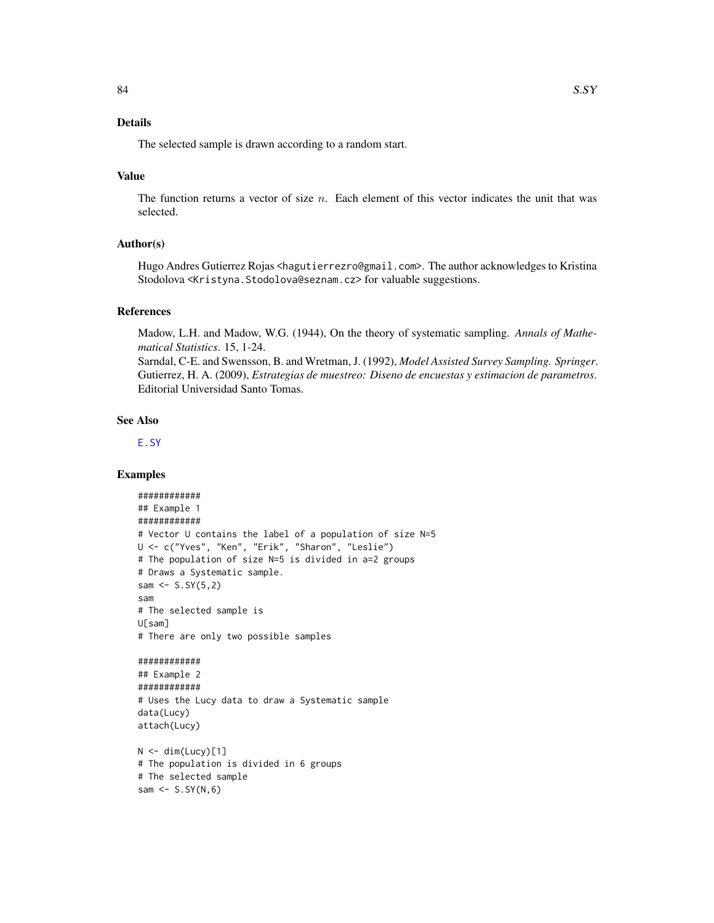# <span id="page-83-0"></span>Details

The selected sample is drawn according to a random start.

# Value

The function returns a vector of size  $n$ . Each element of this vector indicates the unit that was selected.

# Author(s)

Hugo Andres Gutierrez Rojas <hagutierrezro@gmail.com>. The author acknowledges to Kristina Stodolova <Kristyna. Stodolova@seznam.cz> for valuable suggestions.

#### References

Madow, L.H. and Madow, W.G. (1944), On the theory of systematic sampling. *Annals of Mathematical Statistics*. 15, 1-24.

Sarndal, C-E. and Swensson, B. and Wretman, J. (1992), *Model Assisted Survey Sampling. Springer*. Gutierrez, H. A. (2009), *Estrategias de muestreo: Diseno de encuestas y estimacion de parametros*. Editorial Universidad Santo Tomas.

## See Also

[E.SY](#page-30-0)

```
############
## Example 1
############
# Vector U contains the label of a population of size N=5
U <- c("Yves", "Ken", "Erik", "Sharon", "Leslie")
# The population of size N=5 is divided in a=2 groups
# Draws a Systematic sample.
sam \leq -5.5Y(5,2)sam
# The selected sample is
U[sam]
# There are only two possible samples
############
## Example 2
############
# Uses the Lucy data to draw a Systematic sample
data(Lucy)
attach(Lucy)
N < - dim(Lucy)[1]
```

```
# The population is divided in 6 groups
# The selected sample
sam \leq S.SY(N,6)
```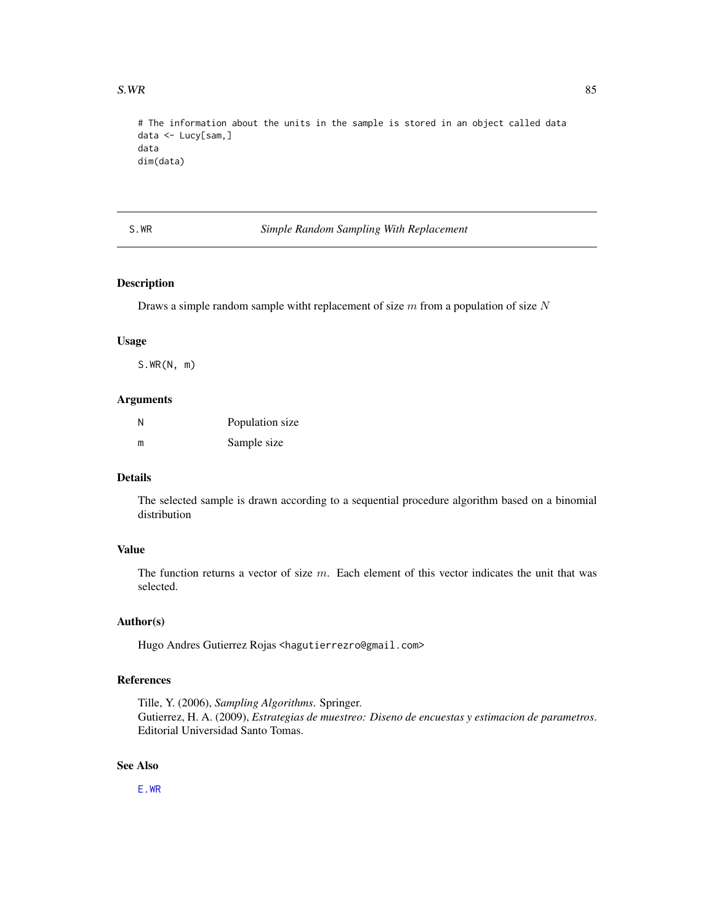<span id="page-84-0"></span># The information about the units in the sample is stored in an object called data data <- Lucy[sam,] data dim(data)

S.WR *Simple Random Sampling With Replacement*

# Description

Draws a simple random sample witht replacement of size  $m$  from a population of size  $N$ 

#### Usage

S.WR(N, m)

#### Arguments

| Ν | Population size |
|---|-----------------|
| m | Sample size     |

## Details

The selected sample is drawn according to a sequential procedure algorithm based on a binomial distribution

# Value

The function returns a vector of size  $m$ . Each element of this vector indicates the unit that was selected.

# Author(s)

Hugo Andres Gutierrez Rojas <hagutierrezro@gmail.com>

# References

Tille, Y. (2006), *Sampling Algorithms*. Springer. Gutierrez, H. A. (2009), *Estrategias de muestreo: Diseno de encuestas y estimacion de parametros*. Editorial Universidad Santo Tomas.

## See Also

[E.WR](#page-36-0)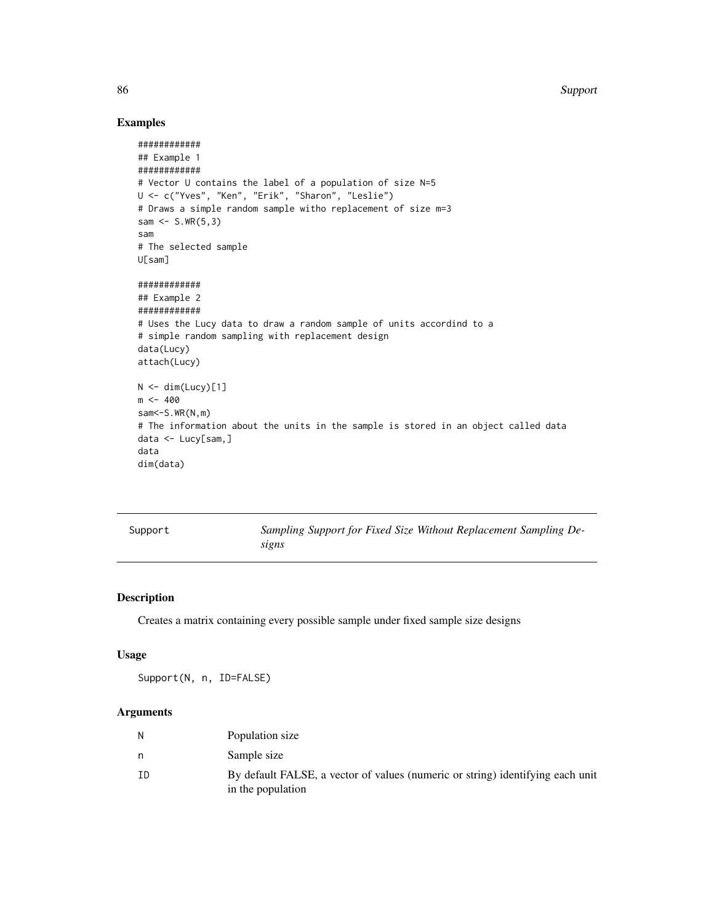86 Support

# Examples

```
############
## Example 1
############
# Vector U contains the label of a population of size N=5
U <- c("Yves", "Ken", "Erik", "Sharon", "Leslie")
# Draws a simple random sample witho replacement of size m=3
sam <- S.WR(5,3)
sam
# The selected sample
U[sam]
############
## Example 2
############
# Uses the Lucy data to draw a random sample of units accordind to a
# simple random sampling with replacement design
data(Lucy)
attach(Lucy)
N < - dim(Lucy)[1]
m < -400sam <- S.WR(N,m)
# The information about the units in the sample is stored in an object called data
data <- Lucy[sam,]
data
dim(data)
```
<span id="page-85-0"></span>

| Support |  |  |
|---------|--|--|

Sampling Support for Fixed Size Without Replacement Sampling De*signs*

# Description

Creates a matrix containing every possible sample under fixed sample size designs

#### Usage

Support(N, n, ID=FALSE)

# Arguments

| N  | Population size                                                                                     |
|----|-----------------------------------------------------------------------------------------------------|
|    | Sample size                                                                                         |
| ΙD | By default FALSE, a vector of values (numeric or string) identifying each unit<br>in the population |

<span id="page-85-1"></span>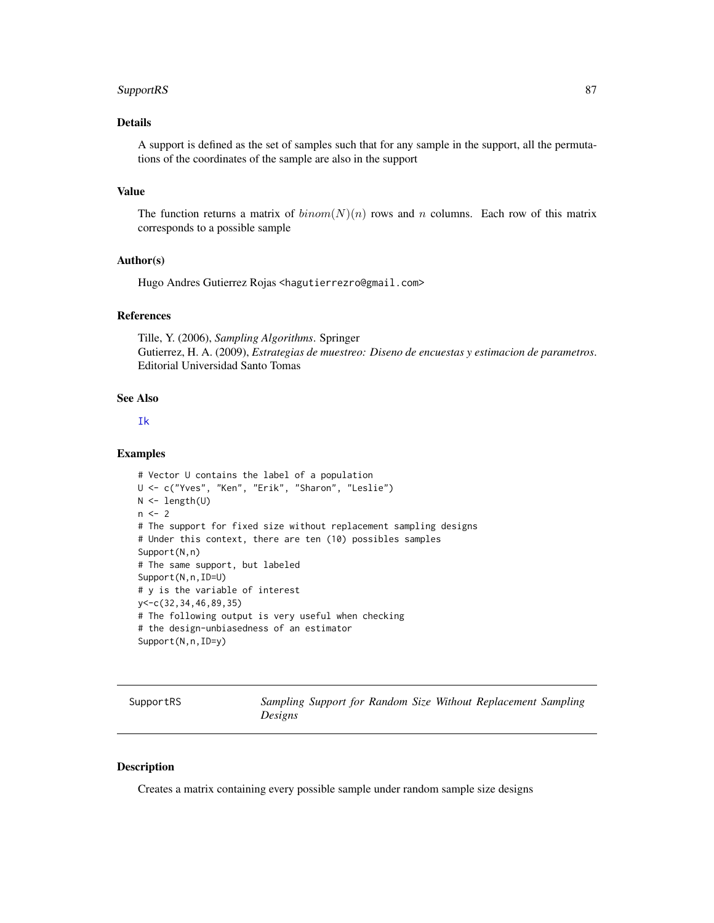#### <span id="page-86-0"></span> $SupportRS$  87

# Details

A support is defined as the set of samples such that for any sample in the support, all the permutations of the coordinates of the sample are also in the support

## Value

The function returns a matrix of  $binom(N)(n)$  rows and n columns. Each row of this matrix corresponds to a possible sample

## Author(s)

Hugo Andres Gutierrez Rojas <hagutierrezro@gmail.com>

# References

Tille, Y. (2006), *Sampling Algorithms*. Springer Gutierrez, H. A. (2009), *Estrategias de muestreo: Diseno de encuestas y estimacion de parametros*. Editorial Universidad Santo Tomas

# See Also

[Ik](#page-50-0)

#### Examples

```
# Vector U contains the label of a population
U <- c("Yves", "Ken", "Erik", "Sharon", "Leslie")
N <- length(U)
n < -2# The support for fixed size without replacement sampling designs
# Under this context, there are ten (10) possibles samples
Support(N,n)
# The same support, but labeled
Support(N,n,ID=U)
# y is the variable of interest
y<-c(32,34,46,89,35)
# The following output is very useful when checking
# the design-unbiasedness of an estimator
Support(N,n,ID=y)
```
SupportRS *Sampling Support for Random Size Without Replacement Sampling Designs*

## Description

Creates a matrix containing every possible sample under random sample size designs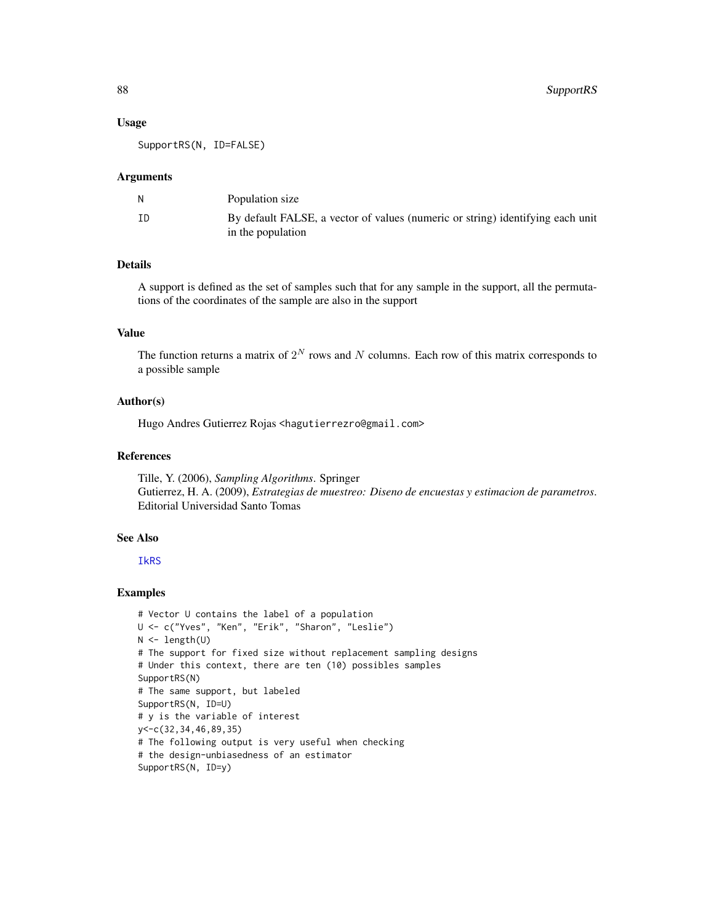## Usage

SupportRS(N, ID=FALSE)

#### Arguments

|    | Population size                                                                                     |
|----|-----------------------------------------------------------------------------------------------------|
| ΙD | By default FALSE, a vector of values (numeric or string) identifying each unit<br>in the population |

## Details

A support is defined as the set of samples such that for any sample in the support, all the permutations of the coordinates of the sample are also in the support

# Value

The function returns a matrix of  $2^N$  rows and N columns. Each row of this matrix corresponds to a possible sample

#### Author(s)

Hugo Andres Gutierrez Rojas <hagutierrezro@gmail.com>

# References

Tille, Y. (2006), *Sampling Algorithms*. Springer Gutierrez, H. A. (2009), *Estrategias de muestreo: Diseno de encuestas y estimacion de parametros*. Editorial Universidad Santo Tomas

# See Also

#### [IkRS](#page-51-0)

```
# Vector U contains the label of a population
U <- c("Yves", "Ken", "Erik", "Sharon", "Leslie")
N < - length(U)
# The support for fixed size without replacement sampling designs
# Under this context, there are ten (10) possibles samples
SupportRS(N)
# The same support, but labeled
SupportRS(N, ID=U)
# y is the variable of interest
y<-c(32,34,46,89,35)
# The following output is very useful when checking
# the design-unbiasedness of an estimator
SupportRS(N, ID=y)
```
<span id="page-87-0"></span>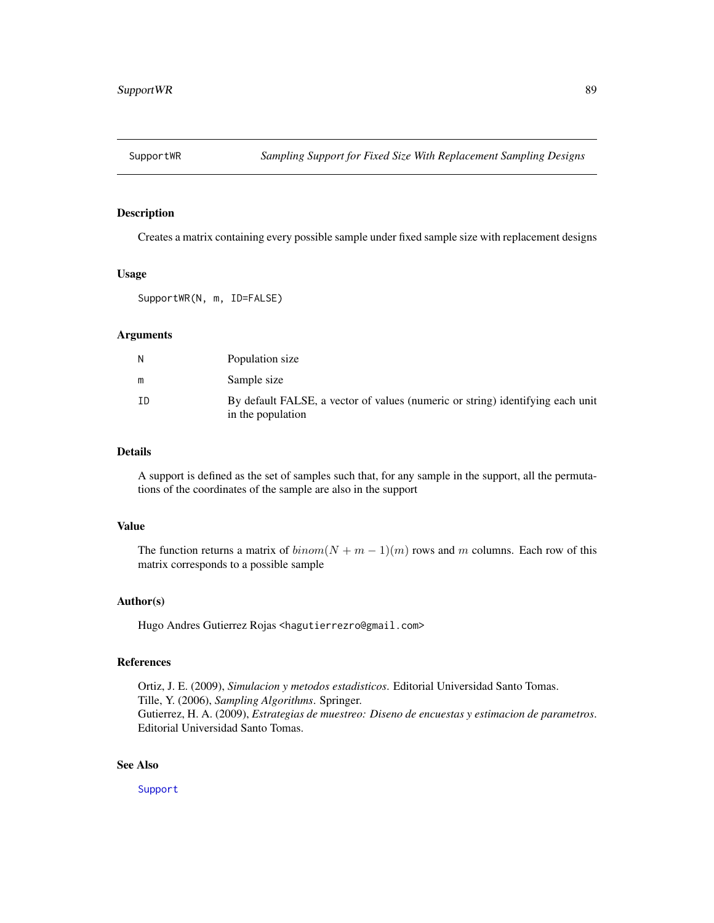<span id="page-88-0"></span>

# Description

Creates a matrix containing every possible sample under fixed sample size with replacement designs

#### Usage

SupportWR(N, m, ID=FALSE)

#### Arguments

| N  | Population size                                                                                     |
|----|-----------------------------------------------------------------------------------------------------|
| m  | Sample size                                                                                         |
| ΙD | By default FALSE, a vector of values (numeric or string) identifying each unit<br>in the population |

# Details

A support is defined as the set of samples such that, for any sample in the support, all the permutations of the coordinates of the sample are also in the support

## Value

The function returns a matrix of  $binom(N + m - 1)(m)$  rows and m columns. Each row of this matrix corresponds to a possible sample

#### Author(s)

Hugo Andres Gutierrez Rojas <hagutierrezro@gmail.com>

## References

Ortiz, J. E. (2009), *Simulacion y metodos estadisticos*. Editorial Universidad Santo Tomas. Tille, Y. (2006), *Sampling Algorithms*. Springer. Gutierrez, H. A. (2009), *Estrategias de muestreo: Diseno de encuestas y estimacion de parametros*. Editorial Universidad Santo Tomas.

# See Also

[Support](#page-85-0)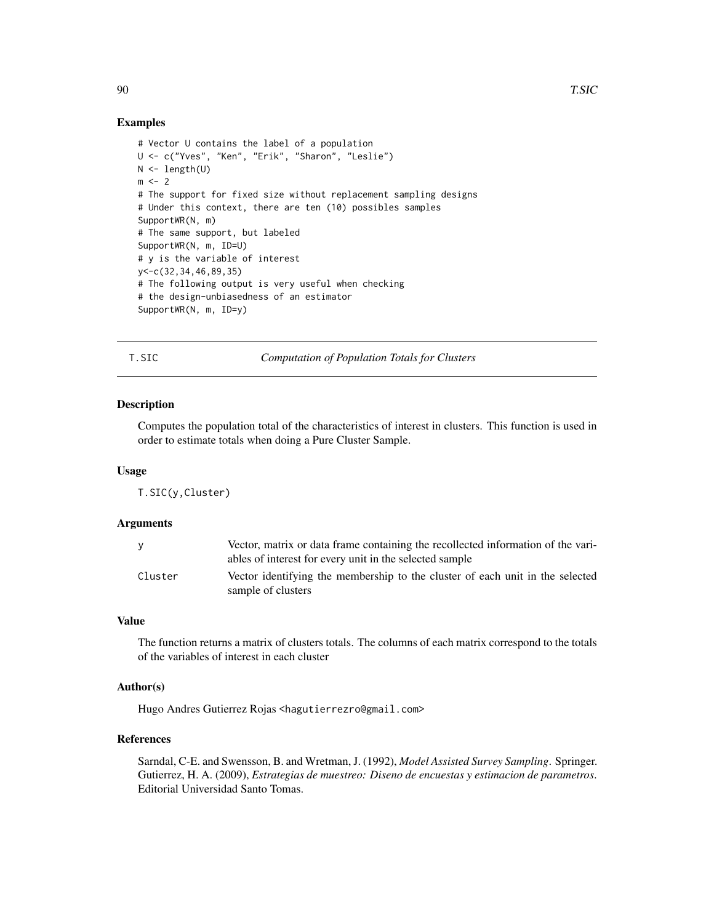## Examples

```
# Vector U contains the label of a population
U <- c("Yves", "Ken", "Erik", "Sharon", "Leslie")
N \leftarrow length(U)
m < -2# The support for fixed size without replacement sampling designs
# Under this context, there are ten (10) possibles samples
SupportWR(N, m)
# The same support, but labeled
SupportWR(N, m, ID=U)
# y is the variable of interest
y<-c(32,34,46,89,35)
# The following output is very useful when checking
# the design-unbiasedness of an estimator
SupportWR(N, m, ID=y)
```
T.SIC *Computation of Population Totals for Clusters*

# **Description**

Computes the population total of the characteristics of interest in clusters. This function is used in order to estimate totals when doing a Pure Cluster Sample.

#### Usage

T.SIC(y,Cluster)

## Arguments

| <b>V</b> | Vector, matrix or data frame containing the recollected information of the vari-<br>ables of interest for every unit in the selected sample |
|----------|---------------------------------------------------------------------------------------------------------------------------------------------|
| Cluster  | Vector identifying the membership to the cluster of each unit in the selected<br>sample of clusters                                         |

# Value

The function returns a matrix of clusters totals. The columns of each matrix correspond to the totals of the variables of interest in each cluster

# Author(s)

Hugo Andres Gutierrez Rojas <hagutierrezro@gmail.com>

## References

Sarndal, C-E. and Swensson, B. and Wretman, J. (1992), *Model Assisted Survey Sampling*. Springer. Gutierrez, H. A. (2009), *Estrategias de muestreo: Diseno de encuestas y estimacion de parametros*. Editorial Universidad Santo Tomas.

<span id="page-89-0"></span>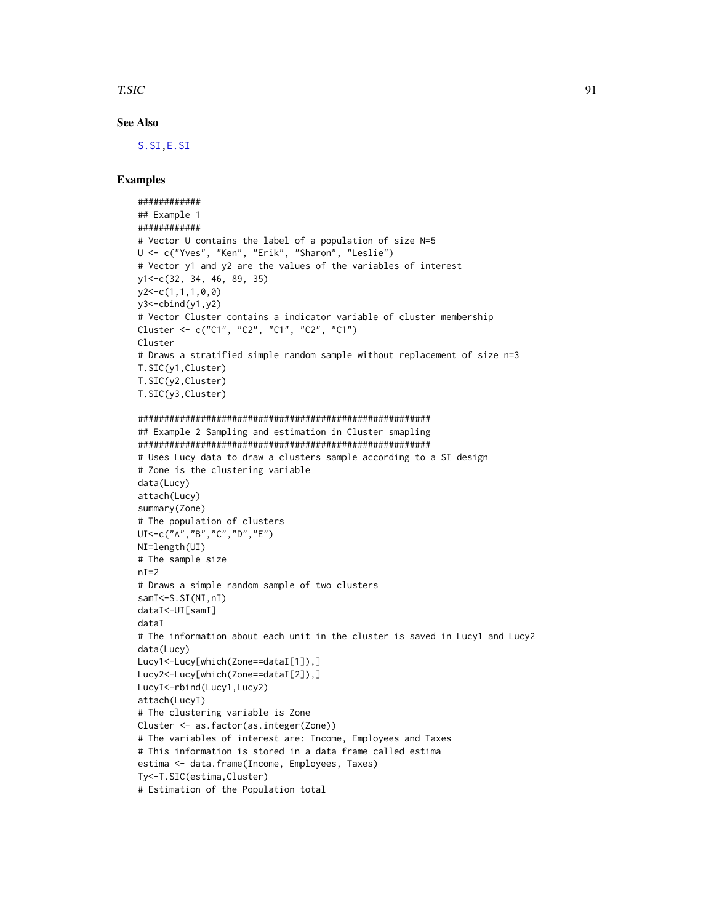#### <span id="page-90-0"></span>T.SIC 91

# See Also

[S.SI](#page-75-0)[,E.SI](#page-22-0)

# Examples

```
############
## Example 1
############
# Vector U contains the label of a population of size N=5
U <- c("Yves", "Ken", "Erik", "Sharon", "Leslie")
# Vector y1 and y2 are the values of the variables of interest
y1<-c(32, 34, 46, 89, 35)
y2<-c(1,1,1,0,0)
y3 < -cbind(y1, y2)# Vector Cluster contains a indicator variable of cluster membership
Cluster <- c("C1", "C2", "C1", "C2", "C1")
Cluster
# Draws a stratified simple random sample without replacement of size n=3
T.SIC(y1,Cluster)
T.SIC(y2,Cluster)
T.SIC(y3,Cluster)
########################################################
## Example 2 Sampling and estimation in Cluster smapling
########################################################
# Uses Lucy data to draw a clusters sample according to a SI design
# Zone is the clustering variable
data(Lucy)
attach(Lucy)
summary(Zone)
# The population of clusters
UI<-c("A","B","C","D","E")
NI=length(UI)
# The sample size
nI=2# Draws a simple random sample of two clusters
samI<sup><-S.SI(NI,nI)</sup>
dataI<-UI[samI]
dataI
# The information about each unit in the cluster is saved in Lucy1 and Lucy2
data(Lucy)
Lucy1<-Lucy[which(Zone==dataI[1]),]
Lucy2<-Lucy[which(Zone==dataI[2]),]
LucyI<-rbind(Lucy1,Lucy2)
attach(LucyI)
```
# The clustering variable is Zone Cluster <- as.factor(as.integer(Zone))

# Estimation of the Population total

Ty<-T.SIC(estima,Cluster)

# The variables of interest are: Income, Employees and Taxes # This information is stored in a data frame called estima

estima <- data.frame(Income, Employees, Taxes)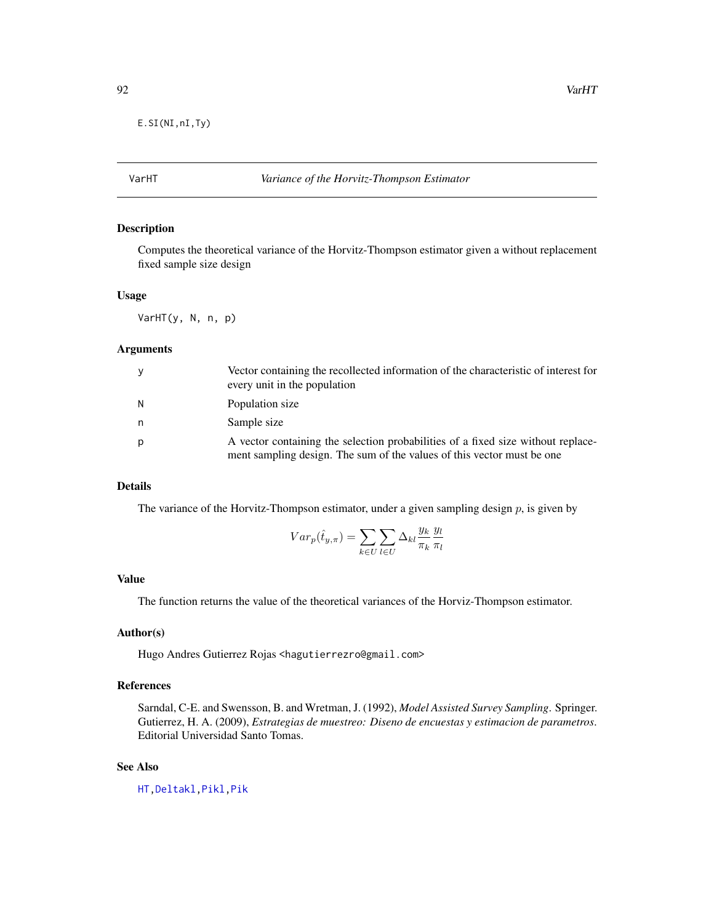<span id="page-91-0"></span>E.SI(NI,nI,Ty)

# VarHT *Variance of the Horvitz-Thompson Estimator*

# Description

Computes the theoretical variance of the Horvitz-Thompson estimator given a without replacement fixed sample size design

# Usage

VarHT(y, N, n, p)

#### Arguments

| y | Vector containing the recollected information of the characteristic of interest for<br>every unit in the population                                        |
|---|------------------------------------------------------------------------------------------------------------------------------------------------------------|
| N | Population size                                                                                                                                            |
| n | Sample size                                                                                                                                                |
| p | A vector containing the selection probabilities of a fixed size without replace-<br>ment sampling design. The sum of the values of this vector must be one |

# Details

The variance of the Horvitz-Thompson estimator, under a given sampling design  $p$ , is given by

$$
Var_p(\hat{t}_{y,\pi}) = \sum_{k \in U} \sum_{l \in U} \Delta_{kl} \frac{y_k}{\pi_k} \frac{y_l}{\pi_l}
$$

## Value

The function returns the value of the theoretical variances of the Horviz-Thompson estimator.

## Author(s)

Hugo Andres Gutierrez Rojas <hagutierrezro@gmail.com>

# References

Sarndal, C-E. and Swensson, B. and Wretman, J. (1992), *Model Assisted Survey Sampling*. Springer. Gutierrez, H. A. (2009), *Estrategias de muestreo: Diseno de encuestas y estimacion de parametros*. Editorial Universidad Santo Tomas.

# See Also

[HT](#page-44-0)[,Deltakl](#page-5-0)[,Pikl](#page-64-0)[,Pik](#page-60-0)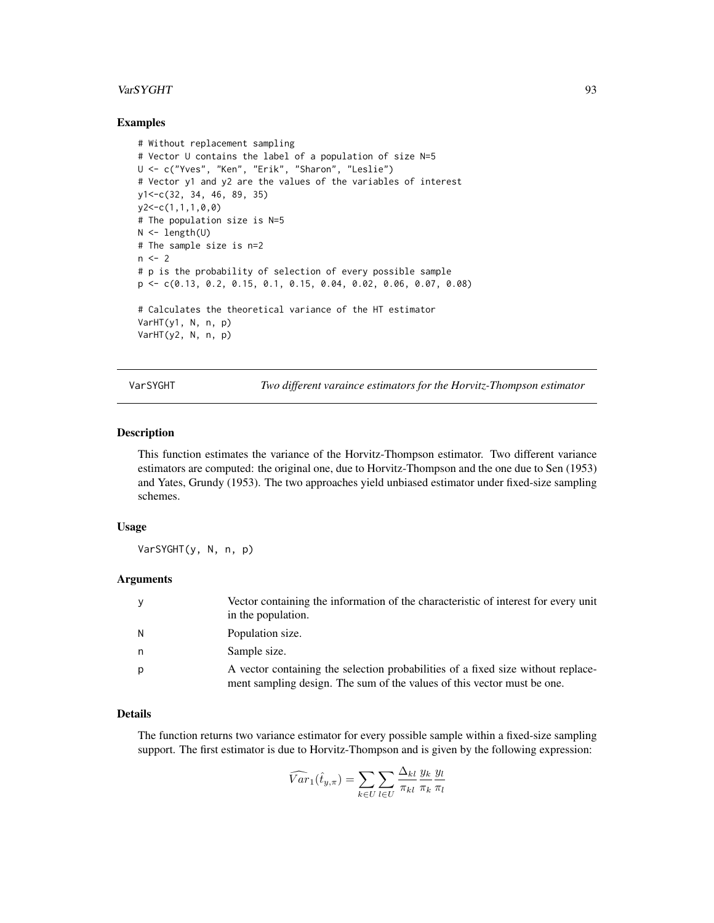#### <span id="page-92-0"></span>VarSYGHT 93

## Examples

```
# Without replacement sampling
# Vector U contains the label of a population of size N=5
U <- c("Yves", "Ken", "Erik", "Sharon", "Leslie")
# Vector y1 and y2 are the values of the variables of interest
y1<-c(32, 34, 46, 89, 35)
y2<-c(1,1,1,0,0)
# The population size is N=5
N < - length(U)
# The sample size is n=2
n < -2# p is the probability of selection of every possible sample
p <- c(0.13, 0.2, 0.15, 0.1, 0.15, 0.04, 0.02, 0.06, 0.07, 0.08)
# Calculates the theoretical variance of the HT estimator
VarHT(y1, N, n, p)
VarHT(y2, N, n, p)
```
VarSYGHT *Two different varaince estimators for the Horvitz-Thompson estimator*

## Description

This function estimates the variance of the Horvitz-Thompson estimator. Two different variance estimators are computed: the original one, due to Horvitz-Thompson and the one due to Sen (1953) and Yates, Grundy (1953). The two approaches yield unbiased estimator under fixed-size sampling schemes.

# Usage

VarSYGHT(y, N, n, p)

## **Arguments**

| y | Vector containing the information of the characteristic of interest for every unit<br>in the population.                                                    |
|---|-------------------------------------------------------------------------------------------------------------------------------------------------------------|
| N | Population size.                                                                                                                                            |
| n | Sample size.                                                                                                                                                |
| р | A vector containing the selection probabilities of a fixed size without replace-<br>ment sampling design. The sum of the values of this vector must be one. |

#### Details

The function returns two variance estimator for every possible sample within a fixed-size sampling support. The first estimator is due to Horvitz-Thompson and is given by the following expression:

$$
\widehat{Var}_1(\widehat{t}_{y,\pi}) = \sum_{k \in U} \sum_{l \in U} \frac{\Delta_{kl}}{\pi_{kl}} \frac{y_k}{\pi_k} \frac{y_l}{\pi_l}
$$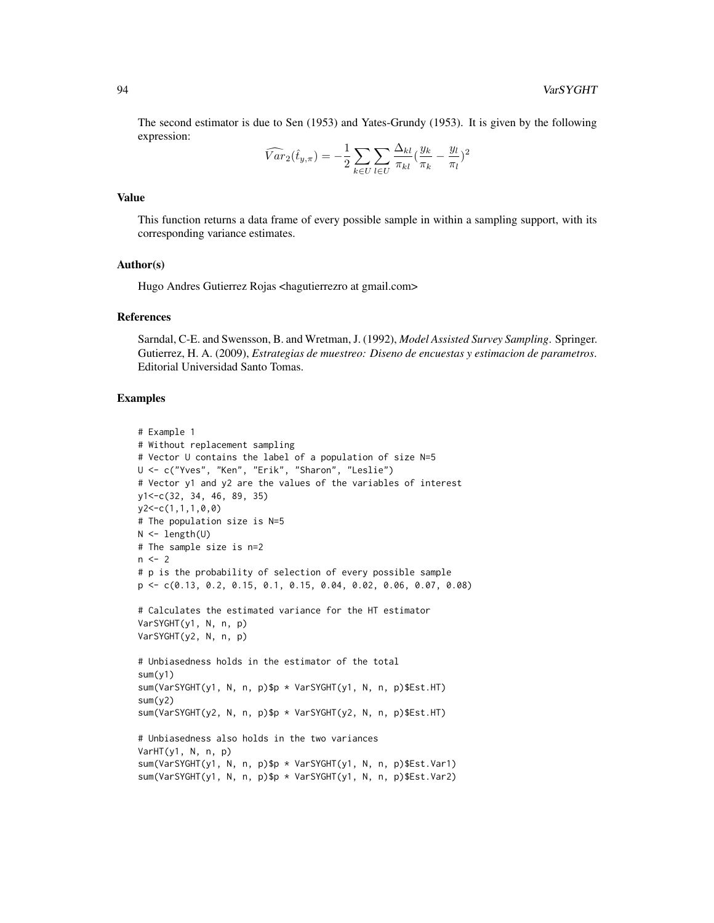The second estimator is due to Sen (1953) and Yates-Grundy (1953). It is given by the following expression:

$$
\widehat{Var}_2(\hat{t}_{y,\pi}) = -\frac{1}{2} \sum_{k \in U} \sum_{l \in U} \frac{\Delta_{kl}}{\pi_{kl}} \left(\frac{y_k}{\pi_k} - \frac{y_l}{\pi_l}\right)^2
$$

# Value

This function returns a data frame of every possible sample in within a sampling support, with its corresponding variance estimates.

## Author(s)

Hugo Andres Gutierrez Rojas <hagutierrezro at gmail.com>

#### References

Sarndal, C-E. and Swensson, B. and Wretman, J. (1992), *Model Assisted Survey Sampling*. Springer. Gutierrez, H. A. (2009), *Estrategias de muestreo: Diseno de encuestas y estimacion de parametros*. Editorial Universidad Santo Tomas.

```
# Example 1
# Without replacement sampling
# Vector U contains the label of a population of size N=5
U <- c("Yves", "Ken", "Erik", "Sharon", "Leslie")
# Vector y1 and y2 are the values of the variables of interest
y1<-c(32, 34, 46, 89, 35)
y2<-c(1,1,1,0,0)
# The population size is N=5
N \leftarrow length(U)
# The sample size is n=2
n < -2# p is the probability of selection of every possible sample
p <- c(0.13, 0.2, 0.15, 0.1, 0.15, 0.04, 0.02, 0.06, 0.07, 0.08)
# Calculates the estimated variance for the HT estimator
VarSYGHT(y1, N, n, p)
VarSYGHT(y2, N, n, p)
# Unbiasedness holds in the estimator of the total
sum(y1)
sum(VarSYGHT(y1, N, n, p)$p * VarSYGHT(y1, N, n, p)$Est.HT)
sum(y2)
sum(VarSYGHT(y2, N, n, p)$p * VarSYGHT(y2, N, n, p)$Est.HT)
# Unbiasedness also holds in the two variances
VarHT(y1, N, n, p)
sum(VarSYGHT(y1, N, n, p)$p * VarSYGHT(y1, N, n, p)$Est.Var1)
sum(VarSYGHT(y1, N, n, p)$p * VarSYGHT(y1, N, n, p)$Est.Var2)
```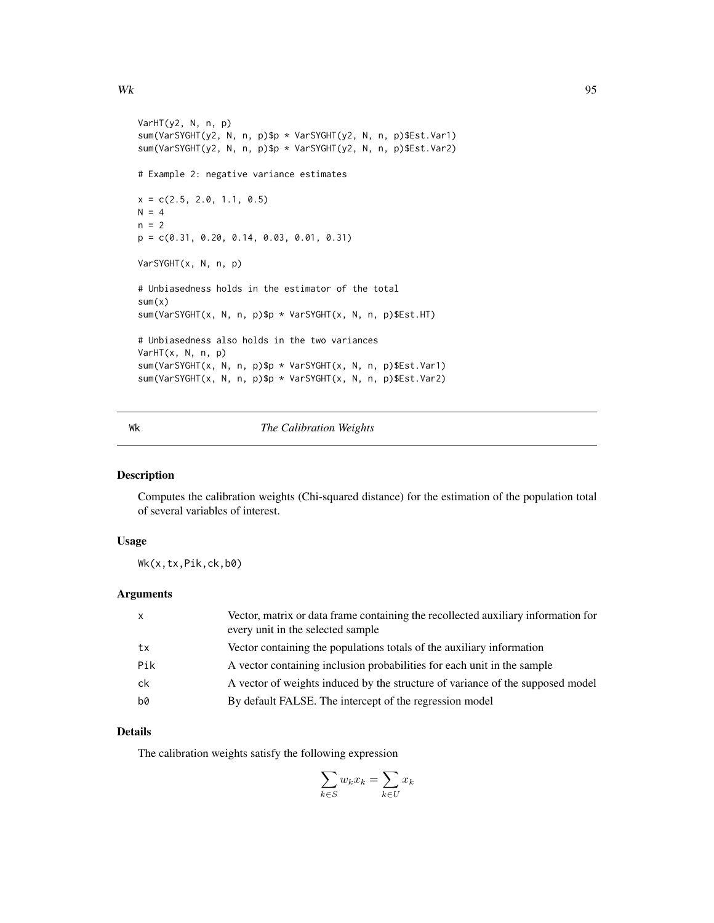```
VarHT(y2, N, n, p)
sum(VarSYGHT(y2, N, n, p)$p * VarSYGHT(y2, N, n, p)$Est.Var1)
sum(VarSYGHT(y2, N, n, p)$p * VarSYGHT(y2, N, n, p)$Est.Var2)
# Example 2: negative variance estimates
x = c(2.5, 2.0, 1.1, 0.5)N = 4n = 2p = c(0.31, 0.20, 0.14, 0.03, 0.01, 0.31)
VarSYGHT(x, N, n, p)
# Unbiasedness holds in the estimator of the total
sum(x)sum(VarSYGHT(x, N, n, p)$p * VarSYGHT(x, N, n, p)$Est.HT)
# Unbiasedness also holds in the two variances
VarHT(x, N, n, p)
sum(VarSYGHT(x, N, n, p)$p * VarSYGHT(x, N, n, p)$Est.Var1)
sum(VarSYGHT(x, N, n, p)$p * VarSYGHT(x, N, n, p)$Est.Var2)
```
## Wk *The Calibration Weights*

# Description

Computes the calibration weights (Chi-squared distance) for the estimation of the population total of several variables of interest.

# Usage

Wk(x,tx,Pik,ck,b0)

## Arguments

| $\mathsf{x}$ | Vector, matrix or data frame containing the recollected auxiliary information for<br>every unit in the selected sample |
|--------------|------------------------------------------------------------------------------------------------------------------------|
| tx           | Vector containing the populations totals of the auxiliary information                                                  |
| Pik          | A vector containing inclusion probabilities for each unit in the sample                                                |
| ck           | A vector of weights induced by the structure of variance of the supposed model                                         |
| b0           | By default FALSE. The intercept of the regression model                                                                |

# Details

The calibration weights satisfy the following expression

$$
\sum_{k \in S} w_k x_k = \sum_{k \in U} x_k
$$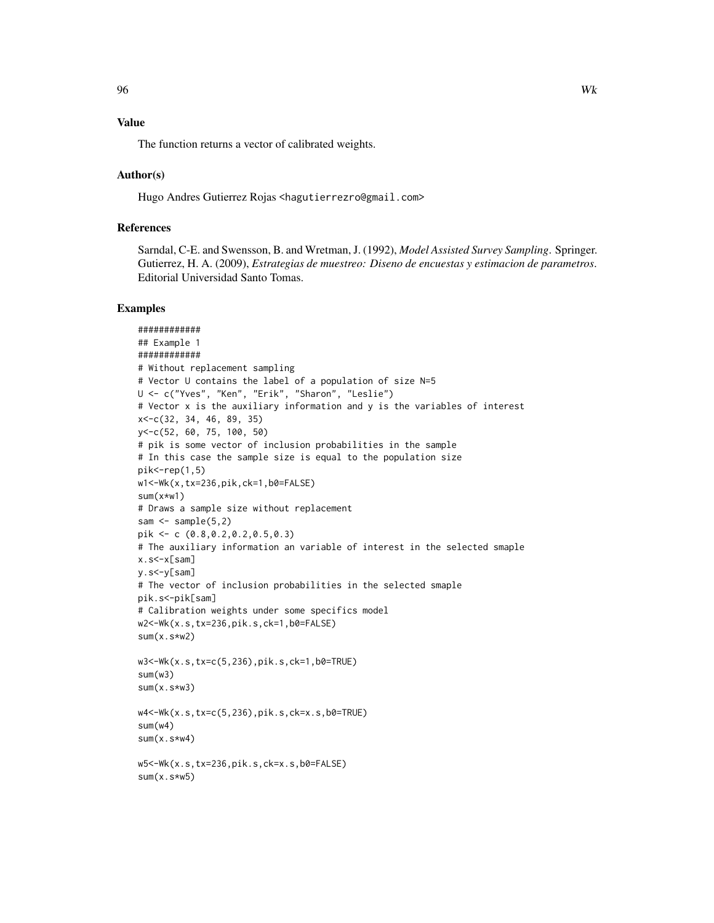# Value

The function returns a vector of calibrated weights.

## Author(s)

Hugo Andres Gutierrez Rojas <hagutierrezro@gmail.com>

# References

Sarndal, C-E. and Swensson, B. and Wretman, J. (1992), *Model Assisted Survey Sampling*. Springer. Gutierrez, H. A. (2009), *Estrategias de muestreo: Diseno de encuestas y estimacion de parametros*. Editorial Universidad Santo Tomas.

```
############
## Example 1
############
# Without replacement sampling
# Vector U contains the label of a population of size N=5
U <- c("Yves", "Ken", "Erik", "Sharon", "Leslie")
# Vector x is the auxiliary information and y is the variables of interest
x<-c(32, 34, 46, 89, 35)
y<-c(52, 60, 75, 100, 50)
# pik is some vector of inclusion probabilities in the sample
# In this case the sample size is equal to the population size
pik < -rep(1,5)w1<-Wk(x,tx=236,pik,ck=1,b0=FALSE)
sum(x*w1)
# Draws a sample size without replacement
sam \leq sample(5,2)pik <- c (0.8,0.2,0.2,0.5,0.3)
# The auxiliary information an variable of interest in the selected smaple
x.s<-x[sam]
y.s<-y[sam]
# The vector of inclusion probabilities in the selected smaple
pik.s<-pik[sam]
# Calibration weights under some specifics model
w2<-Wk(x.s,tx=236,pik.s,ck=1,b0=FALSE)
sum(x.s*w2)
w3<-Wk(x.s,tx=c(5,236),pik.s,ck=1,b0=TRUE)
sum(w3)
sum(x.s*w3)
w4<-Wk(x.s,tx=c(5,236),pik.s,ck=x.s,b0=TRUE)
sum(w4)
sum(x.s*w4)
w5<-Wk(x.s,tx=236,pik.s,ck=x.s,b0=FALSE)
sum(x.s*w5)
```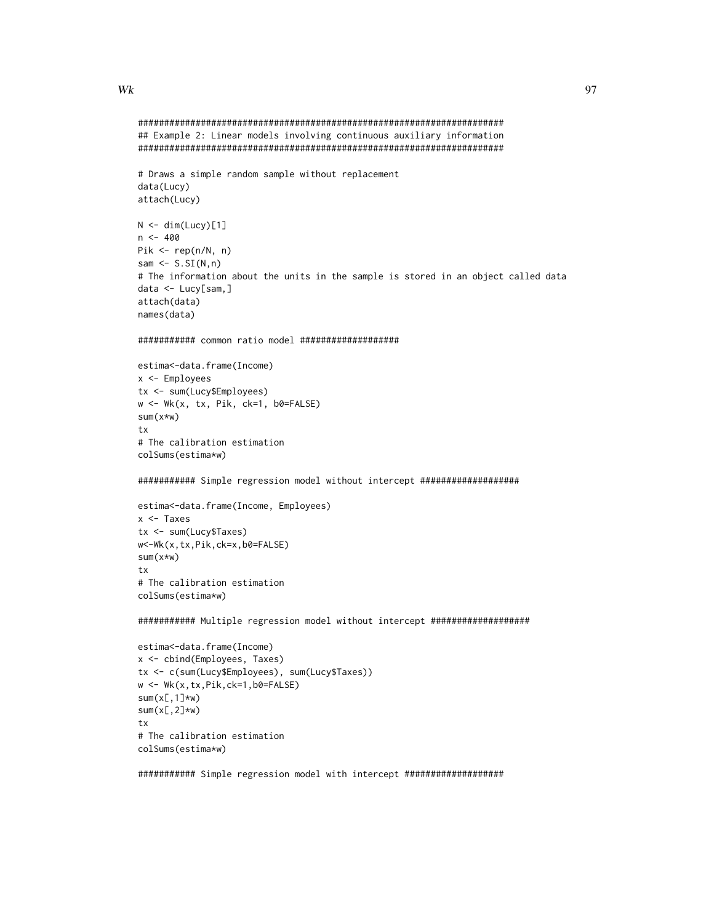## $Wk$  97

```
######################################################################
## Example 2: Linear models involving continuous auxiliary information
######################################################################
# Draws a simple random sample without replacement
# The information about the units in the sample is stored in an object called data
```

```
data <- Lucy[sam,]
attach(data)
names(data)
```
 $N < -$  dim(Lucy)[1]

Pik <- rep(n/N, n) sam  $\leq S.SI(N,n)$ 

data(Lucy) attach(Lucy)

 $n < -400$ 

```
########### common ratio model ###################
```

```
estima<-data.frame(Income)
x <- Employees
tx <- sum(Lucy$Employees)
w <- Wk(x, tx, Pik, ck=1, b0=FALSE)
sum(x*w)
tx
# The calibration estimation
colSums(estima*w)
```

```
########### Simple regression model without intercept ###################
```

```
estima<-data.frame(Income, Employees)
x <- Taxes
tx <- sum(Lucy$Taxes)
w<-Wk(x,tx,Pik,ck=x,b0=FALSE)
sum(x*w)
tx
# The calibration estimation
colSums(estima*w)
```
########### Multiple regression model without intercept ###################

```
estima<-data.frame(Income)
x <- cbind(Employees, Taxes)
tx <- c(sum(Lucy$Employees), sum(Lucy$Taxes))
w <- Wk(x,tx,Pik,ck=1,b0=FALSE)
sum(x[,1]*w)
sum(x[,2]*w)
tx
# The calibration estimation
colSums(estima*w)
```
########### Simple regression model with intercept ###################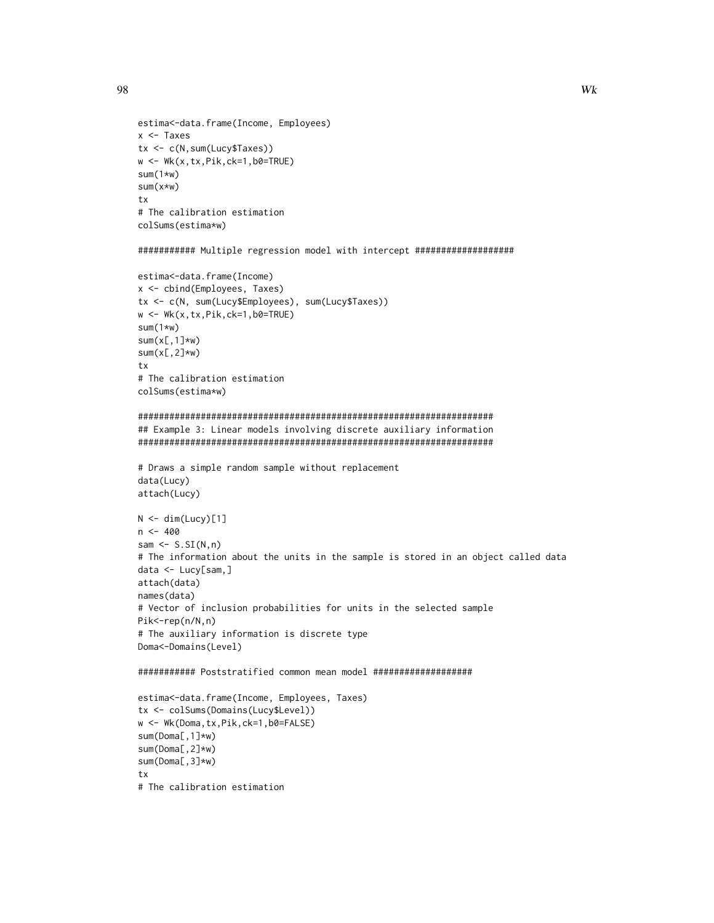```
estima<-data.frame(Income, Employees)
x <- Taxes
tx <- c(N,sum(Lucy$Taxes))
w \leftarrow \text{Wk}(x, tx, \text{Pik}, \text{ck=1}, \text{b0=TRUE})sum(1*w)
sum(x*w)
tx
# The calibration estimation
colSums(estima*w)
########### Multiple regression model with intercept ###################
estima<-data.frame(Income)
x <- cbind(Employees, Taxes)
tx <- c(N, sum(Lucy$Employees), sum(Lucy$Taxes))
w <- Wk(x,tx,Pik,ck=1,b0=TRUE)
sum(1*w)
sum(x[,1]*w)
sum(x[,2]\star w)tx
# The calibration estimation
colSums(estima*w)
####################################################################
## Example 3: Linear models involving discrete auxiliary information
####################################################################
# Draws a simple random sample without replacement
data(Lucy)
attach(Lucy)
N < - dim(Lucy)[1]
n < -400sam \leq S.SI(N,n)
# The information about the units in the sample is stored in an object called data
data <- Lucy[sam,]
attach(data)
names(data)
# Vector of inclusion probabilities for units in the selected sample
Pik<-rep(n/N,n)
# The auxiliary information is discrete type
Doma<-Domains(Level)
########### Poststratified common mean model ###################
estima<-data.frame(Income, Employees, Taxes)
tx <- colSums(Domains(Lucy$Level))
w <- Wk(Doma,tx, Pik, ck=1, b0=FALSE)
sum(Doma[,1]*w)
sum(Doma[,2]*w)
sum(Doma[,3]*w)
```

```
tx
# The calibration estimation
```
98 and the set of the set of the set of the set of the set of the set of the set of the set of the set of the set of the set of the set of the set of the set of the set of the set of the set of the set of the set of the se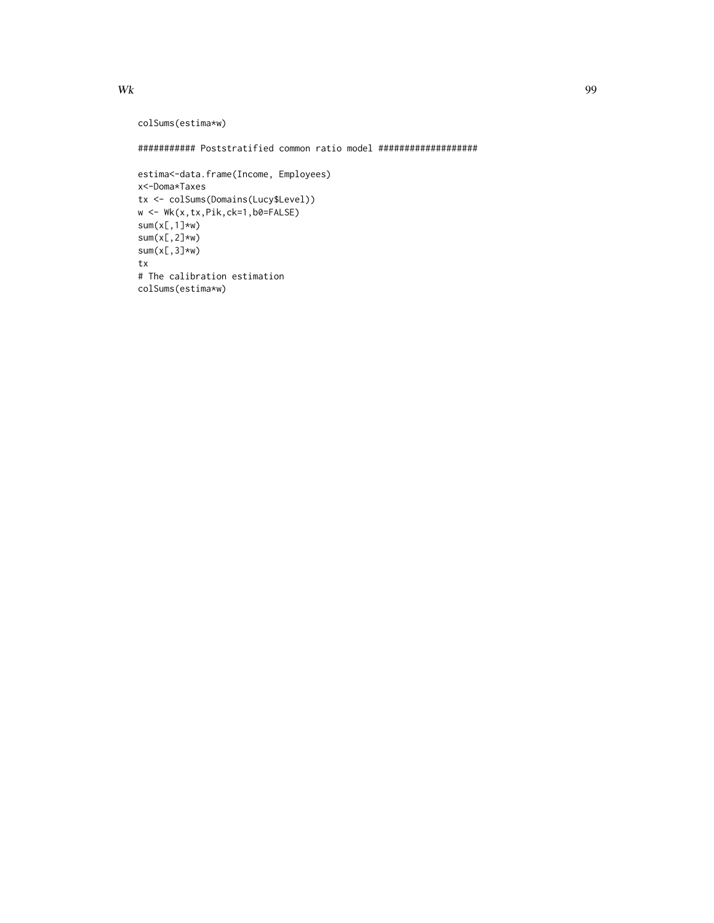```
colSums(estima*w)
```
########### Poststratified common ratio model ###################

```
estima<-data.frame(Income, Employees)
x<-Doma*Taxes
tx <- colSums(Domains(Lucy$Level))
w <- Wk(x,tx,Pik,ck=1,b0=FALSE)
sum(x[,1]*w)
sum(x[,2]\star w)sum(x[,3]*w)
tx
# The calibration estimation
colSums(estima*w)
```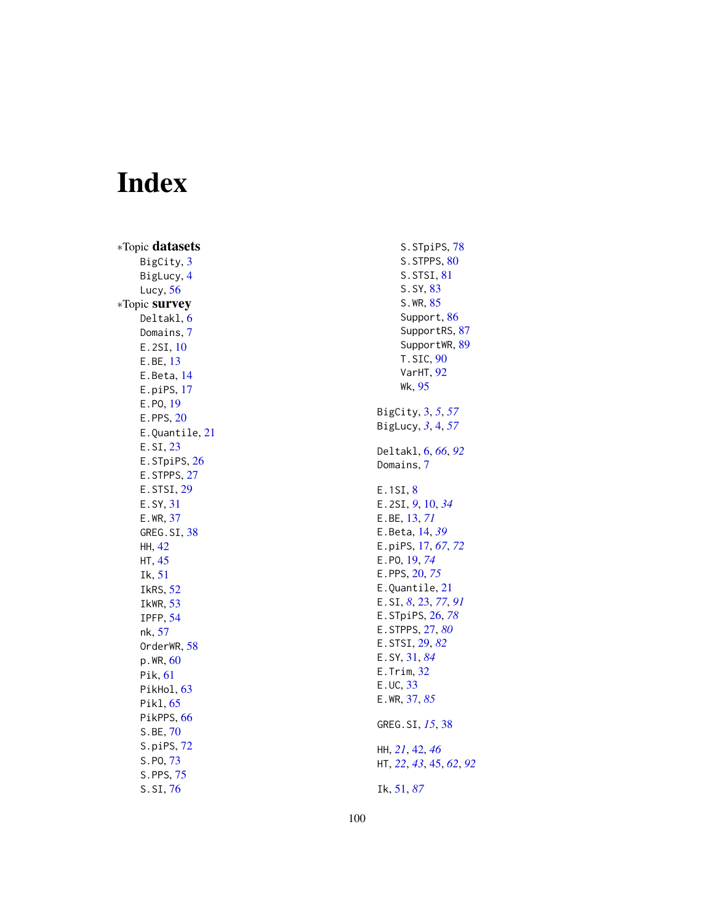# Index

∗Topic datasets BigCity , [3](#page-2-0) BigLucy , [4](#page-3-0) Lucy , [56](#page-55-0) ∗Topic survey Deltakl , [6](#page-5-1) Domains , [7](#page-6-0) E.2SI, [10](#page-9-0) E.BE , [13](#page-12-0) E.Beta , [14](#page-13-0) E.piPS , [17](#page-16-0) E.PO , [19](#page-18-1) E.PPS, [20](#page-19-1) E.Quantile , [21](#page-20-0) E.SI , [23](#page-22-1) E.STpiPS, [26](#page-25-1) E.STPPS, [27](#page-26-1) E.STSI, [29](#page-28-1) E.SY , [31](#page-30-1) E.WR , [37](#page-36-1) GREG.SI, [38](#page-37-0) HH , [42](#page-41-0) HT , [45](#page-44-1) Ik , [51](#page-50-1) IkRS , [52](#page-51-1) IkWR , [53](#page-52-0) IPFP , [54](#page-53-0) nk , [57](#page-56-0) OrderWR, [58](#page-57-0) p.WR , [60](#page-59-0) Pik , [61](#page-60-1) PikHol, [63](#page-62-0) Pikl , [65](#page-64-1) PikPPS, [66](#page-65-0) S.BE , [70](#page-69-0) S.piPS , [72](#page-71-0) S.PO , [73](#page-72-0) S.PPS, [75](#page-74-0) S.SI , [76](#page-75-1)

S.STpiPS, [78](#page-77-0) S.STPPS, [80](#page-79-0) S.STSI , [81](#page-80-0) S.SY , [83](#page-82-0) S.WR, [85](#page-84-0) Support, [86](#page-85-1) SupportRS, [87](#page-86-0) SupportWR, [89](#page-88-0) T.SIC,  $90$ VarHT , [92](#page-91-0) Wk , [95](#page-94-0) BigCity , [3](#page-2-0) , *[5](#page-4-0)* , *[57](#page-56-0)* BigLucy , *[3](#page-2-0)* , [4](#page-3-0) , *[57](#page-56-0)* Deltakl , [6](#page-5-1) , *[66](#page-65-0)* , *[92](#page-91-0)* Domains , [7](#page-6-0) E.1SI, <mark>[8](#page-7-0)</mark> E.2SI , *[9](#page-8-0)* , [10](#page-9-0) , *[34](#page-33-0)* E.BE , [13](#page-12-0) , *[71](#page-70-0)* E.Beta , [14](#page-13-0) , *[39](#page-38-0)* E.piPS , [17](#page-16-0) , *[67](#page-66-0)* , *[72](#page-71-0)* E.PO , [19](#page-18-1) , *[74](#page-73-0)* E.PPS , [20](#page-19-1) , *[75](#page-74-0)* E.Quantile, [21](#page-20-0) E.SI , *[8](#page-7-0)* , [23](#page-22-1) , *[77](#page-76-0)* , *[91](#page-90-0)* E.STpiPS , [26](#page-25-1) , *[78](#page-77-0)* E.STPPS , [27](#page-26-1) , *[80](#page-79-0)* E.STSI , [29](#page-28-1) , *[82](#page-81-0)* E.SY , [31](#page-30-1) , *[84](#page-83-0)* E.Trim , [32](#page-31-0) E.UC , [33](#page-32-0) E.WR , [37](#page-36-1) , *[85](#page-84-0)* GREG. SI, [15](#page-14-0), [38](#page-37-0) HH , *[21](#page-20-0)* , [42](#page-41-0) , *[46](#page-45-0)* HT , *[22](#page-21-0)* , *[43](#page-42-0)* , [45](#page-44-1) , *[62](#page-61-0)* , *[92](#page-91-0)* Ik , [51](#page-50-1) , *[87](#page-86-0)*